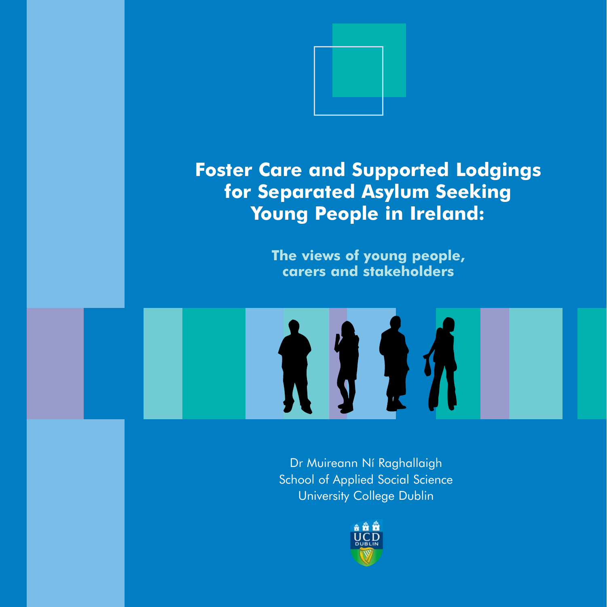

# **Foster Care and Supported Lodgings for Separated Asylum Seeking Young People in Ireland:**

**The views of young people, carers and stakeholders**



Dr Muireann Ní Raghallaigh School of Applied Social Science University College Dublin

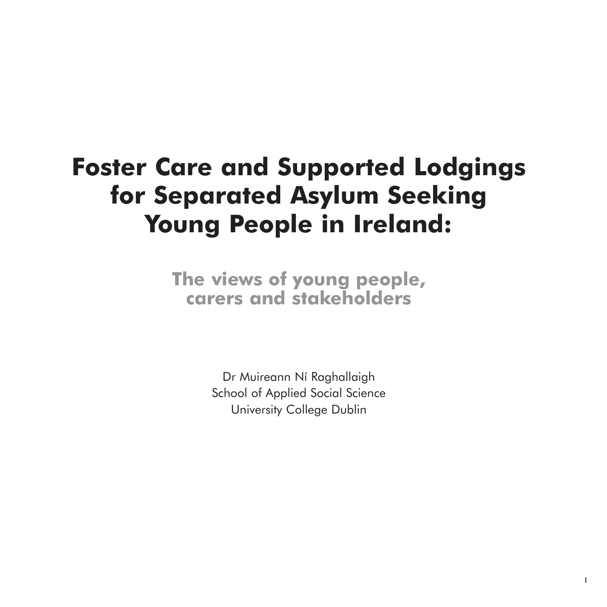# **Foster Care and Supported Lodgings for Separated Asylum Seeking Young People in Ireland:**

**The views of young people, carers and stakeholders**

> Dr Muireann Ní Raghallaigh School of Applied Social Science University College Dublin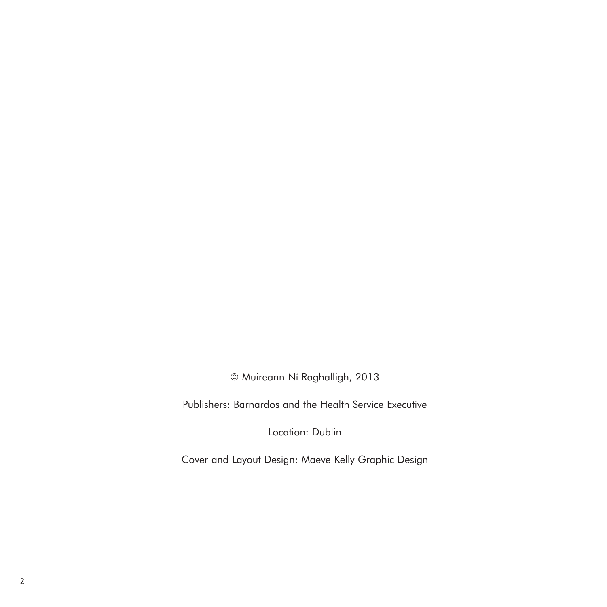© Muireann Ní Raghalligh, 2013

Publishers: Barnardos and the Health Service Executive

Location: Dublin

Cover and Layout Design: Maeve Kelly Graphic Design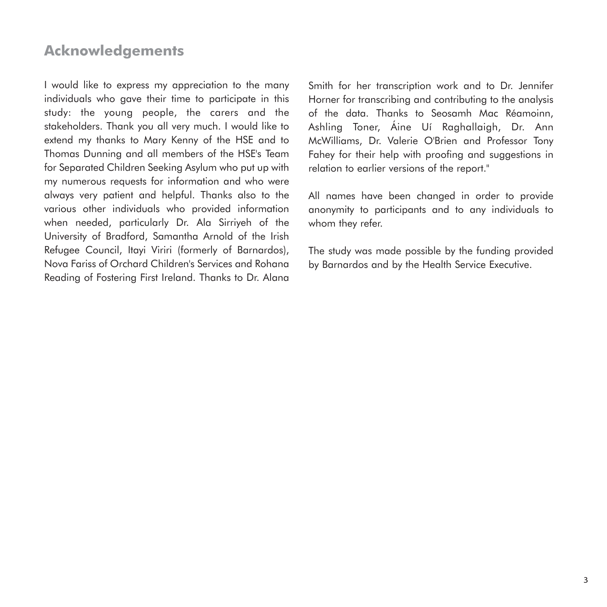# **Acknowledgements**

I would like to express my appreciation to the many individuals who gave their time to participate in this study: the young people, the carers and the stakeholders. Thank you all very much. I would like to extend my thanks to Mary Kenny of the HSE and to Thomas Dunning and all members of the HSE's Team for Separated Children Seeking Asylum who put up with my numerous requests for information and who were always very patient and helpful. Thanks also to the various other individuals who provided information when needed, particularly Dr. Ala Sirriyeh of the University of Bradford, Samantha Arnold of the Irish Refugee Council, Itayi Viriri (formerly of Barnardos), Nova Fariss of Orchard Children's Services and Rohana Reading of Fostering First Ireland. Thanks to Dr. Alana

Smith for her transcription work and to Dr. Jennifer Horner for transcribing and contributing to the analysis of the data. Thanks to Seosamh Mac Réamoinn, Ashling Toner, Áine Uí Raghallaigh, Dr. Ann McWilliams, Dr. Valerie O'Brien and Professor Tony Fahey for their help with proofing and suggestions in relation to earlier versions of the report."

All names have been changed in order to provide anonymity to participants and to any individuals to whom they refer.

The study was made possible by the funding provided by Barnardos and by the Health Service Executive.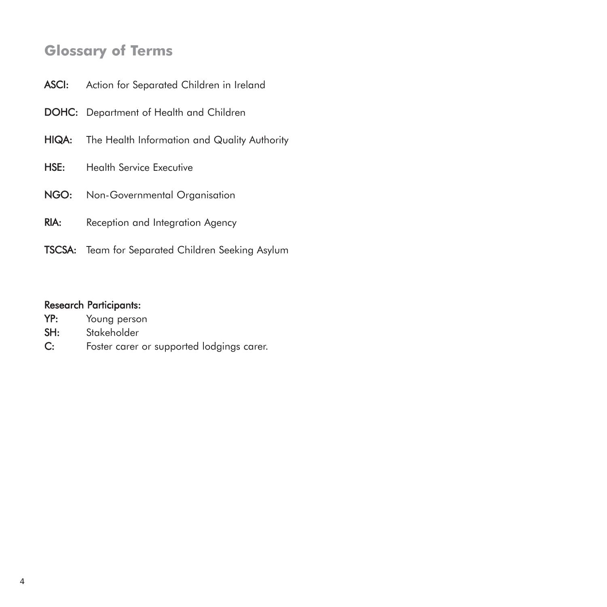# **Glossary of Terms**

- DOHC: Department of Health and Children
- HIQA: The Health Information and Quality Authority
- HSE: Health Service Executive
- NGO: Non-Governmental Organisation
- RIA: Reception and Integration Agency
- TSCSA: Team for Separated Children Seeking Asylum

#### Research Participants:

| YP: |  | Young person |
|-----|--|--------------|
|-----|--|--------------|

- SH: Stakeholder
- C: Foster carer or supported lodgings carer.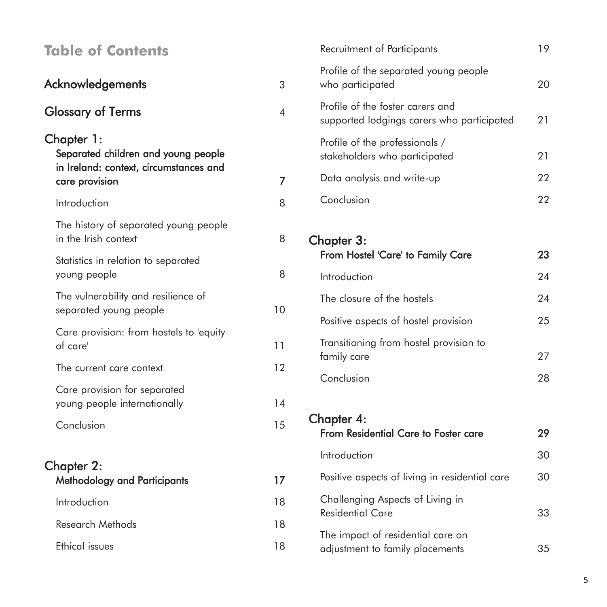| <b>Table of Contents</b>                                      |                | Recruitment of Participants                                                    | 19       |
|---------------------------------------------------------------|----------------|--------------------------------------------------------------------------------|----------|
| Acknowledgements                                              | 3              | Profile of the separated young people<br>who participated                      | 20       |
| <b>Glossary of Terms</b>                                      | 4              | Profile of the foster carers and<br>supported lodgings carers who participated | 21       |
| Chapter 1:<br>Separated children and young people             |                | Profile of the professionals /<br>stakeholders who participated                | 21       |
| in Ireland: context, circumstances and<br>care provision      | $\overline{7}$ | Data analysis and write-up                                                     | 22       |
| Introduction                                                  | 8              | Conclusion                                                                     | 22       |
| The history of separated young people<br>in the Irish context | 8              | Chapter 3:                                                                     |          |
| Statistics in relation to separated<br>young people           | 8              | From Hostel 'Care' to Family Care<br>Introduction                              | 23<br>24 |
| The vulnerability and resilience of<br>separated young people | 10             | The closure of the hostels                                                     | 24       |
| Care provision: from hostels to 'equity                       |                | Positive aspects of hostel provision                                           | 25       |
| of care'                                                      | 11             | Transitioning from hostel provision to<br>family care                          | 27       |
| The current care context                                      | 12             | Conclusion                                                                     | 28       |
| Care provision for separated<br>young people internationally  | 14             |                                                                                |          |
| Conclusion                                                    | 15             | Chapter 4:<br>From Residential Care to Foster care                             | 29       |
| Chapter 2:                                                    |                | Introduction                                                                   | 30       |
| Methodology and Participants                                  | 17             | Positive aspects of living in residential care                                 | 30       |
| Introduction                                                  | 18             | Challenging Aspects of Living in<br><b>Residential Care</b>                    | 33       |
| Research Methods                                              | 18             | The impact of residential care on                                              |          |
| <b>Ethical issues</b>                                         | 18             | adjustment to family placements                                                | 35       |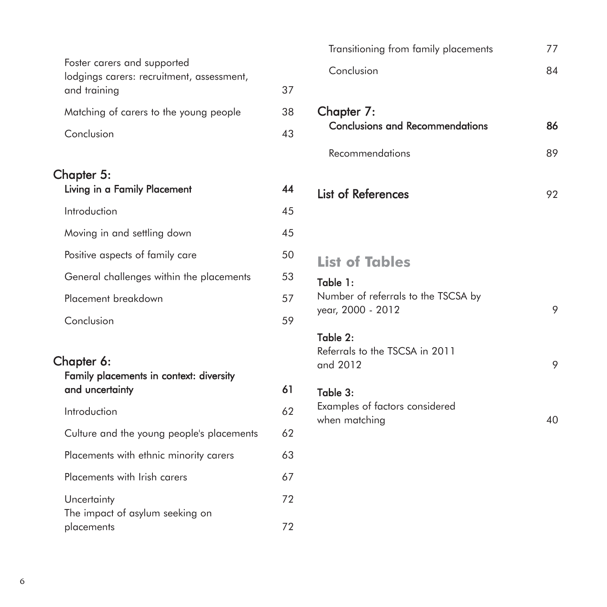| Foster carers and supported<br>lodgings carers: recruitment, assessment, |    |
|--------------------------------------------------------------------------|----|
| and training                                                             | 37 |
| Matching of carers to the young people                                   | 38 |
| Conclusion                                                               | 43 |
|                                                                          |    |

# Chapter 5:

| Living in a Family Placement             | 14 |
|------------------------------------------|----|
| Introduction                             | 45 |
| Moving in and settling down              | 45 |
| Positive aspects of family care          | 50 |
| General challenges within the placements | 53 |
| Placement breakdown                      | 57 |
| Conclusion                               | 59 |

| Chapter 6:<br>Family placements in context: diversity |    |
|-------------------------------------------------------|----|
| and uncertainty                                       | 61 |
| Introduction                                          | 62 |
| Culture and the young people's placements             | 62 |
| Placements with ethnic minority carers                | 63 |
| Placements with Irish carers                          | 67 |
| Uncertainty<br>The impact of asylum seeking on        | 72 |
| placements                                            | 12 |

| Transitioning from family placements | 77 |
|--------------------------------------|----|
| Conclusion                           | 84 |

| Chapter 7:<br><b>Conclusions and Recommendations</b> | RΑ |
|------------------------------------------------------|----|
| Recommendations                                      |    |

# List of References 92

# **List of Tables**

Table 1: Number of referrals to the TSCSA by year, 2000 - 2012 9

#### Table 2:

Referrals to the TSCSA in 2011 and 2012 9

# Table 3:

Examples of factors considered when matching 40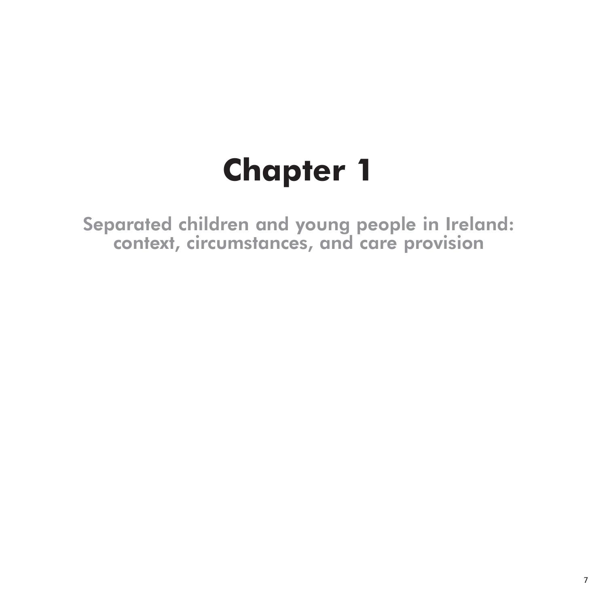# **Chapter 1**

Separated children and young people in Ireland: context, circumstances, and care provision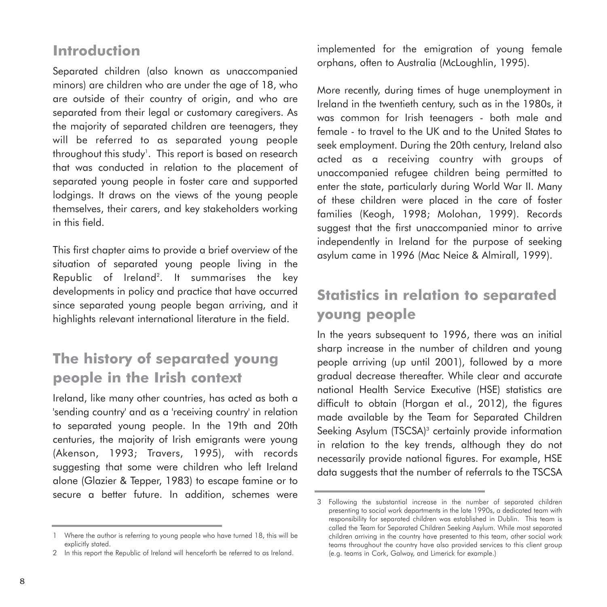# **Introduction**

Separated children (also known as unaccompanied minors) are children who are under the age of 18, who are outside of their country of origin, and who are separated from their legal or customary caregivers. As the majority of separated children are teenagers, they will be referred to as separated young people throughout this study'. This report is based on research that was conducted in relation to the placement of separated young people in foster care and supported lodgings. It draws on the views of the young people themselves, their carers, and key stakeholders working in this field.

This first chapter aims to provide a brief overview of the situation of separated young people living in the Republic of Ireland2 . It summarises the key developments in policy and practice that have occurred since separated young people began arriving, and it highlights relevant international literature in the field.

# **The history of separated young people in the Irish context**

Ireland, like many other countries, has acted as both a 'sending country' and as a 'receiving country' in relation to separated young people. In the 19th and 20th centuries, the majority of Irish emigrants were young (Akenson, 1993; Travers, 1995), with records suggesting that some were children who left Ireland alone (Glazier & Tepper, 1983) to escape famine or to secure a better future. In addition, schemes were implemented for the emigration of young female orphans, often to Australia (McLoughlin, 1995).

More recently, during times of huge unemployment in Ireland in the twentieth century, such as in the 1980s, it was common for Irish teenagers - both male and female - to travel to the UK and to the United States to seek employment. During the 20th century, Ireland also acted as a receiving country with groups of unaccompanied refugee children being permitted to enter the state, particularly during World War II. Many of these children were placed in the care of foster families (Keogh, 1998; Molohan, 1999). Records suggest that the first unaccompanied minor to arrive independently in Ireland for the purpose of seeking asylum came in 1996 (Mac Neice & Almirall, 1999).

# **Statistics in relation to separated young people**

In the years subsequent to 1996, there was an initial sharp increase in the number of children and young people arriving (up until 2001), followed by a more gradual decrease thereafter. While clear and accurate national Health Service Executive (HSE) statistics are difficult to obtain (Horgan et al., 2012), the figures made available by the Team for Separated Children Seeking Asylum (TSCSA)<sup>3</sup> certainly provide information in relation to the key trends, although they do not necessarily provide national figures. For example, HSE data suggests that the number of referrals to the TSCSA

<sup>1</sup> Where the author is referring to young people who have turned 18, this will be explicitly stated.

<sup>2</sup> In this report the Republic of Ireland will henceforth be referred to as Ireland.

<sup>3</sup> Following the substantial increase in the number of separated children presenting to social work departments in the late 1990s, a dedicated team with responsibility for separated children was established in Dublin. This team is called the Team for Separated Children Seeking Asylum. While most separated children arriving in the country have presented to this team, other social work teams throughout the country have also provided services to this client group (e.g. teams in Cork, Galway, and Limerick for example.)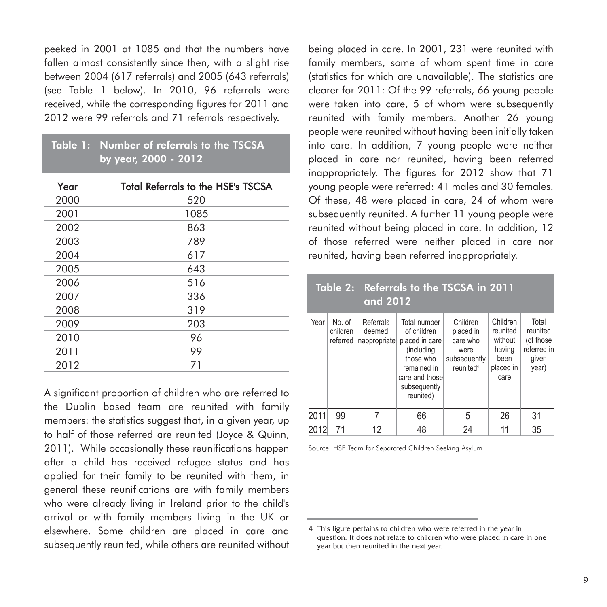peeked in 2001 at 1085 and that the numbers have fallen almost consistently since then, with a slight rise between 2004 (617 referrals) and 2005 (643 referrals) (see Table 1 below). In 2010, 96 referrals were received, while the corresponding figures for 2011 and 2012 were 99 referrals and 71 referrals respectively.

#### Table 1: Number of referrals to the TSCSA by year, 2000 - 2012

| Year | <b>Total Referrals to the HSE's TSCSA</b> |
|------|-------------------------------------------|
| 2000 | 520                                       |
| 2001 | 1085                                      |
| 2002 | 863                                       |
| 2003 | 789                                       |
| 2004 | 617                                       |
| 2005 | 643                                       |
| 2006 | 516                                       |
| 2007 | 336                                       |
| 2008 | 319                                       |
| 2009 | 203                                       |
| 2010 | 96                                        |
| 2011 | 99                                        |
| 2012 | 71                                        |

A significant proportion of children who are referred to the Dublin based team are reunited with family members: the statistics suggest that, in a given year, up to half of those referred are reunited (Joyce & Quinn, 2011). While occasionally these reunifications happen after a child has received refugee status and has applied for their family to be reunited with them, in general these reunifications are with family members who were already living in Ireland prior to the child's arrival or with family members living in the UK or elsewhere. Some children are placed in care and subsequently reunited, while others are reunited without

being placed in care. In 2001, 231 were reunited with family members, some of whom spent time in care (statistics for which are unavailable). The statistics are clearer for 2011: Of the 99 referrals, 66 young people were taken into care, 5 of whom were subsequently reunited with family members. Another 26 young people were reunited without having been initially taken into care. In addition, 7 young people were neither placed in care nor reunited, having been referred inappropriately. The figures for 2012 show that 71 young people were referred: 41 males and 30 females. Of these, 48 were placed in care, 24 of whom were subsequently reunited. A further 11 young people were reunited without being placed in care. In addition, 12 of those referred were neither placed in care nor reunited, having been referred inappropriately.

|      |                      | and 2012                                      | Table 2: Referrals to the TSCSA in 2011                                                                                                |                                                                                    |                                                                        |                                                                 |
|------|----------------------|-----------------------------------------------|----------------------------------------------------------------------------------------------------------------------------------------|------------------------------------------------------------------------------------|------------------------------------------------------------------------|-----------------------------------------------------------------|
| Year | No. of<br>children l | Referrals<br>deemed<br>referred inappropriate | Total number<br>of children<br>placed in care<br>(including<br>those who<br>remained in<br>care and those<br>subsequently<br>reunited) | Children<br>placed in<br>care who<br>were<br>subsequently<br>reunited <sup>4</sup> | Children<br>reunited<br>without<br>having<br>been<br>placed in<br>care | Total<br>reunited<br>(of those<br>referred in<br>given<br>year) |
| 2011 | 99                   | 7                                             | 66                                                                                                                                     | 5                                                                                  | 26                                                                     | 31                                                              |
| 2012 | 71                   | 12                                            | 48                                                                                                                                     | 24                                                                                 | 11                                                                     | 35                                                              |

Source: HSE Team for Separated Children Seeking Asylum

<sup>4</sup> This figure pertains to children who were referred in the year in question. It does not relate to children who were placed in care in one year but then reunited in the next year.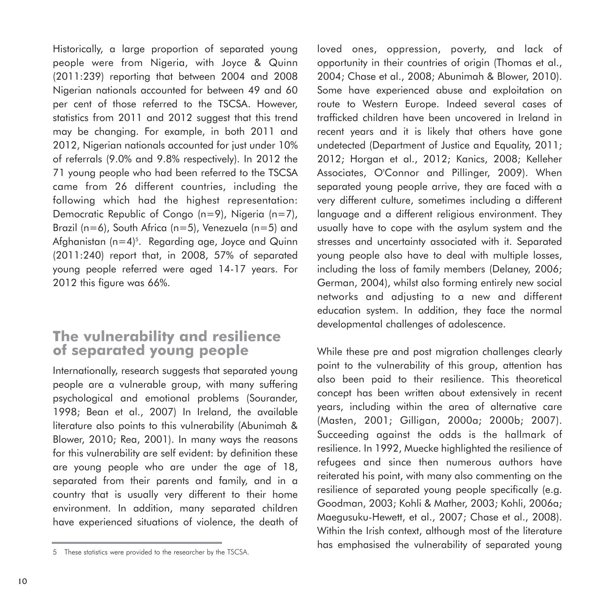Historically, a large proportion of separated young people were from Nigeria, with Joyce & Quinn (2011:239) reporting that between 2004 and 2008 Nigerian nationals accounted for between 49 and 60 per cent of those referred to the TSCSA. However, statistics from 2011 and 2012 suggest that this trend may be changing. For example, in both 2011 and 2012, Nigerian nationals accounted for just under 10% of referrals (9.0% and 9.8% respectively). In 2012 the 71 young people who had been referred to the TSCSA came from 26 different countries, including the following which had the highest representation: Democratic Republic of Congo (n=9), Nigeria (n=7), Brazil (n=6), South Africa (n=5), Venezuela (n=5) and Afghanistan (n=4)<sup>s</sup>. Regarding age, Joyce and Quinn (2011:240) report that, in 2008, 57% of separated young people referred were aged 14-17 years. For 2012 this figure was 66%.

## **The vulnerability and resilience of separated young people**

Internationally, research suggests that separated young people are a vulnerable group, with many suffering psychological and emotional problems (Sourander, 1998; Bean et al., 2007) In Ireland, the available literature also points to this vulnerability (Abunimah & Blower, 2010; Rea, 2001). In many ways the reasons for this vulnerability are self evident: by definition these are young people who are under the age of 18, separated from their parents and family, and in a country that is usually very different to their home environment. In addition, many separated children have experienced situations of violence, the death of

loved ones, oppression, poverty, and lack of opportunity in their countries of origin (Thomas et al., 2004; Chase et al., 2008; Abunimah & Blower, 2010). Some have experienced abuse and exploitation on route to Western Europe. Indeed several cases of trafficked children have been uncovered in Ireland in recent years and it is likely that others have gone undetected (Department of Justice and Equality, 2011; 2012; Horgan et al., 2012; Kanics, 2008; Kelleher Associates, O'Connor and Pillinger, 2009). When separated young people arrive, they are faced with a very different culture, sometimes including a different language and a different religious environment. They usually have to cope with the asylum system and the stresses and uncertainty associated with it. Separated young people also have to deal with multiple losses, including the loss of family members (Delaney, 2006; German, 2004), whilst also forming entirely new social networks and adjusting to a new and different education system. In addition, they face the normal developmental challenges of adolescence.

While these pre and post migration challenges clearly point to the vulnerability of this group, attention has also been paid to their resilience. This theoretical concept has been written about extensively in recent years, including within the area of alternative care (Masten, 2001; Gilligan, 2000a; 2000b; 2007). Succeeding against the odds is the hallmark of resilience. In 1992, Muecke highlighted the resilience of refugees and since then numerous authors have reiterated his point, with many also commenting on the resilience of separated young people specifically (e.g. Goodman, 2003; Kohli & Mather, 2003; Kohli, 2006a; Maegusuku-Hewett, et al., 2007; Chase et al., 2008). Within the Irish context, although most of the literature has emphasised the vulnerability of separated young

<sup>5</sup> These statistics were provided to the researcher by the TSCSA.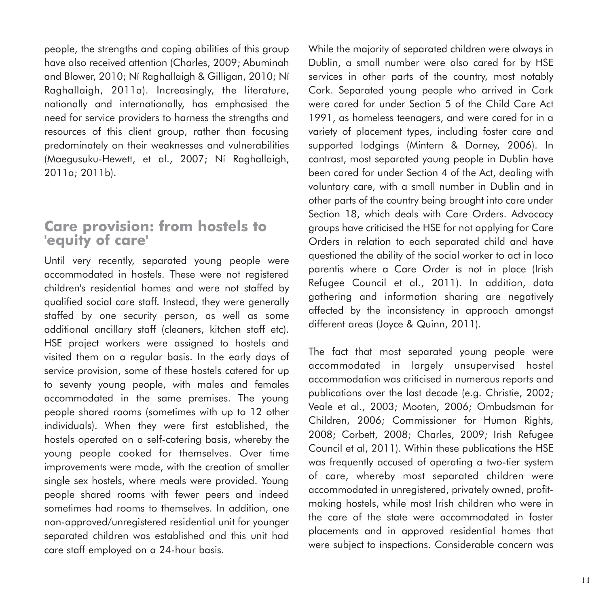people, the strengths and coping abilities of this group have also received attention (Charles, 2009; Abuminah and Blower, 2010; Ní Raghallaigh & Gilligan, 2010; Ní Raghallaigh, 2011a). Increasingly, the literature, nationally and internationally, has emphasised the need for service providers to harness the strengths and resources of this client group, rather than focusing predominately on their weaknesses and vulnerabilities (Maegusuku-Hewett, et al., 2007; Ní Raghallaigh, 2011a; 2011b).

# **Care provision: from hostels to 'equity of care'**

Until very recently, separated young people were accommodated in hostels. These were not registered children's residential homes and were not staffed by qualified social care staff. Instead, they were generally staffed by one security person, as well as some additional ancillary staff (cleaners, kitchen staff etc). HSE project workers were assigned to hostels and visited them on a regular basis. In the early days of service provision, some of these hostels catered for up to seventy young people, with males and females accommodated in the same premises. The young people shared rooms (sometimes with up to 12 other individuals). When they were first established, the hostels operated on a self-catering basis, whereby the young people cooked for themselves. Over time improvements were made, with the creation of smaller single sex hostels, where meals were provided. Young people shared rooms with fewer peers and indeed sometimes had rooms to themselves. In addition, one non-approved/unregistered residential unit for younger separated children was established and this unit had care staff employed on a 24-hour basis.

While the majority of separated children were always in Dublin, a small number were also cared for by HSE services in other parts of the country, most notably Cork. Separated young people who arrived in Cork were cared for under Section 5 of the Child Care Act 1991, as homeless teenagers, and were cared for in a variety of placement types, including foster care and supported lodgings (Mintern & Dorney, 2006). In contrast, most separated young people in Dublin have been cared for under Section 4 of the Act, dealing with voluntary care, with a small number in Dublin and in other parts of the country being brought into care under Section 18, which deals with Care Orders. Advocacy groups have criticised the HSE for not applying for Care Orders in relation to each separated child and have questioned the ability of the social worker to act in loco parentis where a Care Order is not in place (Irish Refugee Council et al., 2011). In addition, data gathering and information sharing are negatively affected by the inconsistency in approach amongst different areas (Joyce & Quinn, 2011).

The fact that most separated young people were accommodated in largely unsupervised hostel accommodation was criticised in numerous reports and publications over the last decade (e.g. Christie, 2002; Veale et al., 2003; Mooten, 2006; Ombudsman for Children, 2006; Commissioner for Human Rights, 2008; Corbett, 2008; Charles, 2009; Irish Refugee Council et al, 2011). Within these publications the HSE was frequently accused of operating a two-tier system of care, whereby most separated children were accommodated in unregistered, privately owned, profitmaking hostels, while most Irish children who were in the care of the state were accommodated in foster placements and in approved residential homes that were subject to inspections. Considerable concern was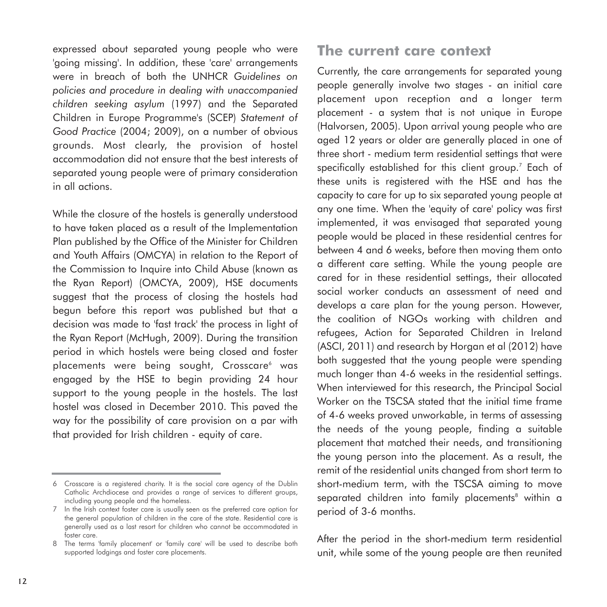expressed about separated young people who were 'going missing'. In addition, these 'care' arrangements were in breach of both the UNHCR *Guidelines on policies and procedure in dealing with unaccompanied children seeking asylum* (1997) and the Separated Children in Europe Programme's (SCEP) *Statement of Good Practice* (2004; 2009), on a number of obvious grounds. Most clearly, the provision of hostel accommodation did not ensure that the best interests of separated young people were of primary consideration in all actions.

While the closure of the hostels is generally understood to have taken placed as a result of the Implementation Plan published by the Office of the Minister for Children and Youth Affairs (OMCYA) in relation to the Report of the Commission to Inquire into Child Abuse (known as the Ryan Report) (OMCYA, 2009), HSE documents suggest that the process of closing the hostels had begun before this report was published but that a decision was made to 'fast track' the process in light of the Ryan Report (McHugh, 2009). During the transition period in which hostels were being closed and foster placements were being sought, Crosscare<sup>6</sup> was engaged by the HSE to begin providing 24 hour support to the young people in the hostels. The last hostel was closed in December 2010. This paved the way for the possibility of care provision on a par with that provided for Irish children - equity of care.

# **The current care context**

Currently, the care arrangements for separated young people generally involve two stages - an initial care placement upon reception and a longer term placement - a system that is not unique in Europe (Halvorsen, 2005). Upon arrival young people who are aged 12 years or older are generally placed in one of three short - medium term residential settings that were specifically established for this client group.<sup>7</sup> Each of these units is registered with the HSE and has the capacity to care for up to six separated young people at any one time. When the 'equity of care' policy was first implemented, it was envisaged that separated young people would be placed in these residential centres for between 4 and 6 weeks, before then moving them onto a different care setting. While the young people are cared for in these residential settings, their allocated social worker conducts an assessment of need and develops a care plan for the young person. However, the coalition of NGOs working with children and refugees, Action for Separated Children in Ireland (ASCI, 2011) and research by Horgan et al (2012) have both suggested that the young people were spending much longer than 4-6 weeks in the residential settings. When interviewed for this research, the Principal Social Worker on the TSCSA stated that the initial time frame of 4-6 weeks proved unworkable, in terms of assessing the needs of the young people, finding a suitable placement that matched their needs, and transitioning the young person into the placement. As a result, the remit of the residential units changed from short term to short-medium term, with the TSCSA aiming to move separated children into family placements<sup>8</sup> within a period of 3-6 months.

After the period in the short-medium term residential unit, while some of the young people are then reunited

<sup>6</sup> Crosscare is a registered charity. It is the social care agency of the Dublin Catholic Archdiocese and provides a range of services to different groups, including young people and the homeless.

<sup>7</sup> In the Irish context foster care is usually seen as the preferred care option for the general population of children in the care of the state. Residential care is generally used as a last resort for children who cannot be accommodated in foster care.

<sup>8</sup> The terms 'family placement' or 'family care' will be used to describe both supported lodgings and foster care placements.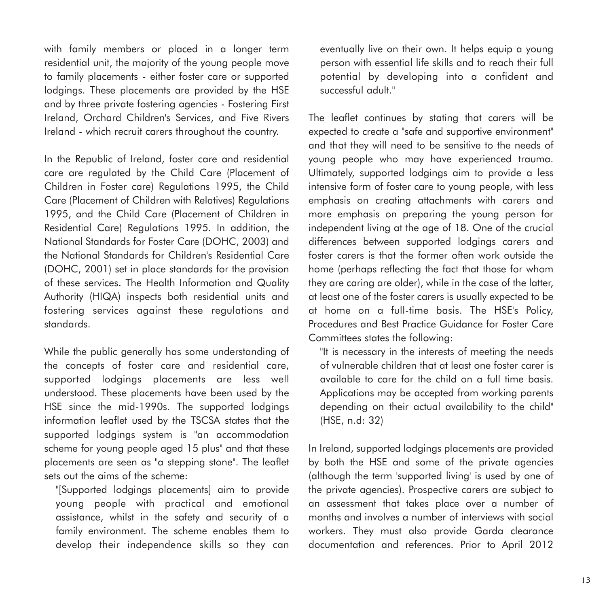with family members or placed in a longer term residential unit, the majority of the young people move to family placements - either foster care or supported lodgings. These placements are provided by the HSE and by three private fostering agencies - Fostering First Ireland, Orchard Children's Services, and Five Rivers Ireland - which recruit carers throughout the country.

In the Republic of Ireland, foster care and residential care are regulated by the Child Care (Placement of Children in Foster care) Regulations 1995, the Child Care (Placement of Children with Relatives) Regulations 1995, and the Child Care (Placement of Children in Residential Care) Regulations 1995. In addition, the National Standards for Foster Care (DOHC, 2003) and the National Standards for Children's Residential Care (DOHC, 2001) set in place standards for the provision of these services. The Health Information and Quality Authority (HIQA) inspects both residential units and fostering services against these regulations and standards.

While the public generally has some understanding of the concepts of foster care and residential care, supported lodgings placements are less well understood. These placements have been used by the HSE since the mid-1990s. The supported lodgings information leaflet used by the TSCSA states that the supported lodgings system is "an accommodation scheme for young people aged 15 plus" and that these placements are seen as "a stepping stone". The leaflet sets out the aims of the scheme:

"[Supported lodgings placements] aim to provide young people with practical and emotional assistance, whilst in the safety and security of a family environment. The scheme enables them to develop their independence skills so they can eventually live on their own. It helps equip a young person with essential life skills and to reach their full potential by developing into a confident and successful adult."

The leaflet continues by stating that carers will be expected to create a "safe and supportive environment" and that they will need to be sensitive to the needs of young people who may have experienced trauma. Ultimately, supported lodgings aim to provide a less intensive form of foster care to young people, with less emphasis on creating attachments with carers and more emphasis on preparing the young person for independent living at the age of 18. One of the crucial differences between supported lodgings carers and foster carers is that the former often work outside the home (perhaps reflecting the fact that those for whom they are caring are older), while in the case of the latter, at least one of the foster carers is usually expected to be at home on a full-time basis. The HSE's Policy, Procedures and Best Practice Guidance for Foster Care Committees states the following:

"It is necessary in the interests of meeting the needs of vulnerable children that at least one foster carer is available to care for the child on a full time basis. Applications may be accepted from working parents depending on their actual availability to the child" (HSE, n.d: 32)

In Ireland, supported lodgings placements are provided by both the HSE and some of the private agencies (although the term 'supported living' is used by one of the private agencies). Prospective carers are subject to an assessment that takes place over a number of months and involves a number of interviews with social workers. They must also provide Garda clearance documentation and references. Prior to April 2012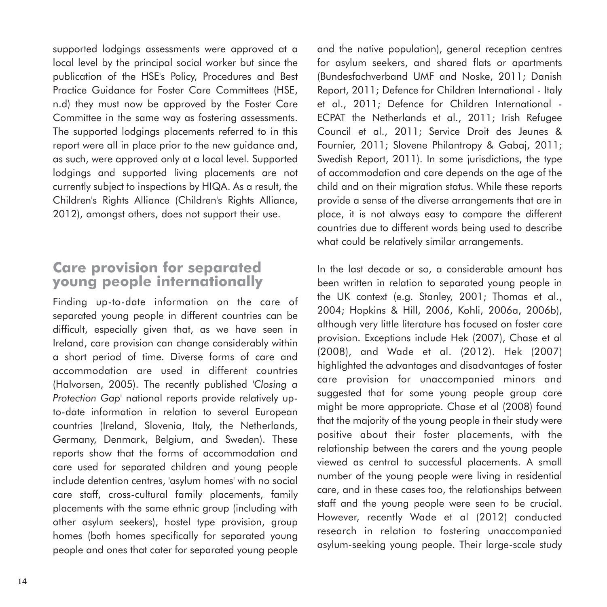supported lodgings assessments were approved at a local level by the principal social worker but since the publication of the HSE's Policy, Procedures and Best Practice Guidance for Foster Care Committees (HSE, n.d) they must now be approved by the Foster Care Committee in the same way as fostering assessments. The supported lodgings placements referred to in this report were all in place prior to the new guidance and, as such, were approved only at a local level. Supported lodgings and supported living placements are not currently subject to inspections by HIQA. As a result, the Children's Rights Alliance (Children's Rights Alliance, 2012), amongst others, does not support their use.

# **Care provision for separated young people internationally**

Finding up-to-date information on the care of separated young people in different countries can be difficult, especially given that, as we have seen in Ireland, care provision can change considerably within a short period of time. Diverse forms of care and accommodation are used in different countries (Halvorsen, 2005). The recently published *'Closing a Protection Gap'* national reports provide relatively upto-date information in relation to several European countries (Ireland, Slovenia, Italy, the Netherlands, Germany, Denmark, Belgium, and Sweden). These reports show that the forms of accommodation and care used for separated children and young people include detention centres, 'asylum homes' with no social care staff, cross-cultural family placements, family placements with the same ethnic group (including with other asylum seekers), hostel type provision, group homes (both homes specifically for separated young people and ones that cater for separated young people and the native population), general reception centres for asylum seekers, and shared flats or apartments (Bundesfachverband UMF and Noske, 2011; Danish Report, 2011; Defence for Children International - Italy et al., 2011; Defence for Children International - ECPAT the Netherlands et al., 2011; Irish Refugee Council et al., 2011; Service Droit des Jeunes & Fournier, 2011; Slovene Philantropy & Gabaj, 2011; Swedish Report, 2011). In some jurisdictions, the type of accommodation and care depends on the age of the child and on their migration status. While these reports provide a sense of the diverse arrangements that are in place, it is not always easy to compare the different countries due to different words being used to describe what could be relatively similar arrangements.

In the last decade or so, a considerable amount has been written in relation to separated young people in the UK context (e.g. Stanley, 2001; Thomas et al., 2004; Hopkins & Hill, 2006, Kohli, 2006a, 2006b), although very little literature has focused on foster care provision. Exceptions include Hek (2007), Chase et al (2008), and Wade et al. (2012). Hek (2007) highlighted the advantages and disadvantages of foster care provision for unaccompanied minors and suggested that for some young people group care might be more appropriate. Chase et al (2008) found that the majority of the young people in their study were positive about their foster placements, with the relationship between the carers and the young people viewed as central to successful placements. A small number of the young people were living in residential care, and in these cases too, the relationships between staff and the young people were seen to be crucial. However, recently Wade et al (2012) conducted research in relation to fostering unaccompanied asylum-seeking young people. Their large-scale study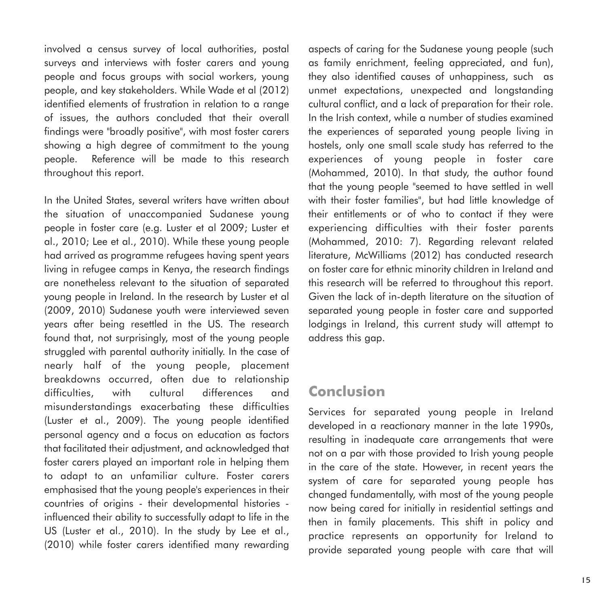involved a census survey of local authorities, postal surveys and interviews with foster carers and young people and focus groups with social workers, young people, and key stakeholders. While Wade et al (2012) identified elements of frustration in relation to a range of issues, the authors concluded that their overall findings were "broadly positive", with most foster carers showing a high degree of commitment to the young people. Reference will be made to this research throughout this report.

In the United States, several writers have written about the situation of unaccompanied Sudanese young people in foster care (e.g. Luster et al 2009; Luster et al., 2010; Lee et al., 2010). While these young people had arrived as programme refugees having spent years living in refugee camps in Kenya, the research findings are nonetheless relevant to the situation of separated young people in Ireland. In the research by Luster et al (2009, 2010) Sudanese youth were interviewed seven years after being resettled in the US. The research found that, not surprisingly, most of the young people struggled with parental authority initially. In the case of nearly half of the young people, placement breakdowns occurred, often due to relationship difficulties, with cultural differences and misunderstandings exacerbating these difficulties (Luster et al., 2009). The young people identified personal agency and a focus on education as factors that facilitated their adjustment, and acknowledged that foster carers played an important role in helping them to adapt to an unfamiliar culture. Foster carers emphasised that the young people's experiences in their countries of origins - their developmental histories influenced their ability to successfully adapt to life in the US (Luster et al., 2010). In the study by Lee et al., (2010) while foster carers identified many rewarding

aspects of caring for the Sudanese young people (such as family enrichment, feeling appreciated, and fun), they also identified causes of unhappiness, such as unmet expectations, unexpected and longstanding cultural conflict, and a lack of preparation for their role. In the Irish context, while a number of studies examined the experiences of separated young people living in hostels, only one small scale study has referred to the experiences of young people in foster care (Mohammed, 2010). In that study, the author found that the young people "seemed to have settled in well with their foster families", but had little knowledge of their entitlements or of who to contact if they were experiencing difficulties with their foster parents (Mohammed, 2010: 7). Regarding relevant related literature, McWilliams (2012) has conducted research on foster care for ethnic minority children in Ireland and this research will be referred to throughout this report. Given the lack of in-depth literature on the situation of separated young people in foster care and supported lodgings in Ireland, this current study will attempt to address this gap.

# **Conclusion**

Services for separated young people in Ireland developed in a reactionary manner in the late 1990s, resulting in inadequate care arrangements that were not on a par with those provided to Irish young people in the care of the state. However, in recent years the system of care for separated young people has changed fundamentally, with most of the young people now being cared for initially in residential settings and then in family placements. This shift in policy and practice represents an opportunity for Ireland to provide separated young people with care that will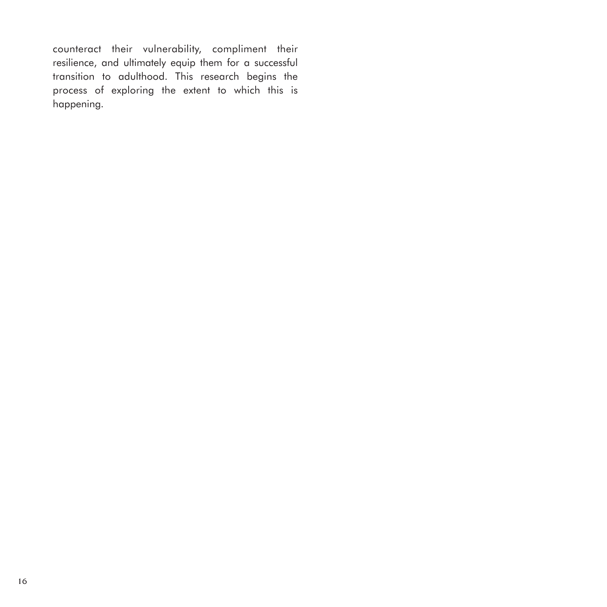counteract their vulnerability, compliment their resilience, and ultimately equip them for a successful transition to adulthood. This research begins the process of exploring the extent to which this is happening.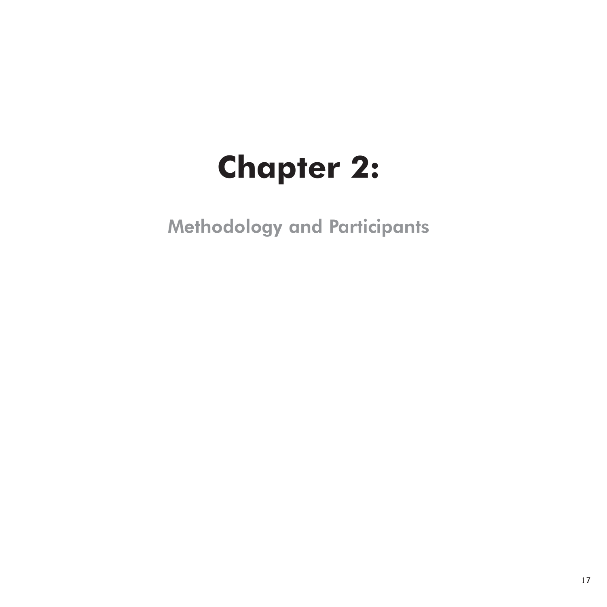# **Chapter 2:**

Methodology and Participants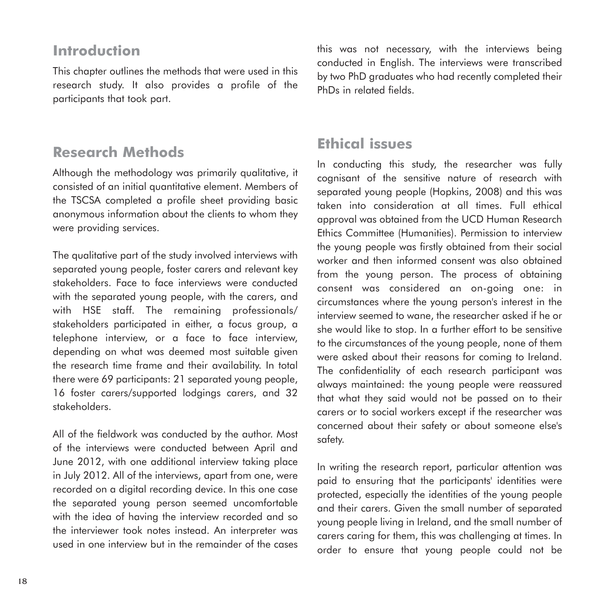# **Introduction**

This chapter outlines the methods that were used in this research study. It also provides a profile of the participants that took part.

# **Research Methods**

Although the methodology was primarily qualitative, it consisted of an initial quantitative element. Members of the TSCSA completed a profile sheet providing basic anonymous information about the clients to whom they were providing services.

The qualitative part of the study involved interviews with separated young people, foster carers and relevant key stakeholders. Face to face interviews were conducted with the separated young people, with the carers, and with HSE staff. The remaining professionals/ stakeholders participated in either, a focus group, a telephone interview, or a face to face interview, depending on what was deemed most suitable given the research time frame and their availability. In total there were 69 participants: 21 separated young people, 16 foster carers/supported lodgings carers, and 32 stakeholders.

All of the fieldwork was conducted by the author. Most of the interviews were conducted between April and June 2012, with one additional interview taking place in July 2012. All of the interviews, apart from one, were recorded on a digital recording device. In this one case the separated young person seemed uncomfortable with the idea of having the interview recorded and so the interviewer took notes instead. An interpreter was used in one interview but in the remainder of the cases this was not necessary, with the interviews being conducted in English. The interviews were transcribed by two PhD graduates who had recently completed their PhDs in related fields.

## **Ethical issues**

In conducting this study, the researcher was fully cognisant of the sensitive nature of research with separated young people (Hopkins, 2008) and this was taken into consideration at all times. Full ethical approval was obtained from the UCD Human Research Ethics Committee (Humanities). Permission to interview the young people was firstly obtained from their social worker and then informed consent was also obtained from the young person. The process of obtaining consent was considered an on-going one: in circumstances where the young person's interest in the interview seemed to wane, the researcher asked if he or she would like to stop. In a further effort to be sensitive to the circumstances of the young people, none of them were asked about their reasons for coming to Ireland. The confidentiality of each research participant was always maintained: the young people were reassured that what they said would not be passed on to their carers or to social workers except if the researcher was concerned about their safety or about someone else's safety.

In writing the research report, particular attention was paid to ensuring that the participants' identities were protected, especially the identities of the young people and their carers. Given the small number of separated young people living in Ireland, and the small number of carers caring for them, this was challenging at times. In order to ensure that young people could not be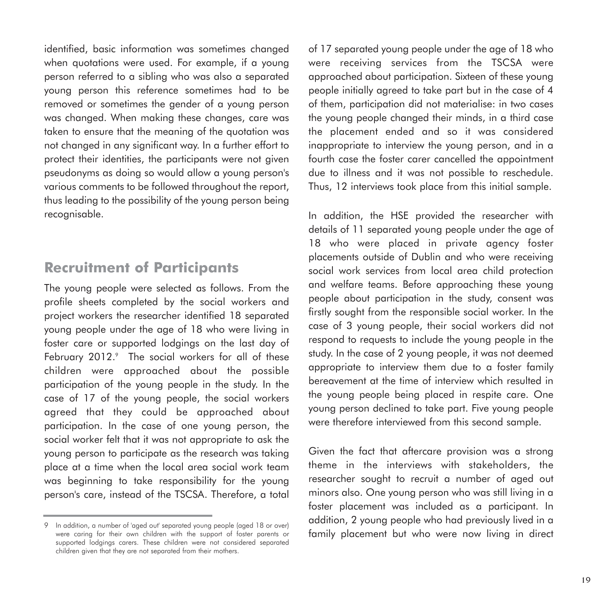identified, basic information was sometimes changed when quotations were used. For example, if a young person referred to a sibling who was also a separated young person this reference sometimes had to be removed or sometimes the gender of a young person was changed. When making these changes, care was taken to ensure that the meaning of the quotation was not changed in any significant way. In a further effort to protect their identities, the participants were not given pseudonyms as doing so would allow a young person's various comments to be followed throughout the report, thus leading to the possibility of the young person being recognisable.

## **Recruitment of Participants**

The young people were selected as follows. From the profile sheets completed by the social workers and project workers the researcher identified 18 separated young people under the age of 18 who were living in foster care or supported lodgings on the last day of February 2012.<sup>9</sup> The social workers for all of these children were approached about the possible participation of the young people in the study. In the case of 17 of the young people, the social workers agreed that they could be approached about participation. In the case of one young person, the social worker felt that it was not appropriate to ask the young person to participate as the research was taking place at a time when the local area social work team was beginning to take responsibility for the young person's care, instead of the TSCSA. Therefore, a total of 17 separated young people under the age of 18 who were receiving services from the TSCSA were approached about participation. Sixteen of these young people initially agreed to take part but in the case of 4 of them, participation did not materialise: in two cases the young people changed their minds, in a third case the placement ended and so it was considered inappropriate to interview the young person, and in a fourth case the foster carer cancelled the appointment due to illness and it was not possible to reschedule. Thus, 12 interviews took place from this initial sample.

In addition, the HSE provided the researcher with details of 11 separated young people under the age of 18 who were placed in private agency foster placements outside of Dublin and who were receiving social work services from local area child protection and welfare teams. Before approaching these young people about participation in the study, consent was firstly sought from the responsible social worker. In the case of 3 young people, their social workers did not respond to requests to include the young people in the study. In the case of 2 young people, it was not deemed appropriate to interview them due to a foster family bereavement at the time of interview which resulted in the young people being placed in respite care. One young person declined to take part. Five young people were therefore interviewed from this second sample.

Given the fact that aftercare provision was a strong theme in the interviews with stakeholders, the researcher sought to recruit a number of aged out minors also. One young person who was still living in a foster placement was included as a participant. In addition, 2 young people who had previously lived in a family placement but who were now living in direct

<sup>9</sup> In addition, a number of 'aged out' separated young people (aged 18 or over) were caring for their own children with the support of foster parents or supported lodgings carers. These children were not considered separated children given that they are not separated from their mothers.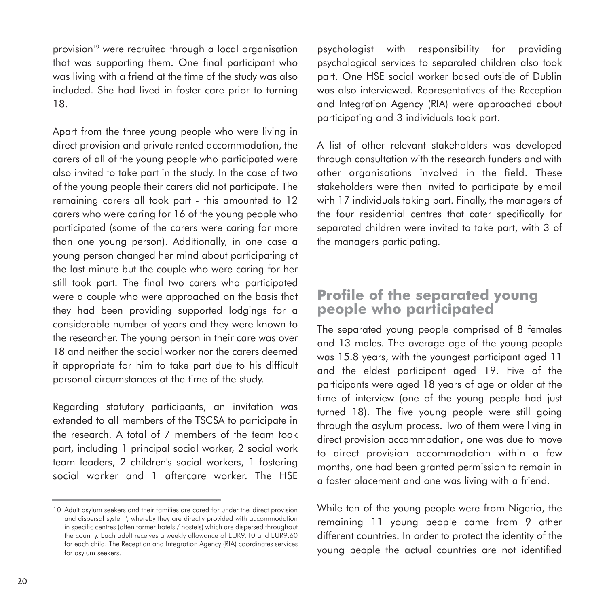provision<sup>10</sup> were recruited through a local organisation that was supporting them. One final participant who was living with a friend at the time of the study was also included. She had lived in foster care prior to turning 18.

Apart from the three young people who were living in direct provision and private rented accommodation, the carers of all of the young people who participated were also invited to take part in the study. In the case of two of the young people their carers did not participate. The remaining carers all took part - this amounted to 12 carers who were caring for 16 of the young people who participated (some of the carers were caring for more than one young person). Additionally, in one case a young person changed her mind about participating at the last minute but the couple who were caring for her still took part. The final two carers who participated were a couple who were approached on the basis that they had been providing supported lodgings for a considerable number of years and they were known to the researcher. The young person in their care was over 18 and neither the social worker nor the carers deemed it appropriate for him to take part due to his difficult personal circumstances at the time of the study.

Regarding statutory participants, an invitation was extended to all members of the TSCSA to participate in the research. A total of 7 members of the team took part, including 1 principal social worker, 2 social work team leaders, 2 children's social workers, 1 fostering social worker and 1 aftercare worker. The HSE

psychologist with responsibility for providing psychological services to separated children also took part. One HSE social worker based outside of Dublin was also interviewed. Representatives of the Reception and Integration Agency (RIA) were approached about participating and 3 individuals took part.

A list of other relevant stakeholders was developed through consultation with the research funders and with other organisations involved in the field. These stakeholders were then invited to participate by email with 17 individuals taking part. Finally, the managers of the four residential centres that cater specifically for separated children were invited to take part, with 3 of the managers participating.

## **Profile of the separated young people who participated**

The separated young people comprised of 8 females and 13 males. The average age of the young people was 15.8 years, with the youngest participant aged 11 and the eldest participant aged 19. Five of the participants were aged 18 years of age or older at the time of interview (one of the young people had just turned 18). The five young people were still going through the asylum process. Two of them were living in direct provision accommodation, one was due to move to direct provision accommodation within a few months, one had been granted permission to remain in a foster placement and one was living with a friend.

While ten of the young people were from Nigeria, the remaining 11 young people came from 9 other different countries. In order to protect the identity of the young people the actual countries are not identified

<sup>10</sup> Adult asylum seekers and their families are cared for under the 'direct provision and dispersal system', whereby they are directly provided with accommodation in specific centres (often former hotels / hostels) which are dispersed throughout the country. Each adult receives a weekly allowance of EUR9.10 and EUR9.60 for each child. The Reception and Integration Agency (RIA) coordinates services for asylum seekers.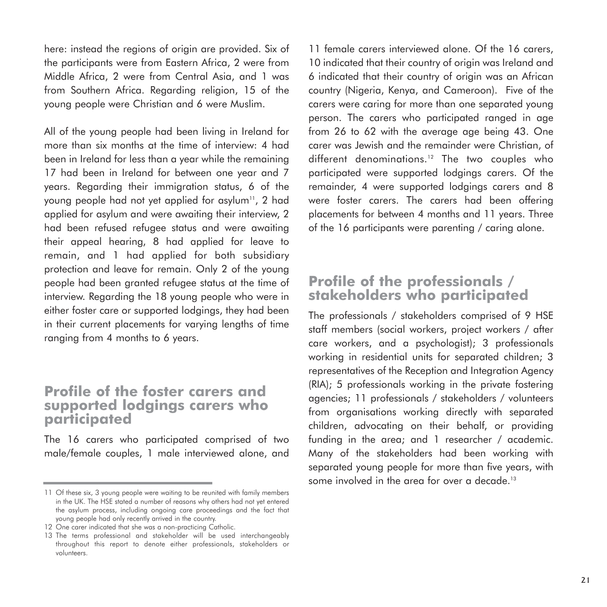here: instead the regions of origin are provided. Six of the participants were from Eastern Africa, 2 were from Middle Africa, 2 were from Central Asia, and 1 was from Southern Africa. Regarding religion, 15 of the young people were Christian and 6 were Muslim.

All of the young people had been living in Ireland for more than six months at the time of interview: 4 had been in Ireland for less than a year while the remaining 17 had been in Ireland for between one year and 7 years. Regarding their immigration status, 6 of the young people had not yet applied for asylum<sup>11</sup>, 2 had applied for asylum and were awaiting their interview, 2 had been refused refugee status and were awaiting their appeal hearing, 8 had applied for leave to remain, and 1 had applied for both subsidiary protection and leave for remain. Only 2 of the young people had been granted refugee status at the time of interview. Regarding the 18 young people who were in either foster care or supported lodgings, they had been in their current placements for varying lengths of time ranging from 4 months to 6 years.

#### **Profile of the foster carers and supported lodgings carers who participated**

The 16 carers who participated comprised of two male/female couples, 1 male interviewed alone, and 11 female carers interviewed alone. Of the 16 carers, 10 indicated that their country of origin was Ireland and 6 indicated that their country of origin was an African country (Nigeria, Kenya, and Cameroon). Five of the carers were caring for more than one separated young person. The carers who participated ranged in age from 26 to 62 with the average age being 43. One carer was Jewish and the remainder were Christian, of different denominations.<sup>12</sup> The two couples who participated were supported lodgings carers. Of the remainder, 4 were supported lodgings carers and 8 were foster carers. The carers had been offering placements for between 4 months and 11 years. Three of the 16 participants were parenting / caring alone.

#### **Profile of the professionals / stakeholders who participated**

The professionals / stakeholders comprised of 9 HSE staff members (social workers, project workers / after care workers, and a psychologist); 3 professionals working in residential units for separated children; 3 representatives of the Reception and Integration Agency (RIA); 5 professionals working in the private fostering agencies; 11 professionals / stakeholders / volunteers from organisations working directly with separated children, advocating on their behalf, or providing funding in the area; and 1 researcher / academic. Many of the stakeholders had been working with separated young people for more than five years, with some involved in the area for over a decade.<sup>13</sup>

<sup>11</sup> Of these six, 3 young people were waiting to be reunited with family members in the UK. The HSE stated a number of reasons why others had not yet entered the asylum process, including ongoing care proceedings and the fact that young people had only recently arrived in the country.

<sup>12</sup> One carer indicated that she was a non-practicing Catholic.

<sup>13</sup> The terms professional and stakeholder will be used interchangeably throughout this report to denote either professionals, stakeholders or volunteers.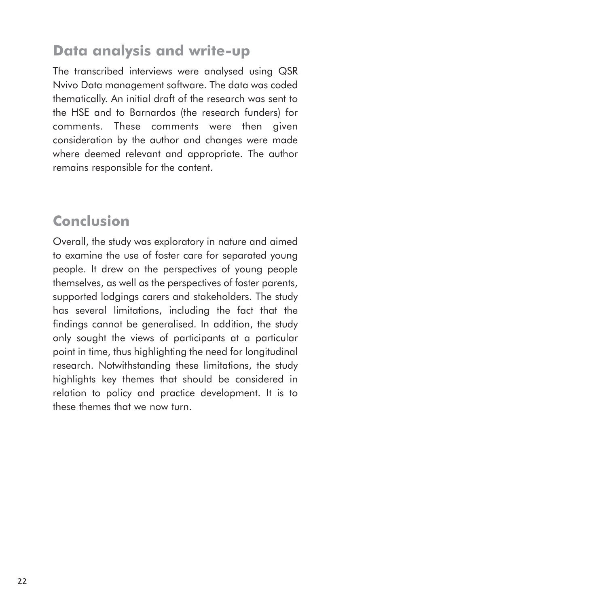# **Data analysis and write-up**

The transcribed interviews were analysed using QSR Nvivo Data management software. The data was coded thematically. An initial draft of the research was sent to the HSE and to Barnardos (the research funders) for comments. These comments were then given consideration by the author and changes were made where deemed relevant and appropriate. The author remains responsible for the content.

# **Conclusion**

Overall, the study was exploratory in nature and aimed to examine the use of foster care for separated young people. It drew on the perspectives of young people themselves, as well as the perspectives of foster parents, supported lodgings carers and stakeholders. The study has several limitations, including the fact that the findings cannot be generalised. In addition, the study only sought the views of participants at a particular point in time, thus highlighting the need for longitudinal research. Notwithstanding these limitations, the study highlights key themes that should be considered in relation to policy and practice development. It is to these themes that we now turn.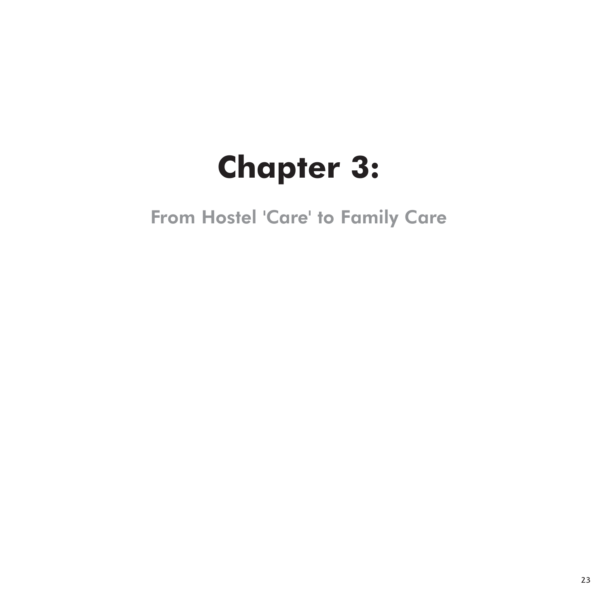# **Chapter 3:**

From Hostel 'Care' to Family Care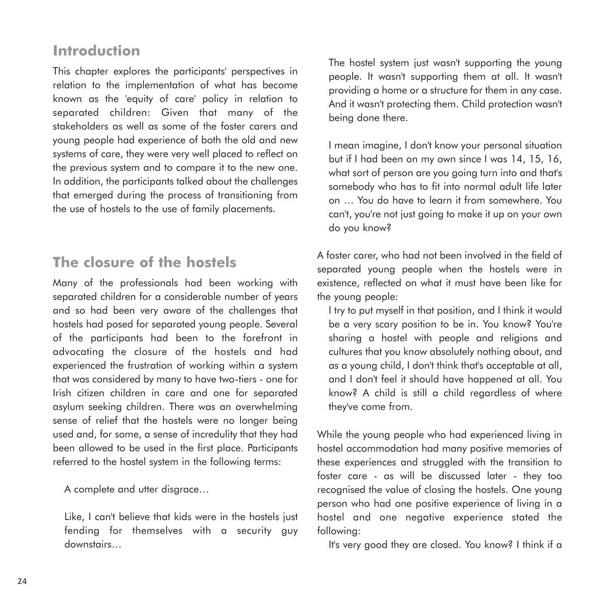# **Introduction**

This chapter explores the participants' perspectives in relation to the implementation of what has become known as the 'equity of care' policy in relation to separated children: Given that many of the stakeholders as well as some of the foster carers and young people had experience of both the old and new systems of care, they were very well placed to reflect on the previous system and to compare it to the new one. In addition, the participants talked about the challenges that emerged during the process of transitioning from the use of hostels to the use of family placements.

# **The closure of the hostels**

Many of the professionals had been working with separated children for a considerable number of years and so had been very aware of the challenges that hostels had posed for separated young people. Several of the participants had been to the forefront in advocating the closure of the hostels and had experienced the frustration of working within a system that was considered by many to have two-tiers - one for Irish citizen children in care and one for separated asylum seeking children. There was an overwhelming sense of relief that the hostels were no longer being used and, for some, a sense of incredulity that they had been allowed to be used in the first place. Participants referred to the hostel system in the following terms:

A complete and utter disgrace…

Like, I can't believe that kids were in the hostels just fending for themselves with a security guy downstairs…

The hostel system just wasn't supporting the young people. It wasn't supporting them at all. It wasn't providing a home or a structure for them in any case. And it wasn't protecting them. Child protection wasn't being done there.

I mean imagine, I don't know your personal situation but if I had been on my own since I was 14, 15, 16, what sort of person are you going turn into and that's somebody who has to fit into normal adult life later on … You do have to learn it from somewhere. You can't, you're not just going to make it up on your own do you know?

A foster carer, who had not been involved in the field of separated young people when the hostels were in existence, reflected on what it must have been like for the young people:

I try to put myself in that position, and I think it would be a very scary position to be in. You know? You're sharing a hostel with people and religions and cultures that you know absolutely nothing about, and as a young child, I don't think that's acceptable at all, and I don't feel it should have happened at all. You know? A child is still a child regardless of where they've come from.

While the young people who had experienced living in hostel accommodation had many positive memories of these experiences and struggled with the transition to foster care - as will be discussed later - they too recognised the value of closing the hostels. One young person who had one positive experience of living in a hostel and one negative experience stated the following:

It's very good they are closed. You know? I think if a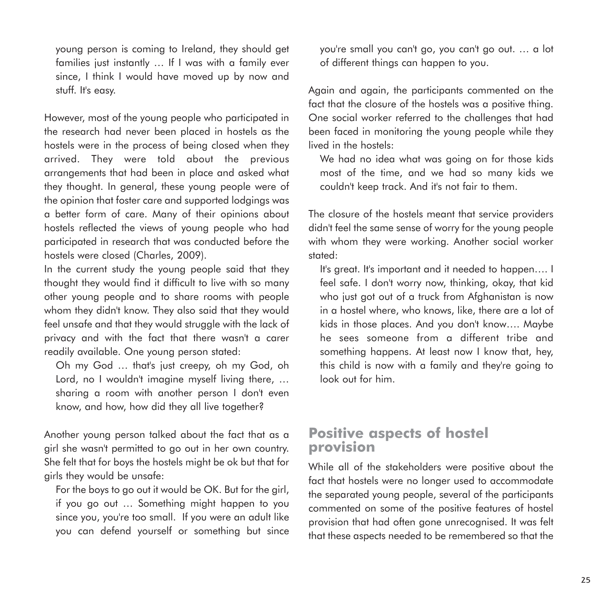young person is coming to Ireland, they should get families just instantly … If I was with a family ever since, I think I would have moved up by now and stuff. It's easy.

However, most of the young people who participated in the research had never been placed in hostels as the hostels were in the process of being closed when they arrived. They were told about the previous arrangements that had been in place and asked what they thought. In general, these young people were of the opinion that foster care and supported lodgings was a better form of care. Many of their opinions about hostels reflected the views of young people who had participated in research that was conducted before the hostels were closed (Charles, 2009).

In the current study the young people said that they thought they would find it difficult to live with so many other young people and to share rooms with people whom they didn't know. They also said that they would feel unsafe and that they would struggle with the lack of privacy and with the fact that there wasn't a carer readily available. One young person stated:

Oh my God … that's just creepy, oh my God, oh Lord, no I wouldn't imagine myself living there, … sharing a room with another person I don't even know, and how, how did they all live together?

Another young person talked about the fact that as a girl she wasn't permitted to go out in her own country. She felt that for boys the hostels might be ok but that for girls they would be unsafe:

For the boys to go out it would be OK. But for the girl, if you go out … Something might happen to you since you, you're too small. If you were an adult like you can defend yourself or something but since you're small you can't go, you can't go out. … a lot of different things can happen to you.

Again and again, the participants commented on the fact that the closure of the hostels was a positive thing. One social worker referred to the challenges that had been faced in monitoring the young people while they lived in the hostels:

We had no idea what was going on for those kids most of the time, and we had so many kids we couldn't keep track. And it's not fair to them.

The closure of the hostels meant that service providers didn't feel the same sense of worry for the young people with whom they were working. Another social worker stated:

It's great. It's important and it needed to happen…. I feel safe. I don't worry now, thinking, okay, that kid who just got out of a truck from Afghanistan is now in a hostel where, who knows, like, there are a lot of kids in those places. And you don't know…. Maybe he sees someone from a different tribe and something happens. At least now I know that, hey, this child is now with a family and they're going to look out for him.

#### **Positive aspects of hostel provision**

While all of the stakeholders were positive about the fact that hostels were no longer used to accommodate the separated young people, several of the participants commented on some of the positive features of hostel provision that had often gone unrecognised. It was felt that these aspects needed to be remembered so that the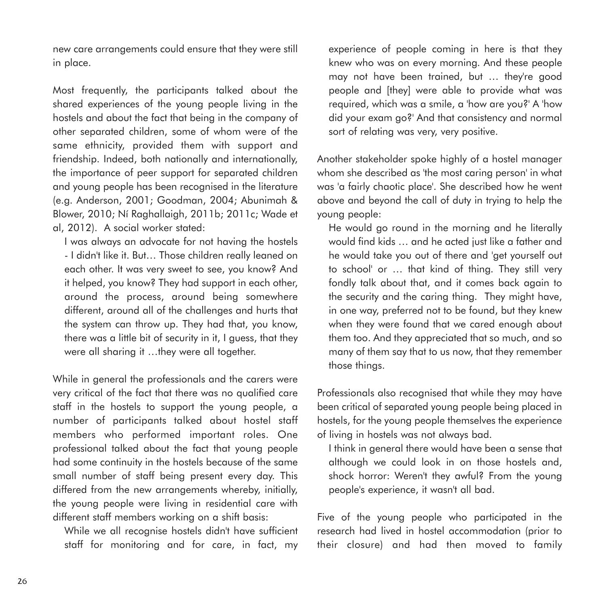new care arrangements could ensure that they were still in place.

Most frequently, the participants talked about the shared experiences of the young people living in the hostels and about the fact that being in the company of other separated children, some of whom were of the same ethnicity, provided them with support and friendship. Indeed, both nationally and internationally, the importance of peer support for separated children and young people has been recognised in the literature (e.g. Anderson, 2001; Goodman, 2004; Abunimah & Blower, 2010; Ní Raghallaigh, 2011b; 2011c; Wade et al, 2012). A social worker stated:

I was always an advocate for not having the hostels - I didn't like it. But… Those children really leaned on each other. It was very sweet to see, you know? And it helped, you know? They had support in each other, around the process, around being somewhere different, around all of the challenges and hurts that the system can throw up. They had that, you know, there was a little bit of security in it, I guess, that they were all sharing it …they were all together.

While in general the professionals and the carers were very critical of the fact that there was no qualified care staff in the hostels to support the young people, a number of participants talked about hostel staff members who performed important roles. One professional talked about the fact that young people had some continuity in the hostels because of the same small number of staff being present every day. This differed from the new arrangements whereby, initially, the young people were living in residential care with different staff members working on a shift basis:

While we all recognise hostels didn't have sufficient staff for monitoring and for care, in fact, my experience of people coming in here is that they knew who was on every morning. And these people may not have been trained, but … they're good people and [they] were able to provide what was required, which was a smile, a 'how are you?' A 'how did your exam go?' And that consistency and normal sort of relating was very, very positive.

Another stakeholder spoke highly of a hostel manager whom she described as 'the most caring person' in what was 'a fairly chaotic place'. She described how he went above and beyond the call of duty in trying to help the young people:

He would go round in the morning and he literally would find kids … and he acted just like a father and he would take you out of there and 'get yourself out to school' or … that kind of thing. They still very fondly talk about that, and it comes back again to the security and the caring thing. They might have, in one way, preferred not to be found, but they knew when they were found that we cared enough about them too. And they appreciated that so much, and so many of them say that to us now, that they remember those things.

Professionals also recognised that while they may have been critical of separated young people being placed in hostels, for the young people themselves the experience of living in hostels was not always bad.

I think in general there would have been a sense that although we could look in on those hostels and, shock horror: Weren't they awful? From the young people's experience, it wasn't all bad.

Five of the young people who participated in the research had lived in hostel accommodation (prior to their closure) and had then moved to family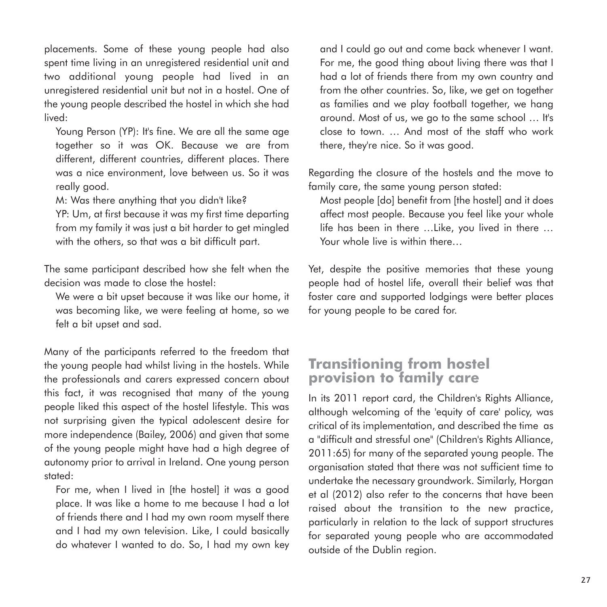placements. Some of these young people had also spent time living in an unregistered residential unit and two additional young people had lived in an unregistered residential unit but not in a hostel. One of the young people described the hostel in which she had lived:

Young Person (YP): It's fine. We are all the same age together so it was OK. Because we are from different, different countries, different places. There was a nice environment, love between us. So it was really good.

M: Was there anything that you didn't like?

YP: Um, at first because it was my first time departing from my family it was just a bit harder to get mingled with the others, so that was a bit difficult part.

The same participant described how she felt when the decision was made to close the hostel:

We were a bit upset because it was like our home, it was becoming like, we were feeling at home, so we felt a bit upset and sad.

Many of the participants referred to the freedom that the young people had whilst living in the hostels. While the professionals and carers expressed concern about this fact, it was recognised that many of the young people liked this aspect of the hostel lifestyle. This was not surprising given the typical adolescent desire for more independence (Bailey, 2006) and given that some of the young people might have had a high degree of autonomy prior to arrival in Ireland. One young person stated:

For me, when I lived in [the hostel] it was a good place. It was like a home to me because I had a lot of friends there and I had my own room myself there and I had my own television. Like, I could basically do whatever I wanted to do. So, I had my own key and I could go out and come back whenever I want. For me, the good thing about living there was that I had a lot of friends there from my own country and from the other countries. So, like, we get on together as families and we play football together, we hang around. Most of us, we go to the same school … It's close to town. … And most of the staff who work there, they're nice. So it was good.

Regarding the closure of the hostels and the move to family care, the same young person stated:

Most people [do] benefit from [the hostel] and it does affect most people. Because you feel like your whole life has been in there …Like, you lived in there … Your whole live is within there…

Yet, despite the positive memories that these young people had of hostel life, overall their belief was that foster care and supported lodgings were better places for young people to be cared for.

## **Transitioning from hostel provision to family care**

In its 2011 report card, the Children's Rights Alliance, although welcoming of the 'equity of care' policy, was critical of its implementation, and described the time as a "difficult and stressful one" (Children's Rights Alliance, 2011:65) for many of the separated young people. The organisation stated that there was not sufficient time to undertake the necessary groundwork. Similarly, Horgan et al (2012) also refer to the concerns that have been raised about the transition to the new practice, particularly in relation to the lack of support structures for separated young people who are accommodated outside of the Dublin region.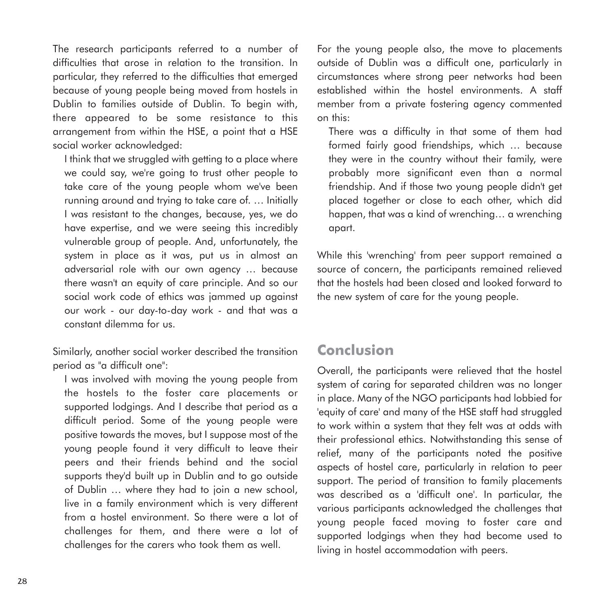The research participants referred to a number of difficulties that arose in relation to the transition. In particular, they referred to the difficulties that emerged because of young people being moved from hostels in Dublin to families outside of Dublin. To begin with, there appeared to be some resistance to this arrangement from within the HSE, a point that a HSE social worker acknowledged:

I think that we struggled with getting to a place where we could say, we're going to trust other people to take care of the young people whom we've been running around and trying to take care of. … Initially I was resistant to the changes, because, yes, we do have expertise, and we were seeing this incredibly vulnerable group of people. And, unfortunately, the system in place as it was, put us in almost an adversarial role with our own agency … because there wasn't an equity of care principle. And so our social work code of ethics was jammed up against our work - our day-to-day work - and that was a constant dilemma for us.

Similarly, another social worker described the transition period as "a difficult one":

I was involved with moving the young people from the hostels to the foster care placements or supported lodgings. And I describe that period as a difficult period. Some of the young people were positive towards the moves, but I suppose most of the young people found it very difficult to leave their peers and their friends behind and the social supports they'd built up in Dublin and to go outside of Dublin … where they had to join a new school, live in a family environment which is very different from a hostel environment. So there were a lot of challenges for them, and there were a lot of challenges for the carers who took them as well.

For the young people also, the move to placements outside of Dublin was a difficult one, particularly in circumstances where strong peer networks had been established within the hostel environments. A staff member from a private fostering agency commented on this:

There was a difficulty in that some of them had formed fairly good friendships, which … because they were in the country without their family, were probably more significant even than a normal friendship. And if those two young people didn't get placed together or close to each other, which did happen, that was a kind of wrenching… a wrenching apart.

While this 'wrenching' from peer support remained a source of concern, the participants remained relieved that the hostels had been closed and looked forward to the new system of care for the young people.

# **Conclusion**

Overall, the participants were relieved that the hostel system of caring for separated children was no longer in place. Many of the NGO participants had lobbied for 'equity of care' and many of the HSE staff had struggled to work within a system that they felt was at odds with their professional ethics. Notwithstanding this sense of relief, many of the participants noted the positive aspects of hostel care, particularly in relation to peer support. The period of transition to family placements was described as a 'difficult one'. In particular, the various participants acknowledged the challenges that young people faced moving to foster care and supported lodgings when they had become used to living in hostel accommodation with peers.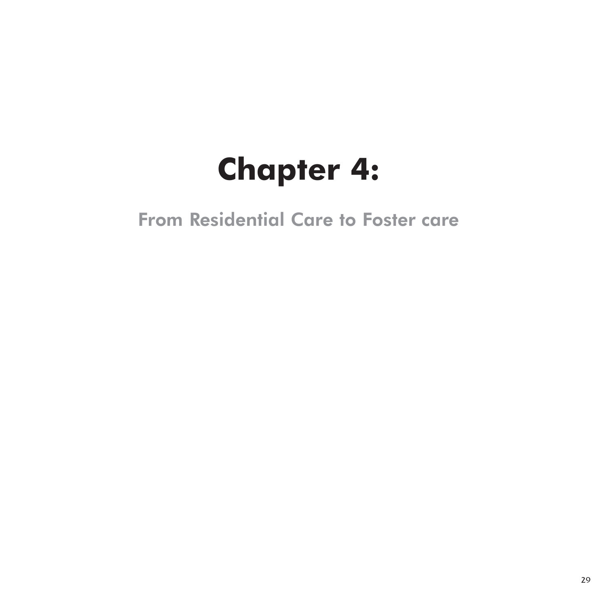# **Chapter 4:**

From Residential Care to Foster care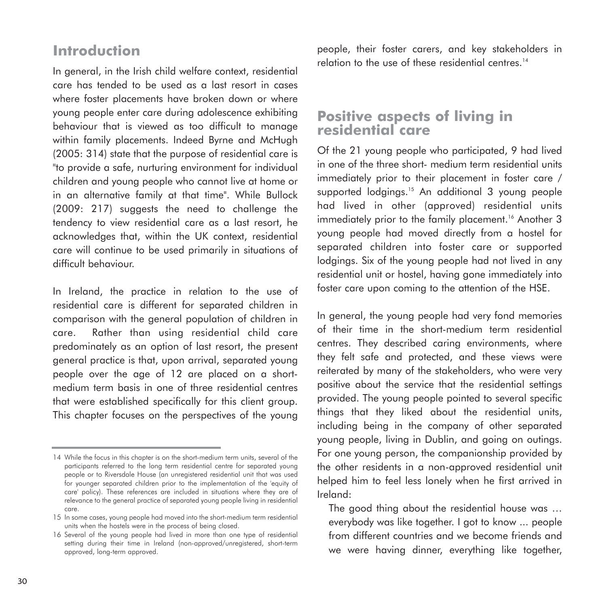# **Introduction**

In general, in the Irish child welfare context, residential care has tended to be used as a last resort in cases where foster placements have broken down or where young people enter care during adolescence exhibiting behaviour that is viewed as too difficult to manage within family placements. Indeed Byrne and McHugh (2005: 314) state that the purpose of residential care is "to provide a safe, nurturing environment for individual children and young people who cannot live at home or in an alternative family at that time". While Bullock (2009: 217) suggests the need to challenge the tendency to view residential care as a last resort, he acknowledges that, within the UK context, residential care will continue to be used primarily in situations of difficult behaviour.

In Ireland, the practice in relation to the use of residential care is different for separated children in comparison with the general population of children in care. Rather than using residential child care predominately as an option of last resort, the present general practice is that, upon arrival, separated young people over the age of 12 are placed on a shortmedium term basis in one of three residential centres that were established specifically for this client group. This chapter focuses on the perspectives of the young

people, their foster carers, and key stakeholders in relation to the use of these residential centres.<sup>14</sup>

## **Positive aspects of living in residential care**

Of the 21 young people who participated, 9 had lived in one of the three short- medium term residential units immediately prior to their placement in foster care / supported lodgings.<sup>15</sup> An additional 3 young people had lived in other (approved) residential units immediately prior to the family placement.<sup>16</sup> Another 3 young people had moved directly from a hostel for separated children into foster care or supported lodgings. Six of the young people had not lived in any residential unit or hostel, having gone immediately into foster care upon coming to the attention of the HSE.

In general, the young people had very fond memories of their time in the short-medium term residential centres. They described caring environments, where they felt safe and protected, and these views were reiterated by many of the stakeholders, who were very positive about the service that the residential settings provided. The young people pointed to several specific things that they liked about the residential units, including being in the company of other separated young people, living in Dublin, and going on outings. For one young person, the companionship provided by the other residents in a non-approved residential unit helped him to feel less lonely when he first arrived in Ireland:

The good thing about the residential house was … everybody was like together. I got to know ... people from different countries and we become friends and we were having dinner, everything like together,

<sup>14</sup> While the focus in this chapter is on the short-medium term units, several of the participants referred to the long term residential centre for separated young people or to Riversdale House (an unregistered residential unit that was used for younger separated children prior to the implementation of the 'equity of care' policy). These references are included in situations where they are of relevance to the general practice of separated young people living in residential care.

<sup>15</sup> In some cases, young people had moved into the short-medium term residential units when the hostels were in the process of being closed.

<sup>16</sup> Several of the young people had lived in more than one type of residential setting during their time in Ireland (non-approved/unregistered, short-term approved, long-term approved.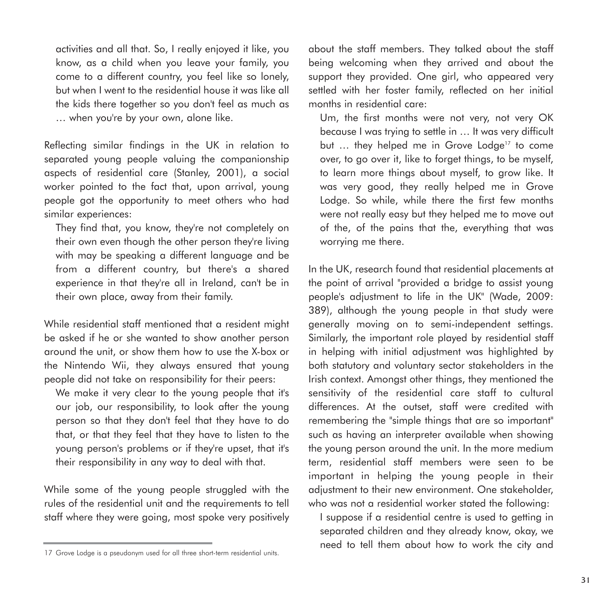activities and all that. So, I really enjoyed it like, you know, as a child when you leave your family, you come to a different country, you feel like so lonely, but when I went to the residential house it was like all the kids there together so you don't feel as much as … when you're by your own, alone like.

Reflecting similar findings in the UK in relation to separated young people valuing the companionship aspects of residential care (Stanley, 2001), a social worker pointed to the fact that, upon arrival, young people got the opportunity to meet others who had similar experiences:

They find that, you know, they're not completely on their own even though the other person they're living with may be speaking a different language and be from a different country, but there's a shared experience in that they're all in Ireland, can't be in their own place, away from their family.

While residential staff mentioned that a resident might be asked if he or she wanted to show another person around the unit, or show them how to use the X-box or the Nintendo Wii, they always ensured that young people did not take on responsibility for their peers:

We make it very clear to the young people that it's our job, our responsibility, to look after the young person so that they don't feel that they have to do that, or that they feel that they have to listen to the young person's problems or if they're upset, that it's their responsibility in any way to deal with that.

While some of the young people struggled with the rules of the residential unit and the requirements to tell staff where they were going, most spoke very positively about the staff members. They talked about the staff being welcoming when they arrived and about the support they provided. One girl, who appeared very settled with her foster family, reflected on her initial months in residential care:

Um, the first months were not very, not very OK because I was trying to settle in … It was very difficult but ... they helped me in Grove Lodge<sup>17</sup> to come over, to go over it, like to forget things, to be myself, to learn more things about myself, to grow like. It was very good, they really helped me in Grove Lodge. So while, while there the first few months were not really easy but they helped me to move out of the, of the pains that the, everything that was worrying me there.

In the UK, research found that residential placements at the point of arrival "provided a bridge to assist young people's adjustment to life in the UK" (Wade, 2009: 389), although the young people in that study were generally moving on to semi-independent settings. Similarly, the important role played by residential staff in helping with initial adjustment was highlighted by both statutory and voluntary sector stakeholders in the Irish context. Amongst other things, they mentioned the sensitivity of the residential care staff to cultural differences. At the outset, staff were credited with remembering the "simple things that are so important" such as having an interpreter available when showing the young person around the unit. In the more medium term, residential staff members were seen to be important in helping the young people in their adjustment to their new environment. One stakeholder, who was not a residential worker stated the following:

I suppose if a residential centre is used to getting in separated children and they already know, okay, we need to tell them about how to work the city and

<sup>17</sup> Grove Lodge is a pseudonym used for all three short-term residential units.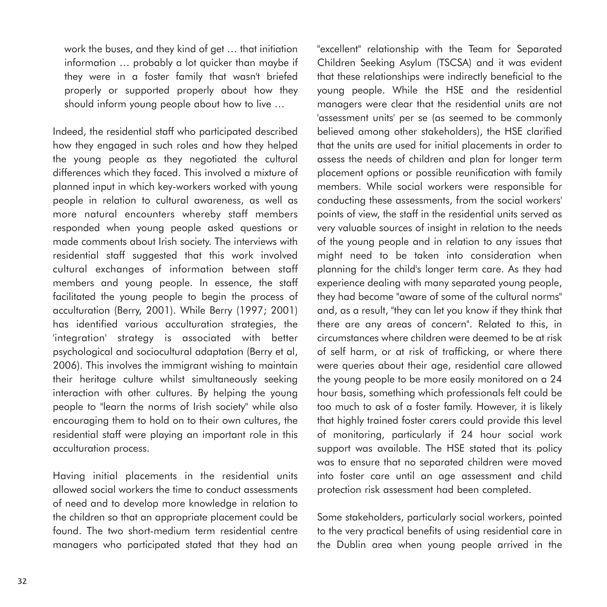work the buses, and they kind of get … that initiation information … probably a lot quicker than maybe if they were in a foster family that wasn't briefed properly or supported properly about how they should inform young people about how to live …

Indeed, the residential staff who participated described how they engaged in such roles and how they helped the young people as they negotiated the cultural differences which they faced. This involved a mixture of planned input in which key-workers worked with young people in relation to cultural awareness, as well as more natural encounters whereby staff members responded when young people asked questions or made comments about Irish society. The interviews with residential staff suggested that this work involved cultural exchanges of information between staff members and young people. In essence, the staff facilitated the young people to begin the process of acculturation (Berry, 2001). While Berry (1997; 2001) has identified various acculturation strategies, the 'integration' strategy is associated with better psychological and sociocultural adaptation (Berry et al, 2006). This involves the immigrant wishing to maintain their heritage culture whilst simultaneously seeking interaction with other cultures. By helping the young people to "learn the norms of Irish society" while also encouraging them to hold on to their own cultures, the residential staff were playing an important role in this acculturation process.

Having initial placements in the residential units allowed social workers the time to conduct assessments of need and to develop more knowledge in relation to the children so that an appropriate placement could be found. The two short-medium term residential centre managers who participated stated that they had an

"excellent" relationship with the Team for Separated Children Seeking Asylum (TSCSA) and it was evident that these relationships were indirectly beneficial to the young people. While the HSE and the residential managers were clear that the residential units are not 'assessment units' per se (as seemed to be commonly believed among other stakeholders), the HSE clarified that the units are used for initial placements in order to assess the needs of children and plan for longer term placement options or possible reunification with family members. While social workers were responsible for conducting these assessments, from the social workers' points of view, the staff in the residential units served as very valuable sources of insight in relation to the needs of the young people and in relation to any issues that might need to be taken into consideration when planning for the child's longer term care. As they had experience dealing with many separated young people, they had become "aware of some of the cultural norms" and, as a result, "they can let you know if they think that there are any areas of concern". Related to this, in circumstances where children were deemed to be at risk of self harm, or at risk of trafficking, or where there were queries about their age, residential care allowed the young people to be more easily monitored on a 24 hour basis, something which professionals felt could be too much to ask of a foster family. However, it is likely that highly trained foster carers could provide this level of monitoring, particularly if 24 hour social work support was available. The HSE stated that its policy was to ensure that no separated children were moved into foster care until an age assessment and child protection risk assessment had been completed.

Some stakeholders, particularly social workers, pointed to the very practical benefits of using residential care in the Dublin area when young people arrived in the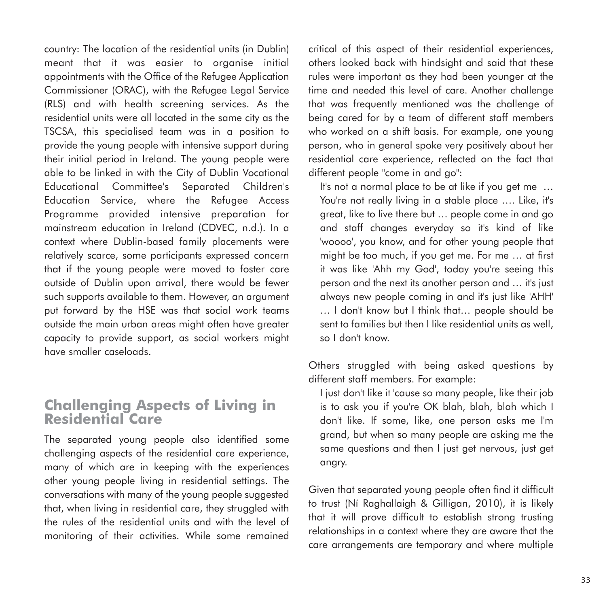country: The location of the residential units (in Dublin) meant that it was easier to organise initial appointments with the Office of the Refugee Application Commissioner (ORAC), with the Refugee Legal Service (RLS) and with health screening services. As the residential units were all located in the same city as the TSCSA, this specialised team was in a position to provide the young people with intensive support during their initial period in Ireland. The young people were able to be linked in with the City of Dublin Vocational Educational Committee's Separated Children's Education Service, where the Refugee Access Programme provided intensive preparation for mainstream education in Ireland (CDVEC, n.d.). In a context where Dublin-based family placements were relatively scarce, some participants expressed concern that if the young people were moved to foster care outside of Dublin upon arrival, there would be fewer such supports available to them. However, an argument put forward by the HSE was that social work teams outside the main urban areas might often have greater capacity to provide support, as social workers might have smaller caseloads.

#### **Challenging Aspects of Living in Residential Care**

The separated young people also identified some challenging aspects of the residential care experience, many of which are in keeping with the experiences other young people living in residential settings. The conversations with many of the young people suggested that, when living in residential care, they struggled with the rules of the residential units and with the level of monitoring of their activities. While some remained

critical of this aspect of their residential experiences, others looked back with hindsight and said that these rules were important as they had been younger at the time and needed this level of care. Another challenge that was frequently mentioned was the challenge of being cared for by a team of different staff members who worked on a shift basis. For example, one young person, who in general spoke very positively about her residential care experience, reflected on the fact that different people "come in and go":

It's not a normal place to be at like if you get me … You're not really living in a stable place …. Like, it's great, like to live there but … people come in and go and staff changes everyday so it's kind of like 'woooo', you know, and for other young people that might be too much, if you get me. For me … at first it was like 'Ahh my God', today you're seeing this person and the next its another person and … it's just always new people coming in and it's just like 'AHH' … I don't know but I think that… people should be sent to families but then I like residential units as well, so I don't know.

Others struggled with being asked questions by different staff members. For example:

I just don't like it 'cause so many people, like their job is to ask you if you're OK blah, blah, blah which I don't like. If some, like, one person asks me I'm grand, but when so many people are asking me the same questions and then I just get nervous, just get angry.

Given that separated young people often find it difficult to trust (Ní Raghallaigh & Gilligan, 2010), it is likely that it will prove difficult to establish strong trusting relationships in a context where they are aware that the care arrangements are temporary and where multiple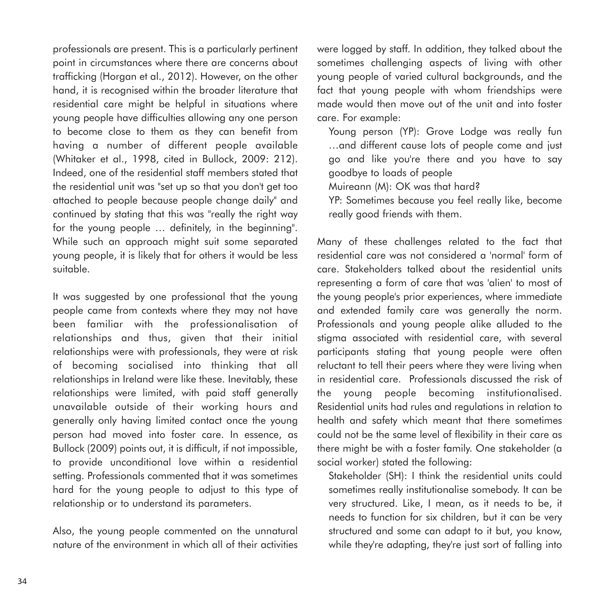professionals are present. This is a particularly pertinent point in circumstances where there are concerns about trafficking (Horgan et al., 2012). However, on the other hand, it is recognised within the broader literature that residential care might be helpful in situations where young people have difficulties allowing any one person to become close to them as they can benefit from having a number of different people available (Whitaker et al., 1998, cited in Bullock, 2009: 212). Indeed, one of the residential staff members stated that the residential unit was "set up so that you don't get too attached to people because people change daily" and continued by stating that this was "really the right way for the young people … definitely, in the beginning". While such an approach might suit some separated young people, it is likely that for others it would be less suitable.

It was suggested by one professional that the young people came from contexts where they may not have been familiar with the professionalisation of relationships and thus, given that their initial relationships were with professionals, they were at risk of becoming socialised into thinking that all relationships in Ireland were like these. Inevitably, these relationships were limited, with paid staff generally unavailable outside of their working hours and generally only having limited contact once the young person had moved into foster care. In essence, as Bullock (2009) points out, it is difficult, if not impossible, to provide unconditional love within a residential setting. Professionals commented that it was sometimes hard for the young people to adjust to this type of relationship or to understand its parameters.

Also, the young people commented on the unnatural nature of the environment in which all of their activities

were logged by staff. In addition, they talked about the sometimes challenging aspects of living with other young people of varied cultural backgrounds, and the fact that young people with whom friendships were made would then move out of the unit and into foster care. For example:

Young person (YP): Grove Lodge was really fun …and different cause lots of people come and just go and like you're there and you have to say goodbye to loads of people

Muireann (M): OK was that hard?

YP: Sometimes because you feel really like, become really good friends with them.

Many of these challenges related to the fact that residential care was not considered a 'normal' form of care. Stakeholders talked about the residential units representing a form of care that was 'alien' to most of the young people's prior experiences, where immediate and extended family care was generally the norm. Professionals and young people alike alluded to the stigma associated with residential care, with several participants stating that young people were often reluctant to tell their peers where they were living when in residential care. Professionals discussed the risk of the young people becoming institutionalised. Residential units had rules and regulations in relation to health and safety which meant that there sometimes could not be the same level of flexibility in their care as there might be with a foster family. One stakeholder (a social worker) stated the following:

Stakeholder (SH): I think the residential units could sometimes really institutionalise somebody. It can be very structured. Like, I mean, as it needs to be, it needs to function for six children, but it can be very structured and some can adapt to it but, you know, while they're adapting, they're just sort of falling into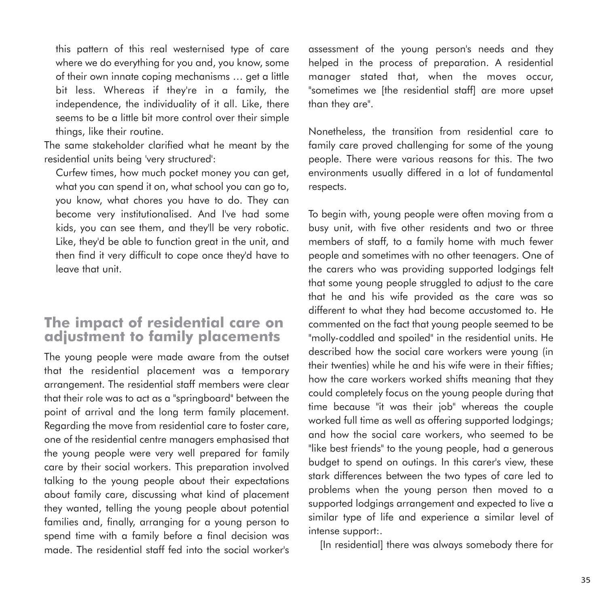this pattern of this real westernised type of care where we do everything for you and, you know, some of their own innate coping mechanisms … get a little bit less. Whereas if they're in a family, the independence, the individuality of it all. Like, there seems to be a little bit more control over their simple things, like their routine.

The same stakeholder clarified what he meant by the residential units being 'very structured':

Curfew times, how much pocket money you can get, what you can spend it on, what school you can go to, you know, what chores you have to do. They can become very institutionalised. And I've had some kids, you can see them, and they'll be very robotic. Like, they'd be able to function great in the unit, and then find it very difficult to cope once they'd have to leave that unit.

#### **The impact of residential care on adjustment to family placements**

The young people were made aware from the outset that the residential placement was a temporary arrangement. The residential staff members were clear that their role was to act as a "springboard" between the point of arrival and the long term family placement. Regarding the move from residential care to foster care, one of the residential centre managers emphasised that the young people were very well prepared for family care by their social workers. This preparation involved talking to the young people about their expectations about family care, discussing what kind of placement they wanted, telling the young people about potential families and, finally, arranging for a young person to spend time with a family before a final decision was made. The residential staff fed into the social worker's

assessment of the young person's needs and they helped in the process of preparation. A residential manager stated that, when the moves occur, "sometimes we [the residential staff] are more upset than they are".

Nonetheless, the transition from residential care to family care proved challenging for some of the young people. There were various reasons for this. The two environments usually differed in a lot of fundamental respects.

To begin with, young people were often moving from a busy unit, with five other residents and two or three members of staff, to a family home with much fewer people and sometimes with no other teenagers. One of the carers who was providing supported lodgings felt that some young people struggled to adjust to the care that he and his wife provided as the care was so different to what they had become accustomed to. He commented on the fact that young people seemed to be "molly-coddled and spoiled" in the residential units. He described how the social care workers were young (in their twenties) while he and his wife were in their fifties; how the care workers worked shifts meaning that they could completely focus on the young people during that time because "it was their job" whereas the couple worked full time as well as offering supported lodgings; and how the social care workers, who seemed to be "like best friends" to the young people, had a generous budget to spend on outings. In this carer's view, these stark differences between the two types of care led to problems when the young person then moved to a supported lodgings arrangement and expected to live a similar type of life and experience a similar level of intense support:.

[In residential] there was always somebody there for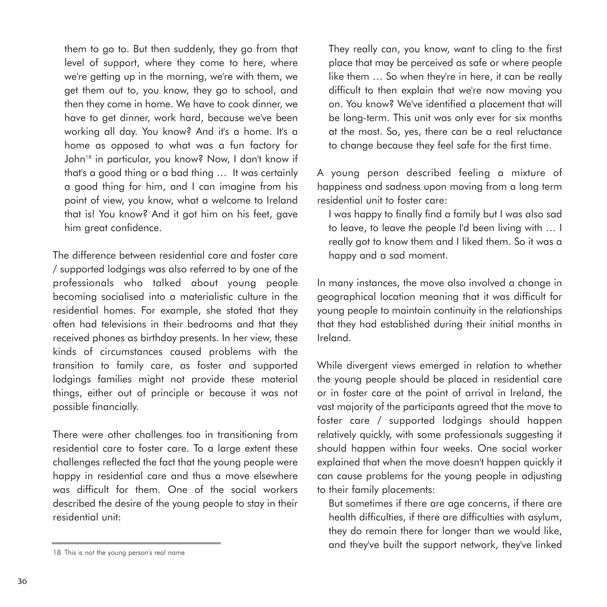them to go to. But then suddenly, they go from that level of support, where they come to here, where we're getting up in the morning, we're with them, we get them out to, you know, they go to school, and then they come in home. We have to cook dinner, we have to get dinner, work hard, because we've been working all day. You know? And it's a home. It's a home as opposed to what was a fun factory for John<sup>18</sup> in particular, you know? Now, I don't know if that's a good thing or a bad thing … It was certainly a good thing for him, and I can imagine from his point of view, you know, what a welcome to Ireland that is! You know? And it got him on his feet, gave him great confidence.

The difference between residential care and foster care / supported lodgings was also referred to by one of the professionals who talked about young people becoming socialised into a materialistic culture in the residential homes. For example, she stated that they often had televisions in their bedrooms and that they received phones as birthday presents. In her view, these kinds of circumstances caused problems with the transition to family care, as foster and supported lodgings families might not provide these material things, either out of principle or because it was not possible financially.

There were other challenges too in transitioning from residential care to foster care. To a large extent these challenges reflected the fact that the young people were happy in residential care and thus a move elsewhere was difficult for them. One of the social workers described the desire of the young people to stay in their residential unit:

They really can, you know, want to cling to the first place that may be perceived as safe or where people like them … So when they're in here, it can be really difficult to then explain that we're now moving you on. You know? We've identified a placement that will be long-term. This unit was only ever for six months at the most. So, yes, there can be a real reluctance to change because they feel safe for the first time.

A young person described feeling a mixture of happiness and sadness upon moving from a long term residential unit to foster care:

I was happy to finally find a family but I was also sad to leave, to leave the people I'd been living with … I really got to know them and I liked them. So it was a happy and a sad moment.

In many instances, the move also involved a change in geographical location meaning that it was difficult for young people to maintain continuity in the relationships that they had established during their initial months in Ireland.

While divergent views emerged in relation to whether the young people should be placed in residential care or in foster care at the point of arrival in Ireland, the vast majority of the participants agreed that the move to foster care / supported lodgings should happen relatively quickly, with some professionals suggesting it should happen within four weeks. One social worker explained that when the move doesn't happen quickly it can cause problems for the young people in adjusting to their family placements:

But sometimes if there are age concerns, if there are health difficulties, if there are difficulties with asylum, they do remain there for longer than we would like, and they've built the support network, they've linked

<sup>18</sup> This is not the young person's real name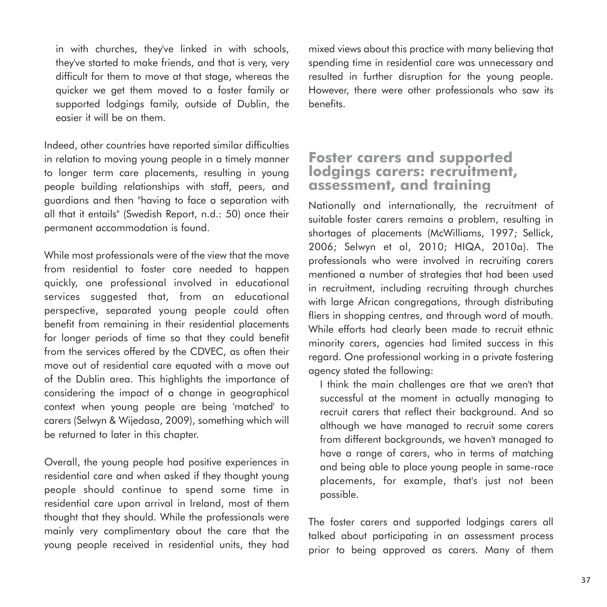in with churches, they've linked in with schools, they've started to make friends, and that is very, very difficult for them to move at that stage, whereas the quicker we get them moved to a foster family or supported lodgings family, outside of Dublin, the easier it will be on them.

Indeed, other countries have reported similar difficulties in relation to moving young people in a timely manner to longer term care placements, resulting in young people building relationships with staff, peers, and guardians and then "having to face a separation with all that it entails" (Swedish Report, n.d.: 50) once their permanent accommodation is found.

While most professionals were of the view that the move from residential to foster care needed to happen quickly, one professional involved in educational services suggested that, from an educational perspective, separated young people could often benefit from remaining in their residential placements for longer periods of time so that they could benefit from the services offered by the CDVEC, as often their move out of residential care equated with a move out of the Dublin area. This highlights the importance of considering the impact of a change in geographical context when young people are being 'matched' to carers (Selwyn & Wijedasa, 2009), something which will be returned to later in this chapter.

Overall, the young people had positive experiences in residential care and when asked if they thought young people should continue to spend some time in residential care upon arrival in Ireland, most of them thought that they should. While the professionals were mainly very complimentary about the care that the young people received in residential units, they had mixed views about this practice with many believing that spending time in residential care was unnecessary and resulted in further disruption for the young people. However, there were other professionals who saw its benefits.

#### **Foster carers and supported lodgings carers: recruitment, assessment, and training**

Nationally and internationally, the recruitment of suitable foster carers remains a problem, resulting in shortages of placements (McWilliams, 1997; Sellick, 2006; Selwyn et al, 2010; HIQA, 2010a). The professionals who were involved in recruiting carers mentioned a number of strategies that had been used in recruitment, including recruiting through churches with large African congregations, through distributing fliers in shopping centres, and through word of mouth. While efforts had clearly been made to recruit ethnic minority carers, agencies had limited success in this regard. One professional working in a private fostering agency stated the following:

I think the main challenges are that we aren't that successful at the moment in actually managing to recruit carers that reflect their background. And so although we have managed to recruit some carers from different backgrounds, we haven't managed to have a range of carers, who in terms of matching and being able to place young people in same-race placements, for example, that's just not been possible.

The foster carers and supported lodgings carers all talked about participating in an assessment process prior to being approved as carers. Many of them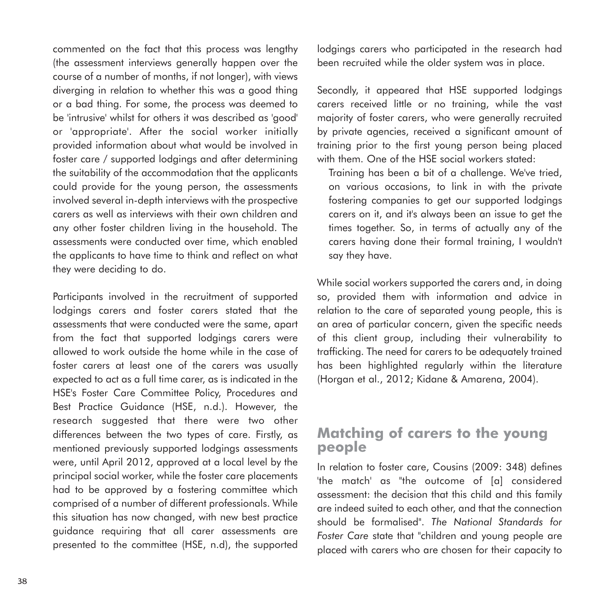commented on the fact that this process was lengthy (the assessment interviews generally happen over the course of a number of months, if not longer), with views diverging in relation to whether this was a good thing or a bad thing. For some, the process was deemed to be 'intrusive' whilst for others it was described as 'good' or 'appropriate'. After the social worker initially provided information about what would be involved in foster care / supported lodgings and after determining the suitability of the accommodation that the applicants could provide for the young person, the assessments involved several in-depth interviews with the prospective carers as well as interviews with their own children and any other foster children living in the household. The assessments were conducted over time, which enabled the applicants to have time to think and reflect on what they were deciding to do.

Participants involved in the recruitment of supported lodgings carers and foster carers stated that the assessments that were conducted were the same, apart from the fact that supported lodgings carers were allowed to work outside the home while in the case of foster carers at least one of the carers was usually expected to act as a full time carer, as is indicated in the HSE's Foster Care Committee Policy, Procedures and Best Practice Guidance (HSE, n.d.). However, the research suggested that there were two other differences between the two types of care. Firstly, as mentioned previously supported lodgings assessments were, until April 2012, approved at a local level by the principal social worker, while the foster care placements had to be approved by a fostering committee which comprised of a number of different professionals. While this situation has now changed, with new best practice guidance requiring that all carer assessments are presented to the committee (HSE, n.d), the supported lodgings carers who participated in the research had been recruited while the older system was in place.

Secondly, it appeared that HSE supported lodgings carers received little or no training, while the vast majority of foster carers, who were generally recruited by private agencies, received a significant amount of training prior to the first young person being placed with them. One of the HSE social workers stated:

Training has been a bit of a challenge. We've tried, on various occasions, to link in with the private fostering companies to get our supported lodgings carers on it, and it's always been an issue to get the times together. So, in terms of actually any of the carers having done their formal training, I wouldn't say they have.

While social workers supported the carers and, in doing so, provided them with information and advice in relation to the care of separated young people, this is an area of particular concern, given the specific needs of this client group, including their vulnerability to trafficking. The need for carers to be adequately trained has been highlighted regularly within the literature (Horgan et al., 2012; Kidane & Amarena, 2004).

#### **Matching of carers to the young people**

In relation to foster care, Cousins (2009: 348) defines 'the match' as "the outcome of [a] considered assessment: the decision that this child and this family are indeed suited to each other, and that the connection should be formalised". *The National Standards for Foster Care* state that "children and young people are placed with carers who are chosen for their capacity to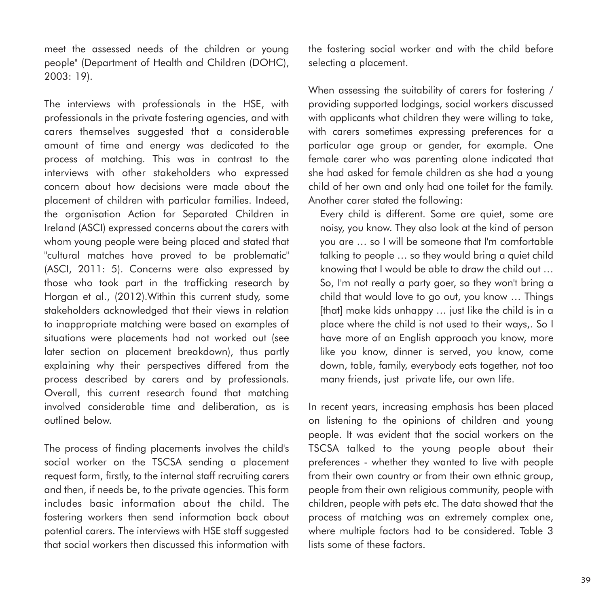meet the assessed needs of the children or young people" (Department of Health and Children (DOHC), 2003: 19).

The interviews with professionals in the HSE, with professionals in the private fostering agencies, and with carers themselves suggested that a considerable amount of time and energy was dedicated to the process of matching. This was in contrast to the interviews with other stakeholders who expressed concern about how decisions were made about the placement of children with particular families. Indeed, the organisation Action for Separated Children in Ireland (ASCI) expressed concerns about the carers with whom young people were being placed and stated that "cultural matches have proved to be problematic" (ASCI, 2011: 5). Concerns were also expressed by those who took part in the trafficking research by Horgan et al., (2012).Within this current study, some stakeholders acknowledged that their views in relation to inappropriate matching were based on examples of situations were placements had not worked out (see later section on placement breakdown), thus partly explaining why their perspectives differed from the process described by carers and by professionals. Overall, this current research found that matching involved considerable time and deliberation, as is outlined below.

The process of finding placements involves the child's social worker on the TSCSA sending a placement request form, firstly, to the internal staff recruiting carers and then, if needs be, to the private agencies. This form includes basic information about the child. The fostering workers then send information back about potential carers. The interviews with HSE staff suggested that social workers then discussed this information with the fostering social worker and with the child before selecting a placement.

When assessing the suitability of carers for fostering / providing supported lodgings, social workers discussed with applicants what children they were willing to take, with carers sometimes expressing preferences for a particular age group or gender, for example. One female carer who was parenting alone indicated that she had asked for female children as she had a young child of her own and only had one toilet for the family. Another carer stated the following:

Every child is different. Some are quiet, some are noisy, you know. They also look at the kind of person you are … so I will be someone that I'm comfortable talking to people … so they would bring a quiet child knowing that I would be able to draw the child out … So, I'm not really a party goer, so they won't bring a child that would love to go out, you know … Things [that] make kids unhappy ... just like the child is in a place where the child is not used to their ways,. So I have more of an English approach you know, more like you know, dinner is served, you know, come down, table, family, everybody eats together, not too many friends, just private life, our own life.

In recent years, increasing emphasis has been placed on listening to the opinions of children and young people. It was evident that the social workers on the TSCSA talked to the young people about their preferences - whether they wanted to live with people from their own country or from their own ethnic group, people from their own religious community, people with children, people with pets etc. The data showed that the process of matching was an extremely complex one, where multiple factors had to be considered. Table 3 lists some of these factors.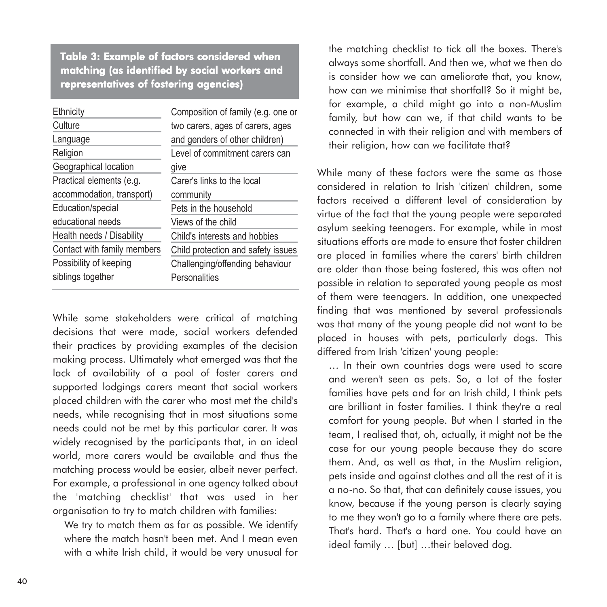Table 3: Example of factors considered when matching (as identified by social workers and representatives of fostering agencies)

| Ethnicity                   | Composition of family (e.g. one or |
|-----------------------------|------------------------------------|
| Culture                     | two carers, ages of carers, ages   |
| Language                    | and genders of other children)     |
| Religion                    | Level of commitment carers can     |
| Geographical location       | give                               |
| Practical elements (e.g.    | Carer's links to the local         |
| accommodation, transport)   | community                          |
| Education/special           | Pets in the household              |
| educational needs           | Views of the child                 |
| Health needs / Disability   | Child's interests and hobbies      |
| Contact with family members | Child protection and safety issues |
| Possibility of keeping      | Challenging/offending behaviour    |
| siblings together           | Personalities                      |

While some stakeholders were critical of matching decisions that were made, social workers defended their practices by providing examples of the decision making process. Ultimately what emerged was that the lack of availability of a pool of foster carers and supported lodgings carers meant that social workers placed children with the carer who most met the child's needs, while recognising that in most situations some needs could not be met by this particular carer. It was widely recognised by the participants that, in an ideal world, more carers would be available and thus the matching process would be easier, albeit never perfect. For example, a professional in one agency talked about the 'matching checklist' that was used in her organisation to try to match children with families:

We try to match them as far as possible. We identify where the match hasn't been met. And I mean even with a white Irish child, it would be very unusual for

the matching checklist to tick all the boxes. There's always some shortfall. And then we, what we then do is consider how we can ameliorate that, you know, how can we minimise that shortfall? So it might be, for example, a child might go into a non-Muslim family, but how can we, if that child wants to be connected in with their religion and with members of their religion, how can we facilitate that?

While many of these factors were the same as those considered in relation to Irish 'citizen' children, some factors received a different level of consideration by virtue of the fact that the young people were separated asylum seeking teenagers. For example, while in most situations efforts are made to ensure that foster children are placed in families where the carers' birth children are older than those being fostered, this was often not possible in relation to separated young people as most of them were teenagers. In addition, one unexpected finding that was mentioned by several professionals was that many of the young people did not want to be placed in houses with pets, particularly dogs. This differed from Irish 'citizen' young people:

… In their own countries dogs were used to scare and weren't seen as pets. So, a lot of the foster families have pets and for an Irish child, I think pets are brilliant in foster families. I think they're a real comfort for young people. But when I started in the team, I realised that, oh, actually, it might not be the case for our young people because they do scare them. And, as well as that, in the Muslim religion, pets inside and against clothes and all the rest of it is a no-no. So that, that can definitely cause issues, you know, because if the young person is clearly saying to me they won't go to a family where there are pets. That's hard. That's a hard one. You could have an ideal family ... [but] ...their beloved dog.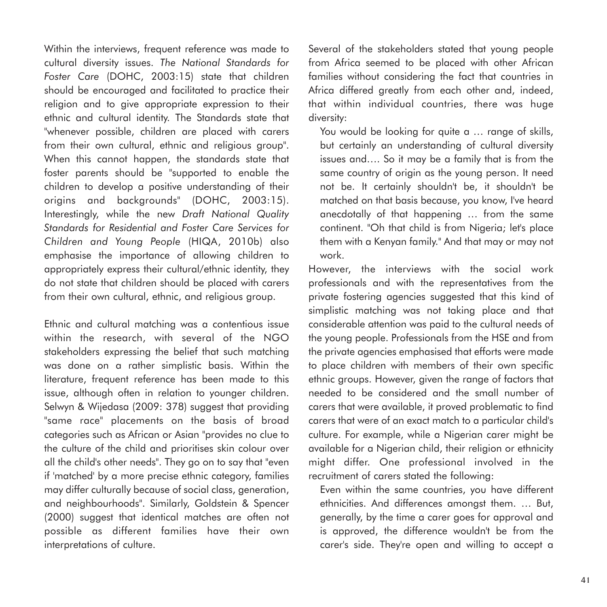Within the interviews, frequent reference was made to cultural diversity issues. *The National Standards for Foster Care* (DOHC, 2003:15) state that children should be encouraged and facilitated to practice their religion and to give appropriate expression to their ethnic and cultural identity. The Standards state that "whenever possible, children are placed with carers from their own cultural, ethnic and religious group". When this cannot happen, the standards state that foster parents should be "supported to enable the children to develop a positive understanding of their origins and backgrounds" (DOHC, 2003:15). Interestingly, while the new *Draft National Quality Standards for Residential and Foster Care Services for Children and Young People* (HIQA, 2010b) also emphasise the importance of allowing children to appropriately express their cultural/ethnic identity, they do not state that children should be placed with carers from their own cultural, ethnic, and religious group.

Ethnic and cultural matching was a contentious issue within the research, with several of the NGO stakeholders expressing the belief that such matching was done on a rather simplistic basis. Within the literature, frequent reference has been made to this issue, although often in relation to younger children. Selwyn & Wijedasa (2009: 378) suggest that providing "same race" placements on the basis of broad categories such as African or Asian "provides no clue to the culture of the child and prioritises skin colour over all the child's other needs". They go on to say that "even if 'matched' by a more precise ethnic category, families may differ culturally because of social class, generation, and neighbourhoods". Similarly, Goldstein & Spencer (2000) suggest that identical matches are often not possible as different families have their own interpretations of culture.

Several of the stakeholders stated that young people from Africa seemed to be placed with other African families without considering the fact that countries in Africa differed greatly from each other and, indeed, that within individual countries, there was huge diversity:

You would be looking for quite a ... range of skills, but certainly an understanding of cultural diversity issues and…. So it may be a family that is from the same country of origin as the young person. It need not be. It certainly shouldn't be, it shouldn't be matched on that basis because, you know, I've heard anecdotally of that happening … from the same continent. "Oh that child is from Nigeria; let's place them with a Kenyan family." And that may or may not work.

However, the interviews with the social work professionals and with the representatives from the private fostering agencies suggested that this kind of simplistic matching was not taking place and that considerable attention was paid to the cultural needs of the young people. Professionals from the HSE and from the private agencies emphasised that efforts were made to place children with members of their own specific ethnic groups. However, given the range of factors that needed to be considered and the small number of carers that were available, it proved problematic to find carers that were of an exact match to a particular child's culture. For example, while a Nigerian carer might be available for a Nigerian child, their religion or ethnicity might differ. One professional involved in the recruitment of carers stated the following:

Even within the same countries, you have different ethnicities. And differences amongst them. … But, generally, by the time a carer goes for approval and is approved, the difference wouldn't be from the carer's side. They're open and willing to accept a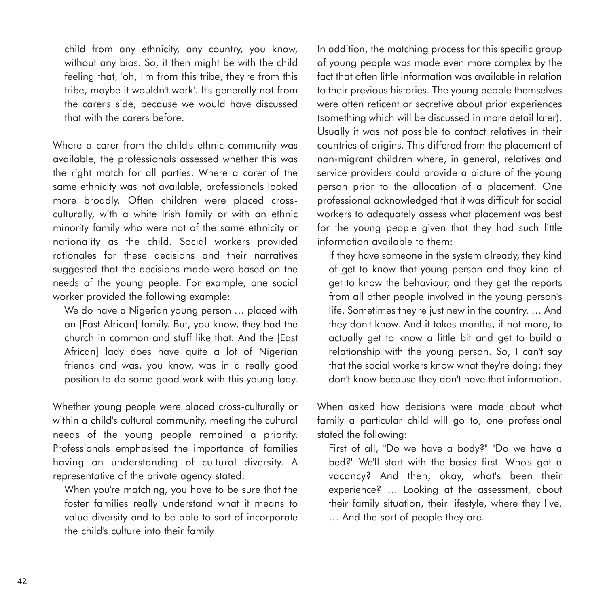child from any ethnicity, any country, you know, without any bias. So, it then might be with the child feeling that, 'oh, I'm from this tribe, they're from this tribe, maybe it wouldn't work'. It's generally not from the carer's side, because we would have discussed that with the carers before.

Where a carer from the child's ethnic community was available, the professionals assessed whether this was the right match for all parties. Where a carer of the same ethnicity was not available, professionals looked more broadly. Often children were placed crossculturally, with a white Irish family or with an ethnic minority family who were not of the same ethnicity or nationality as the child. Social workers provided rationales for these decisions and their narratives suggested that the decisions made were based on the needs of the young people. For example, one social worker provided the following example:

We do have a Nigerian young person … placed with an [East African] family. But, you know, they had the church in common and stuff like that. And the [East African] lady does have quite a lot of Nigerian friends and was, you know, was in a really good position to do some good work with this young lady.

Whether young people were placed cross-culturally or within a child's cultural community, meeting the cultural needs of the young people remained a priority. Professionals emphasised the importance of families having an understanding of cultural diversity. A representative of the private agency stated:

When you're matching, you have to be sure that the foster families really understand what it means to value diversity and to be able to sort of incorporate the child's culture into their family

In addition, the matching process for this specific group of young people was made even more complex by the fact that often little information was available in relation to their previous histories. The young people themselves were often reticent or secretive about prior experiences (something which will be discussed in more detail later). Usually it was not possible to contact relatives in their countries of origins. This differed from the placement of non-migrant children where, in general, relatives and service providers could provide a picture of the young person prior to the allocation of a placement. One professional acknowledged that it was difficult for social workers to adequately assess what placement was best for the young people given that they had such little information available to them:

If they have someone in the system already, they kind of get to know that young person and they kind of get to know the behaviour, and they get the reports from all other people involved in the young person's life. Sometimes they're just new in the country. … And they don't know. And it takes months, if not more, to actually get to know a little bit and get to build a relationship with the young person. So, I can't say that the social workers know what they're doing; they don't know because they don't have that information.

When asked how decisions were made about what family a particular child will go to, one professional stated the following:

First of all, "Do we have a body?" "Do we have a bed?" We'll start with the basics first. Who's got a vacancy? And then, okay, what's been their experience? … Looking at the assessment, about their family situation, their lifestyle, where they live. … And the sort of people they are.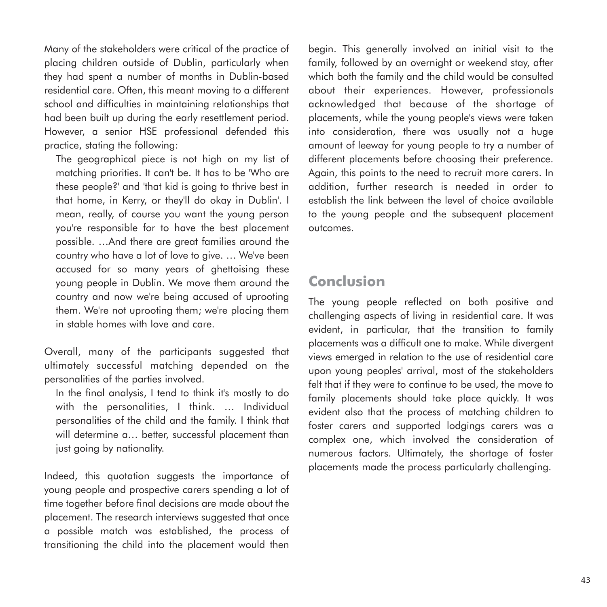Many of the stakeholders were critical of the practice of placing children outside of Dublin, particularly when they had spent a number of months in Dublin-based residential care. Often, this meant moving to a different school and difficulties in maintaining relationships that had been built up during the early resettlement period. However, a senior HSE professional defended this practice, stating the following:

The geographical piece is not high on my list of matching priorities. It can't be. It has to be 'Who are these people?' and 'that kid is going to thrive best in that home, in Kerry, or they'll do okay in Dublin'. I mean, really, of course you want the young person you're responsible for to have the best placement possible. …And there are great families around the country who have a lot of love to give. … We've been accused for so many years of ghettoising these young people in Dublin. We move them around the country and now we're being accused of uprooting them. We're not uprooting them; we're placing them in stable homes with love and care.

Overall, many of the participants suggested that ultimately successful matching depended on the personalities of the parties involved.

In the final analysis, I tend to think it's mostly to do with the personalities, I think. … Individual personalities of the child and the family. I think that will determine a… better, successful placement than just going by nationality.

Indeed, this quotation suggests the importance of young people and prospective carers spending a lot of time together before final decisions are made about the placement. The research interviews suggested that once a possible match was established, the process of transitioning the child into the placement would then

begin. This generally involved an initial visit to the family, followed by an overnight or weekend stay, after which both the family and the child would be consulted about their experiences. However, professionals acknowledged that because of the shortage of placements, while the young people's views were taken into consideration, there was usually not a huge amount of leeway for young people to try a number of different placements before choosing their preference. Again, this points to the need to recruit more carers. In addition, further research is needed in order to establish the link between the level of choice available to the young people and the subsequent placement outcomes.

## **Conclusion**

The young people reflected on both positive and challenging aspects of living in residential care. It was evident, in particular, that the transition to family placements was a difficult one to make. While divergent views emerged in relation to the use of residential care upon young peoples' arrival, most of the stakeholders felt that if they were to continue to be used, the move to family placements should take place quickly. It was evident also that the process of matching children to foster carers and supported lodgings carers was a complex one, which involved the consideration of numerous factors. Ultimately, the shortage of foster placements made the process particularly challenging.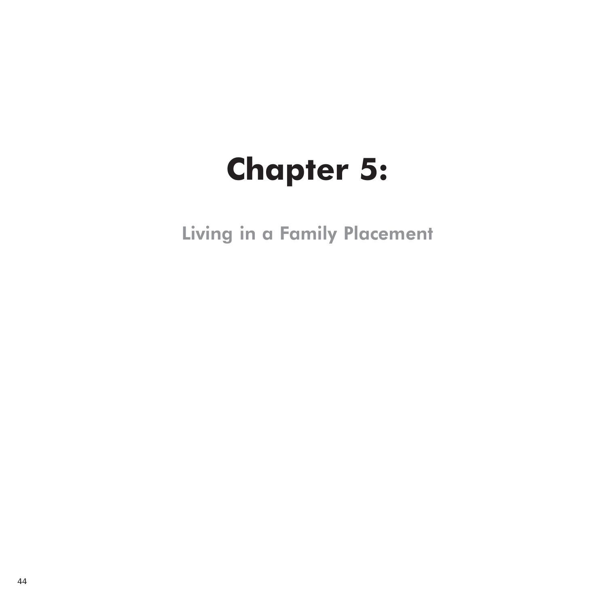# **Chapter 5:**

Living in a Family Placement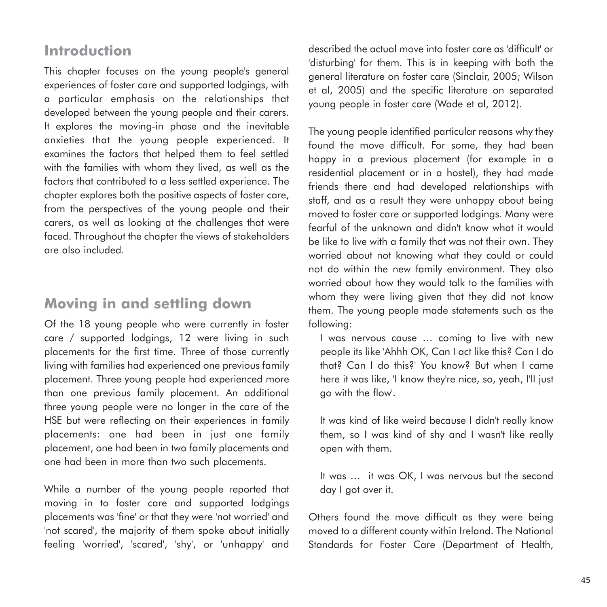# **Introduction**

This chapter focuses on the young people's general experiences of foster care and supported lodgings, with a particular emphasis on the relationships that developed between the young people and their carers. It explores the moving-in phase and the inevitable anxieties that the young people experienced. It examines the factors that helped them to feel settled with the families with whom they lived, as well as the factors that contributed to a less settled experience. The chapter explores both the positive aspects of foster care, from the perspectives of the young people and their carers, as well as looking at the challenges that were faced. Throughout the chapter the views of stakeholders are also included.

# **Moving in and settling down**

Of the 18 young people who were currently in foster care / supported lodgings, 12 were living in such placements for the first time. Three of those currently living with families had experienced one previous family placement. Three young people had experienced more than one previous family placement. An additional three young people were no longer in the care of the HSE but were reflecting on their experiences in family placements: one had been in just one family placement, one had been in two family placements and one had been in more than two such placements.

While a number of the young people reported that moving in to foster care and supported lodgings placements was 'fine' or that they were 'not worried' and 'not scared', the majority of them spoke about initially feeling 'worried', 'scared', 'shy', or 'unhappy' and described the actual move into foster care as 'difficult' or 'disturbing' for them. This is in keeping with both the general literature on foster care (Sinclair, 2005; Wilson et al, 2005) and the specific literature on separated young people in foster care (Wade et al, 2012).

The young people identified particular reasons why they found the move difficult. For some, they had been happy in a previous placement (for example in a residential placement or in a hostel), they had made friends there and had developed relationships with staff, and as a result they were unhappy about being moved to foster care or supported lodgings. Many were fearful of the unknown and didn't know what it would be like to live with a family that was not their own. They worried about not knowing what they could or could not do within the new family environment. They also worried about how they would talk to the families with whom they were living given that they did not know them. The young people made statements such as the following:

I was nervous cause … coming to live with new people its like 'Ahhh OK, Can I act like this? Can I do that? Can I do this?' You know? But when I came here it was like, 'I know they're nice, so, yeah, I'll just go with the flow'.

It was kind of like weird because I didn't really know them, so I was kind of shy and I wasn't like really open with them.

It was … it was OK, I was nervous but the second day I got over it.

Others found the move difficult as they were being moved to a different county within Ireland. The National Standards for Foster Care (Department of Health,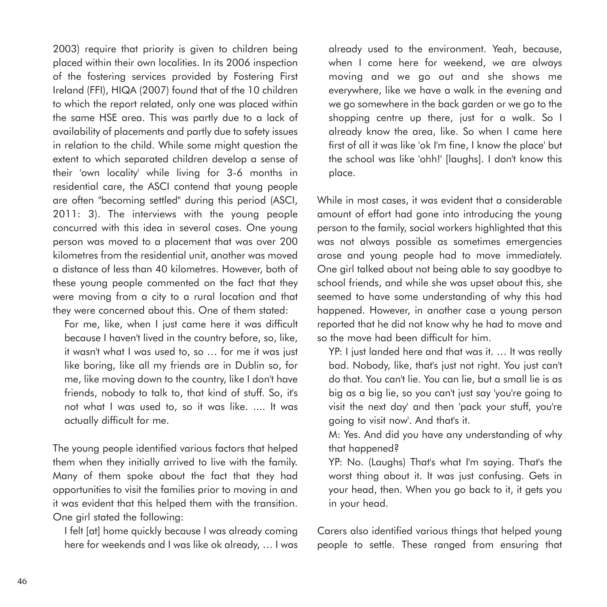2003) require that priority is given to children being placed within their own localities. In its 2006 inspection of the fostering services provided by Fostering First Ireland (FFI), HIQA (2007) found that of the 10 children to which the report related, only one was placed within the same HSE area. This was partly due to a lack of availability of placements and partly due to safety issues in relation to the child. While some might question the extent to which separated children develop a sense of their 'own locality' while living for 3-6 months in residential care, the ASCI contend that young people are often "becoming settled" during this period (ASCI, 2011: 3). The interviews with the young people concurred with this idea in several cases. One young person was moved to a placement that was over 200 kilometres from the residential unit, another was moved a distance of less than 40 kilometres. However, both of these young people commented on the fact that they were moving from a city to a rural location and that they were concerned about this. One of them stated:

For me, like, when I just came here it was difficult because I haven't lived in the country before, so, like, it wasn't what I was used to, so … for me it was just like boring, like all my friends are in Dublin so, for me, like moving down to the country, like I don't have friends, nobody to talk to, that kind of stuff. So, it's not what I was used to, so it was like. .... It was actually difficult for me.

The young people identified various factors that helped them when they initially arrived to live with the family. Many of them spoke about the fact that they had opportunities to visit the families prior to moving in and it was evident that this helped them with the transition. One girl stated the following:

I felt [at] home quickly because I was already coming here for weekends and I was like ok already, … I was

already used to the environment. Yeah, because, when I come here for weekend, we are always moving and we go out and she shows me everywhere, like we have a walk in the evening and we go somewhere in the back garden or we go to the shopping centre up there, just for a walk. So I already know the area, like. So when I came here first of all it was like 'ok I'm fine, I know the place' but the school was like 'ohh!' [laughs]. I don't know this place.

While in most cases, it was evident that a considerable amount of effort had gone into introducing the young person to the family, social workers highlighted that this was not always possible as sometimes emergencies arose and young people had to move immediately. One girl talked about not being able to say goodbye to school friends, and while she was upset about this, she seemed to have some understanding of why this had happened. However, in another case a young person reported that he did not know why he had to move and so the move had been difficult for him.

YP: I just landed here and that was it. … It was really bad. Nobody, like, that's just not right. You just can't do that. You can't lie. You can lie, but a small lie is as big as a big lie, so you can't just say 'you're going to visit the next day' and then 'pack your stuff, you're going to visit now'. And that's it.

M: Yes. And did you have any understanding of why that happened?

YP: No. (Laughs) That's what I'm saying. That's the worst thing about it. It was just confusing. Gets in your head, then. When you go back to it, it gets you in your head.

Carers also identified various things that helped young people to settle. These ranged from ensuring that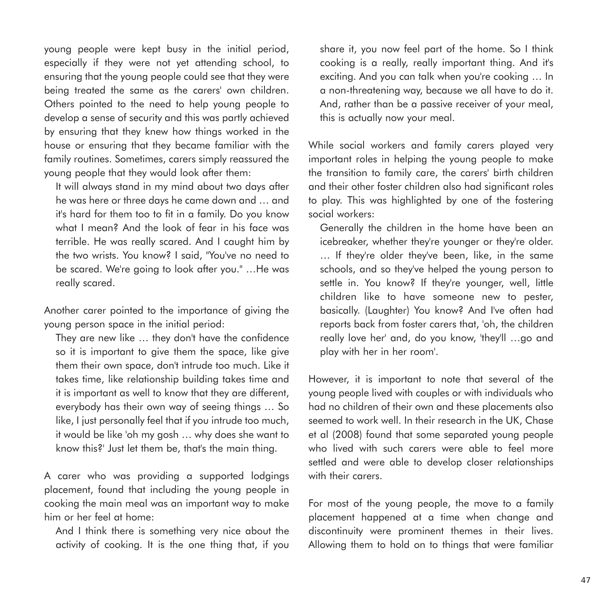young people were kept busy in the initial period, especially if they were not yet attending school, to ensuring that the young people could see that they were being treated the same as the carers' own children. Others pointed to the need to help young people to develop a sense of security and this was partly achieved by ensuring that they knew how things worked in the house or ensuring that they became familiar with the family routines. Sometimes, carers simply reassured the young people that they would look after them:

It will always stand in my mind about two days after he was here or three days he came down and … and it's hard for them too to fit in a family. Do you know what I mean? And the look of fear in his face was terrible. He was really scared. And I caught him by the two wrists. You know? I said, "You've no need to be scared. We're going to look after you." …He was really scared.

Another carer pointed to the importance of giving the young person space in the initial period:

They are new like … they don't have the confidence so it is important to give them the space, like give them their own space, don't intrude too much. Like it takes time, like relationship building takes time and it is important as well to know that they are different, everybody has their own way of seeing things … So like, I just personally feel that if you intrude too much, it would be like 'oh my gosh … why does she want to know this?' Just let them be, that's the main thing.

A carer who was providing a supported lodgings placement, found that including the young people in cooking the main meal was an important way to make him or her feel at home:

And I think there is something very nice about the activity of cooking. It is the one thing that, if you share it, you now feel part of the home. So I think cooking is a really, really important thing. And it's exciting. And you can talk when you're cooking … In a non-threatening way, because we all have to do it. And, rather than be a passive receiver of your meal, this is actually now your meal.

While social workers and family carers played very important roles in helping the young people to make the transition to family care, the carers' birth children and their other foster children also had significant roles to play. This was highlighted by one of the fostering social workers:

Generally the children in the home have been an icebreaker, whether they're younger or they're older. … If they're older they've been, like, in the same schools, and so they've helped the young person to settle in. You know? If they're younger, well, little children like to have someone new to pester, basically. (Laughter) You know? And I've often had reports back from foster carers that, 'oh, the children really love her' and, do you know, 'they'll …go and play with her in her room'.

However, it is important to note that several of the young people lived with couples or with individuals who had no children of their own and these placements also seemed to work well. In their research in the UK, Chase et al (2008) found that some separated young people who lived with such carers were able to feel more settled and were able to develop closer relationships with their carers.

For most of the young people, the move to a family placement happened at a time when change and discontinuity were prominent themes in their lives. Allowing them to hold on to things that were familiar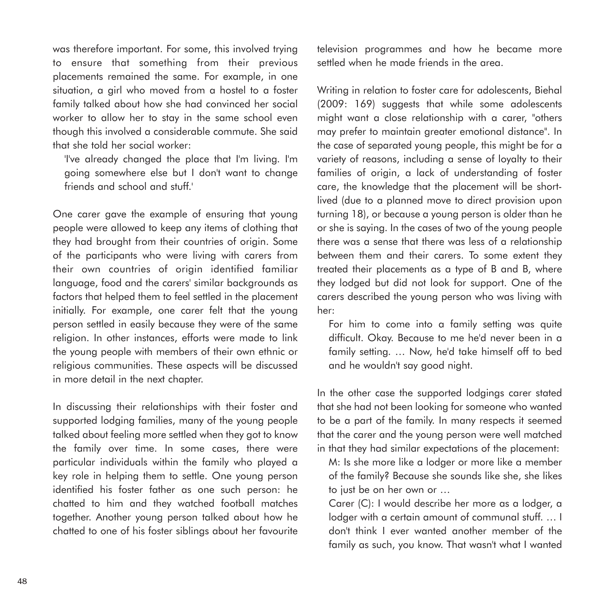was therefore important. For some, this involved trying to ensure that something from their previous placements remained the same. For example, in one situation, a girl who moved from a hostel to a foster family talked about how she had convinced her social worker to allow her to stay in the same school even though this involved a considerable commute. She said that she told her social worker:

'I've already changed the place that I'm living. I'm going somewhere else but I don't want to change friends and school and stuff.'

One carer gave the example of ensuring that young people were allowed to keep any items of clothing that they had brought from their countries of origin. Some of the participants who were living with carers from their own countries of origin identified familiar language, food and the carers' similar backgrounds as factors that helped them to feel settled in the placement initially. For example, one carer felt that the young person settled in easily because they were of the same religion. In other instances, efforts were made to link the young people with members of their own ethnic or religious communities. These aspects will be discussed in more detail in the next chapter.

In discussing their relationships with their foster and supported lodging families, many of the young people talked about feeling more settled when they got to know the family over time. In some cases, there were particular individuals within the family who played a key role in helping them to settle. One young person identified his foster father as one such person: he chatted to him and they watched football matches together. Another young person talked about how he chatted to one of his foster siblings about her favourite television programmes and how he became more settled when he made friends in the area.

Writing in relation to foster care for adolescents, Biehal (2009: 169) suggests that while some adolescents might want a close relationship with a carer, "others may prefer to maintain greater emotional distance". In the case of separated young people, this might be for a variety of reasons, including a sense of loyalty to their families of origin, a lack of understanding of foster care, the knowledge that the placement will be shortlived (due to a planned move to direct provision upon turning 18), or because a young person is older than he or she is saying. In the cases of two of the young people there was a sense that there was less of a relationship between them and their carers. To some extent they treated their placements as a type of B and B, where they lodged but did not look for support. One of the carers described the young person who was living with her:

For him to come into a family setting was quite difficult. Okay. Because to me he'd never been in a family setting. … Now, he'd take himself off to bed and he wouldn't say good night.

In the other case the supported lodgings carer stated that she had not been looking for someone who wanted to be a part of the family. In many respects it seemed that the carer and the young person were well matched in that they had similar expectations of the placement:

M: Is she more like a lodger or more like a member of the family? Because she sounds like she, she likes to just be on her own or …

Carer (C): I would describe her more as a lodger, a lodger with a certain amount of communal stuff. … I don't think I ever wanted another member of the family as such, you know. That wasn't what I wanted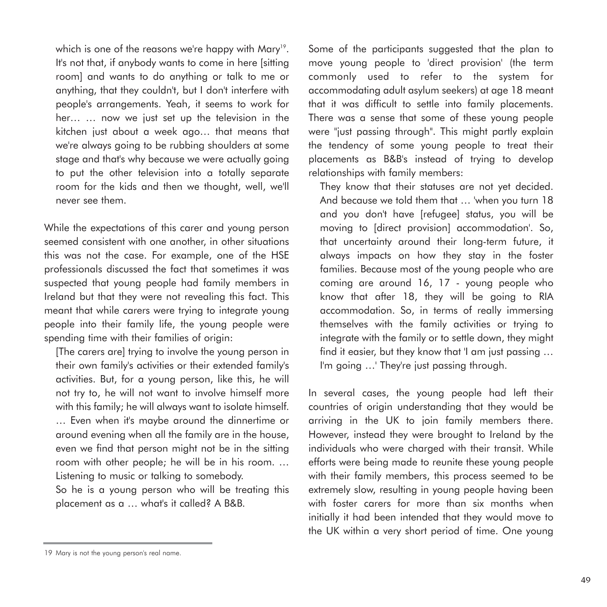which is one of the reasons we're happy with Mary<sup>19</sup>. It's not that, if anybody wants to come in here [sitting room] and wants to do anything or talk to me or anything, that they couldn't, but I don't interfere with people's arrangements. Yeah, it seems to work for her… … now we just set up the television in the kitchen just about a week ago… that means that we're always going to be rubbing shoulders at some stage and that's why because we were actually going to put the other television into a totally separate room for the kids and then we thought, well, we'll never see them.

While the expectations of this carer and young person seemed consistent with one another, in other situations this was not the case. For example, one of the HSE professionals discussed the fact that sometimes it was suspected that young people had family members in Ireland but that they were not revealing this fact. This meant that while carers were trying to integrate young people into their family life, the young people were spending time with their families of origin:

[The carers are] trying to involve the young person in their own family's activities or their extended family's activities. But, for a young person, like this, he will not try to, he will not want to involve himself more with this family; he will always want to isolate himself. … Even when it's maybe around the dinnertime or around evening when all the family are in the house, even we find that person might not be in the sitting room with other people; he will be in his room. … Listening to music or talking to somebody.

So he is a young person who will be treating this placement as a … what's it called? A B&B.

Some of the participants suggested that the plan to move young people to 'direct provision' (the term commonly used to refer to the system for accommodating adult asylum seekers) at age 18 meant that it was difficult to settle into family placements. There was a sense that some of these young people were "just passing through". This might partly explain the tendency of some young people to treat their placements as B&B's instead of trying to develop relationships with family members:

They know that their statuses are not yet decided. And because we told them that … 'when you turn 18 and you don't have [refugee] status, you will be moving to [direct provision] accommodation'. So, that uncertainty around their long-term future, it always impacts on how they stay in the foster families. Because most of the young people who are coming are around 16, 17 - young people who know that after 18, they will be going to RIA accommodation. So, in terms of really immersing themselves with the family activities or trying to integrate with the family or to settle down, they might find it easier, but they know that 'I am just passing … I'm going ...' They're just passing through.

In several cases, the young people had left their countries of origin understanding that they would be arriving in the UK to join family members there. However, instead they were brought to Ireland by the individuals who were charged with their transit. While efforts were being made to reunite these young people with their family members, this process seemed to be extremely slow, resulting in young people having been with foster carers for more than six months when initially it had been intended that they would move to the UK within a very short period of time. One young

<sup>19</sup> Mary is not the young person's real name.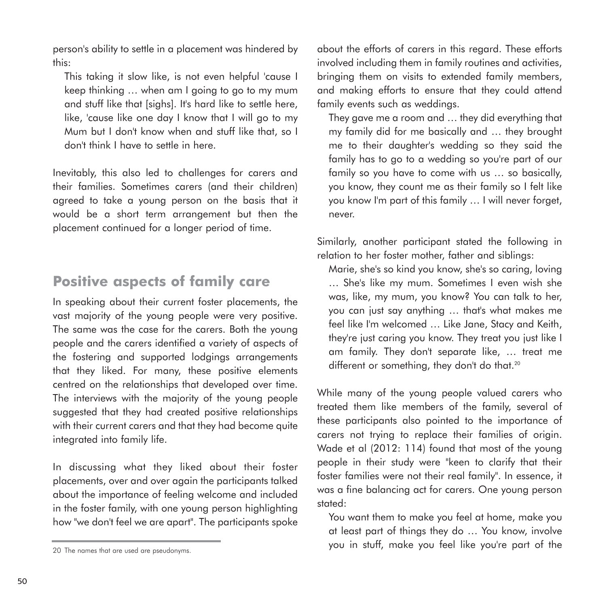person's ability to settle in a placement was hindered by this:

This taking it slow like, is not even helpful 'cause I keep thinking … when am I going to go to my mum and stuff like that [sighs]. It's hard like to settle here, like, 'cause like one day I know that I will go to my Mum but I don't know when and stuff like that, so I don't think I have to settle in here.

Inevitably, this also led to challenges for carers and their families. Sometimes carers (and their children) agreed to take a young person on the basis that it would be a short term arrangement but then the placement continued for a longer period of time.

# **Positive aspects of family care**

In speaking about their current foster placements, the vast majority of the young people were very positive. The same was the case for the carers. Both the young people and the carers identified a variety of aspects of the fostering and supported lodgings arrangements that they liked. For many, these positive elements centred on the relationships that developed over time. The interviews with the majority of the young people suggested that they had created positive relationships with their current carers and that they had become quite integrated into family life.

In discussing what they liked about their foster placements, over and over again the participants talked about the importance of feeling welcome and included in the foster family, with one young person highlighting how "we don't feel we are apart". The participants spoke

about the efforts of carers in this regard. These efforts involved including them in family routines and activities, bringing them on visits to extended family members, and making efforts to ensure that they could attend family events such as weddings.

They gave me a room and … they did everything that my family did for me basically and … they brought me to their daughter's wedding so they said the family has to go to a wedding so you're part of our family so you have to come with us … so basically, you know, they count me as their family so I felt like you know I'm part of this family … I will never forget, never.

Similarly, another participant stated the following in relation to her foster mother, father and siblings:

Marie, she's so kind you know, she's so caring, loving … She's like my mum. Sometimes I even wish she was, like, my mum, you know? You can talk to her, you can just say anything … that's what makes me feel like I'm welcomed … Like Jane, Stacy and Keith, they're just caring you know. They treat you just like I am family. They don't separate like, … treat me different or something, they don't do that.<sup>20</sup>

While many of the young people valued carers who treated them like members of the family, several of these participants also pointed to the importance of carers not trying to replace their families of origin. Wade et al (2012: 114) found that most of the young people in their study were "keen to clarify that their foster families were not their real family". In essence, it was a fine balancing act for carers. One young person stated:

You want them to make you feel at home, make you at least part of things they do … You know, involve you in stuff, make you feel like you're part of the

<sup>20</sup> The names that are used are pseudonyms.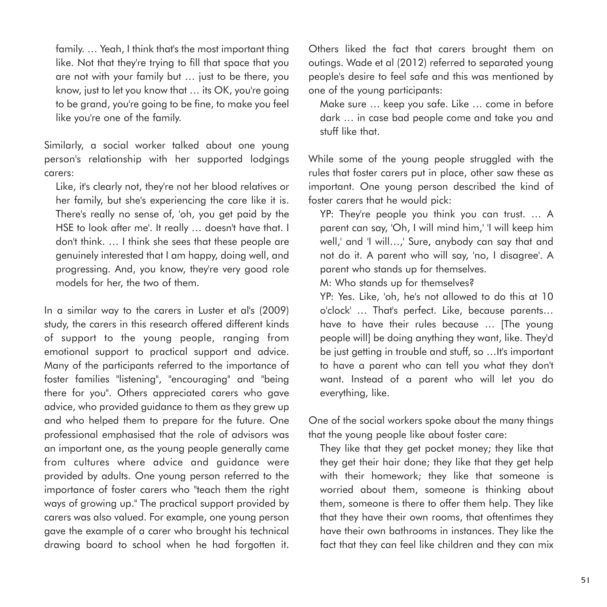family. … Yeah, I think that's the most important thing like. Not that they're trying to fill that space that you are not with your family but … just to be there, you know, just to let you know that … its OK, you're going to be grand, you're going to be fine, to make you feel like you're one of the family.

Similarly, a social worker talked about one young person's relationship with her supported lodgings carers:

Like, it's clearly not, they're not her blood relatives or her family, but she's experiencing the care like it is. There's really no sense of, 'oh, you get paid by the HSE to look after me'. It really … doesn't have that. I don't think. … I think she sees that these people are genuinely interested that I am happy, doing well, and progressing. And, you know, they're very good role models for her, the two of them.

In a similar way to the carers in Luster et al's (2009) study, the carers in this research offered different kinds of support to the young people, ranging from emotional support to practical support and advice. Many of the participants referred to the importance of foster families "listening", "encouraging" and "being there for you". Others appreciated carers who gave advice, who provided guidance to them as they grew up and who helped them to prepare for the future. One professional emphasised that the role of advisors was an important one, as the young people generally came from cultures where advice and guidance were provided by adults. One young person referred to the importance of foster carers who "teach them the right ways of growing up." The practical support provided by carers was also valued. For example, one young person gave the example of a carer who brought his technical drawing board to school when he had forgotten it. Others liked the fact that carers brought them on outings. Wade et al (2012) referred to separated young people's desire to feel safe and this was mentioned by one of the young participants:

Make sure … keep you safe. Like … come in before dark … in case bad people come and take you and stuff like that.

While some of the young people struggled with the rules that foster carers put in place, other saw these as important. One young person described the kind of foster carers that he would pick:

YP: They're people you think you can trust. … A parent can say, 'Oh, I will mind him,' 'I will keep him well,' and 'I will…,' Sure, anybody can say that and not do it. A parent who will say, 'no, I disagree'. A parent who stands up for themselves.

M: Who stands up for themselves?

YP: Yes. Like, 'oh, he's not allowed to do this at 10 o'clock' … That's perfect. Like, because parents… have to have their rules because … [The young people will] be doing anything they want, like. They'd be just getting in trouble and stuff, so …It's important to have a parent who can tell you what they don't want. Instead of a parent who will let you do everything, like.

One of the social workers spoke about the many things that the young people like about foster care:

They like that they get pocket money; they like that they get their hair done; they like that they get help with their homework; they like that someone is worried about them, someone is thinking about them, someone is there to offer them help. They like that they have their own rooms, that oftentimes they have their own bathrooms in instances. They like the fact that they can feel like children and they can mix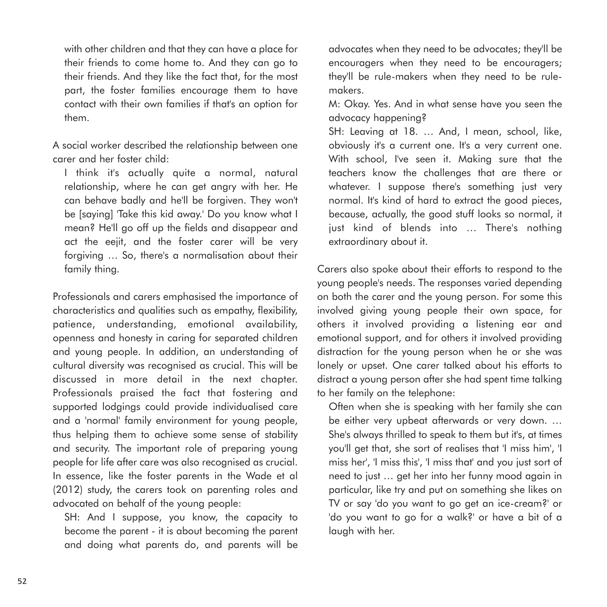with other children and that they can have a place for their friends to come home to. And they can go to their friends. And they like the fact that, for the most part, the foster families encourage them to have contact with their own families if that's an option for them.

A social worker described the relationship between one carer and her foster child:

I think it's actually quite a normal, natural relationship, where he can get angry with her. He can behave badly and he'll be forgiven. They won't be [saying] 'Take this kid away.' Do you know what I mean? He'll go off up the fields and disappear and act the eejit, and the foster carer will be very forgiving … So, there's a normalisation about their family thing.

Professionals and carers emphasised the importance of characteristics and qualities such as empathy, flexibility, patience, understanding, emotional availability, openness and honesty in caring for separated children and young people. In addition, an understanding of cultural diversity was recognised as crucial. This will be discussed in more detail in the next chapter. Professionals praised the fact that fostering and supported lodgings could provide individualised care and a 'normal' family environment for young people, thus helping them to achieve some sense of stability and security. The important role of preparing young people for life after care was also recognised as crucial. In essence, like the foster parents in the Wade et al (2012) study, the carers took on parenting roles and advocated on behalf of the young people:

SH: And I suppose, you know, the capacity to become the parent - it is about becoming the parent and doing what parents do, and parents will be

advocates when they need to be advocates; they'll be encouragers when they need to be encouragers; they'll be rule-makers when they need to be rulemakers.

M: Okay. Yes. And in what sense have you seen the advocacy happening?

SH: Leaving at 18. … And, I mean, school, like, obviously it's a current one. It's a very current one. With school, I've seen it. Making sure that the teachers know the challenges that are there or whatever. I suppose there's something just very normal. It's kind of hard to extract the good pieces, because, actually, the good stuff looks so normal, it just kind of blends into … There's nothing extraordinary about it.

Carers also spoke about their efforts to respond to the young people's needs. The responses varied depending on both the carer and the young person. For some this involved giving young people their own space, for others it involved providing a listening ear and emotional support, and for others it involved providing distraction for the young person when he or she was lonely or upset. One carer talked about his efforts to distract a young person after she had spent time talking to her family on the telephone:

Often when she is speaking with her family she can be either very upbeat afterwards or very down. … She's always thrilled to speak to them but it's, at times you'll get that, she sort of realises that 'I miss him', 'I miss her', 'I miss this', 'I miss that' and you just sort of need to just … get her into her funny mood again in particular, like try and put on something she likes on TV or say 'do you want to go get an ice-cream?' or 'do you want to go for a walk?' or have a bit of a laugh with her.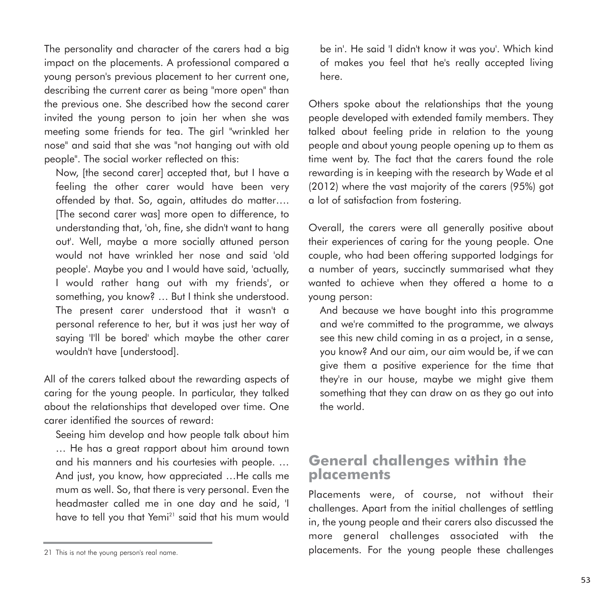The personality and character of the carers had a big impact on the placements. A professional compared a young person's previous placement to her current one, describing the current carer as being "more open" than the previous one. She described how the second carer invited the young person to join her when she was meeting some friends for tea. The girl "wrinkled her nose" and said that she was "not hanging out with old people". The social worker reflected on this:

Now, [the second carer] accepted that, but I have a feeling the other carer would have been very offended by that. So, again, attitudes do matter…. [The second carer was] more open to difference, to understanding that, 'oh, fine, she didn't want to hang out'. Well, maybe a more socially attuned person would not have wrinkled her nose and said 'old people'. Maybe you and I would have said, 'actually, I would rather hang out with my friends', or something, you know? … But I think she understood. The present carer understood that it wasn't a personal reference to her, but it was just her way of saying 'I'll be bored' which maybe the other carer wouldn't have [understood].

All of the carers talked about the rewarding aspects of caring for the young people. In particular, they talked about the relationships that developed over time. One carer identified the sources of reward:

Seeing him develop and how people talk about him … He has a great rapport about him around town and his manners and his courtesies with people. … And just, you know, how appreciated …He calls me mum as well. So, that there is very personal. Even the headmaster called me in one day and he said, 'I have to tell you that Yemi<sup>21</sup> said that his mum would be in'. He said 'I didn't know it was you'. Which kind of makes you feel that he's really accepted living here.

Others spoke about the relationships that the young people developed with extended family members. They talked about feeling pride in relation to the young people and about young people opening up to them as time went by. The fact that the carers found the role rewarding is in keeping with the research by Wade et al (2012) where the vast majority of the carers (95%) got a lot of satisfaction from fostering.

Overall, the carers were all generally positive about their experiences of caring for the young people. One couple, who had been offering supported lodgings for a number of years, succinctly summarised what they wanted to achieve when they offered a home to a young person:

And because we have bought into this programme and we're committed to the programme, we always see this new child coming in as a project, in a sense, you know? And our aim, our aim would be, if we can give them a positive experience for the time that they're in our house, maybe we might give them something that they can draw on as they go out into the world.

#### **General challenges within the placements**

Placements were, of course, not without their challenges. Apart from the initial challenges of settling in, the young people and their carers also discussed the more general challenges associated with the placements. For the young people these challenges

<sup>21</sup> This is not the young person's real name.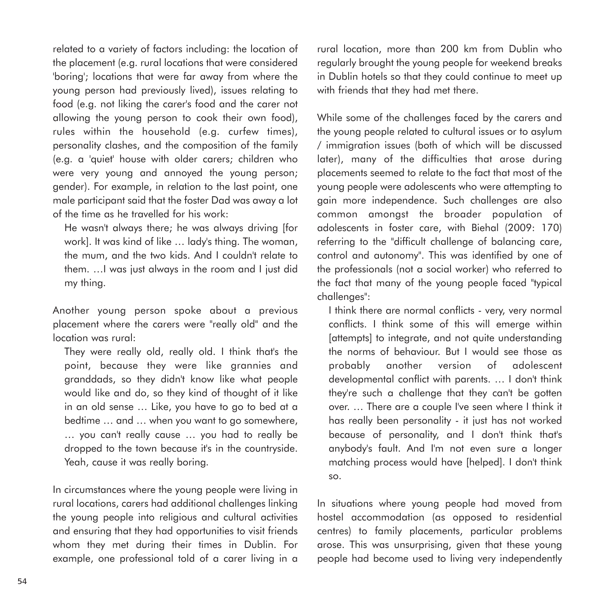related to a variety of factors including: the location of the placement (e.g. rural locations that were considered 'boring'; locations that were far away from where the young person had previously lived), issues relating to food (e.g. not liking the carer's food and the carer not allowing the young person to cook their own food), rules within the household (e.g. curfew times), personality clashes, and the composition of the family (e.g. a 'quiet' house with older carers; children who were very young and annoyed the young person; gender). For example, in relation to the last point, one male participant said that the foster Dad was away a lot of the time as he travelled for his work:

He wasn't always there; he was always driving [for work]. It was kind of like … lady's thing. The woman, the mum, and the two kids. And I couldn't relate to them. …I was just always in the room and I just did my thing.

Another young person spoke about a previous placement where the carers were "really old" and the location was rural:

They were really old, really old. I think that's the point, because they were like grannies and granddads, so they didn't know like what people would like and do, so they kind of thought of it like in an old sense … Like, you have to go to bed at a bedtime … and … when you want to go somewhere, … you can't really cause … you had to really be dropped to the town because it's in the countryside. Yeah, cause it was really boring.

In circumstances where the young people were living in rural locations, carers had additional challenges linking the young people into religious and cultural activities and ensuring that they had opportunities to visit friends whom they met during their times in Dublin. For example, one professional told of a carer living in a

rural location, more than 200 km from Dublin who regularly brought the young people for weekend breaks in Dublin hotels so that they could continue to meet up with friends that they had met there.

While some of the challenges faced by the carers and the young people related to cultural issues or to asylum / immigration issues (both of which will be discussed later), many of the difficulties that arose during placements seemed to relate to the fact that most of the young people were adolescents who were attempting to gain more independence. Such challenges are also common amongst the broader population of adolescents in foster care, with Biehal (2009: 170) referring to the "difficult challenge of balancing care, control and autonomy". This was identified by one of the professionals (not a social worker) who referred to the fact that many of the young people faced "typical challenges":

I think there are normal conflicts - very, very normal conflicts. I think some of this will emerge within [attempts] to integrate, and not quite understanding the norms of behaviour. But I would see those as probably another version of adolescent developmental conflict with parents. … I don't think they're such a challenge that they can't be gotten over. … There are a couple I've seen where I think it has really been personality - it just has not worked because of personality, and I don't think that's anybody's fault. And I'm not even sure a longer matching process would have [helped]. I don't think so.

In situations where young people had moved from hostel accommodation (as opposed to residential centres) to family placements, particular problems arose. This was unsurprising, given that these young people had become used to living very independently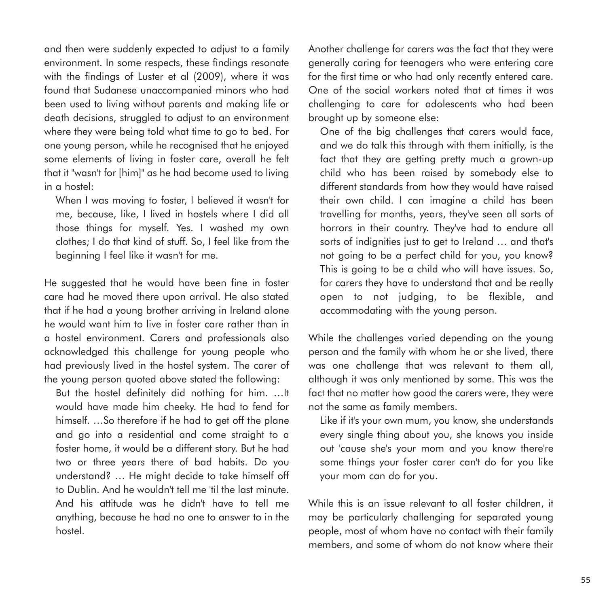and then were suddenly expected to adjust to a family environment. In some respects, these findings resonate with the findings of Luster et al (2009), where it was found that Sudanese unaccompanied minors who had been used to living without parents and making life or death decisions, struggled to adjust to an environment where they were being told what time to go to bed. For one young person, while he recognised that he enjoyed some elements of living in foster care, overall he felt that it "wasn't for [him]" as he had become used to living in a hostel:

When I was moving to foster, I believed it wasn't for me, because, like, I lived in hostels where I did all those things for myself. Yes. I washed my own clothes; I do that kind of stuff. So, I feel like from the beginning I feel like it wasn't for me.

He suggested that he would have been fine in foster care had he moved there upon arrival. He also stated that if he had a young brother arriving in Ireland alone he would want him to live in foster care rather than in a hostel environment. Carers and professionals also acknowledged this challenge for young people who had previously lived in the hostel system. The carer of the young person quoted above stated the following:

But the hostel definitely did nothing for him. …It would have made him cheeky. He had to fend for himself. …So therefore if he had to get off the plane and go into a residential and come straight to a foster home, it would be a different story. But he had two or three years there of bad habits. Do you understand? … He might decide to take himself off to Dublin. And he wouldn't tell me 'til the last minute. And his attitude was he didn't have to tell me anything, because he had no one to answer to in the hostel.

Another challenge for carers was the fact that they were generally caring for teenagers who were entering care for the first time or who had only recently entered care. One of the social workers noted that at times it was challenging to care for adolescents who had been brought up by someone else:

One of the big challenges that carers would face, and we do talk this through with them initially, is the fact that they are getting pretty much a grown-up child who has been raised by somebody else to different standards from how they would have raised their own child. I can imagine a child has been travelling for months, years, they've seen all sorts of horrors in their country. They've had to endure all sorts of indignities just to get to Ireland … and that's not going to be a perfect child for you, you know? This is going to be a child who will have issues. So, for carers they have to understand that and be really open to not judging, to be flexible, and accommodating with the young person.

While the challenges varied depending on the young person and the family with whom he or she lived, there was one challenge that was relevant to them all, although it was only mentioned by some. This was the fact that no matter how good the carers were, they were not the same as family members.

Like if it's your own mum, you know, she understands every single thing about you, she knows you inside out 'cause she's your mom and you know there're some things your foster carer can't do for you like your mom can do for you.

While this is an issue relevant to all foster children, it may be particularly challenging for separated young people, most of whom have no contact with their family members, and some of whom do not know where their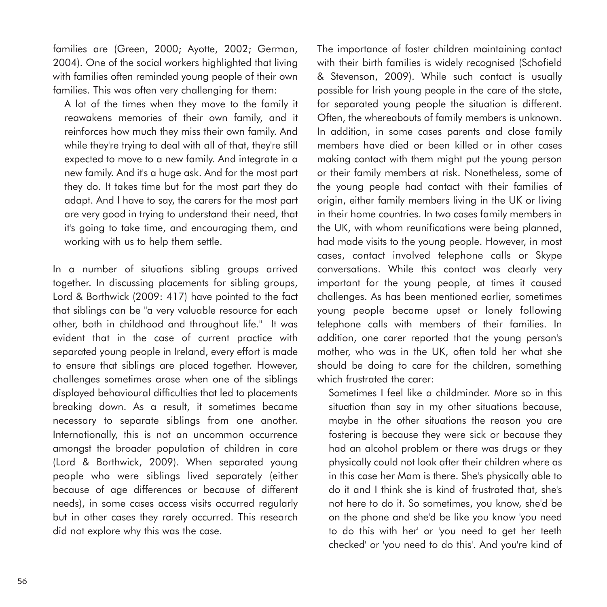families are (Green, 2000; Ayotte, 2002; German, 2004). One of the social workers highlighted that living with families often reminded young people of their own families. This was often very challenging for them:

A lot of the times when they move to the family it reawakens memories of their own family, and it reinforces how much they miss their own family. And while they're trying to deal with all of that, they're still expected to move to a new family. And integrate in a new family. And it's a huge ask. And for the most part they do. It takes time but for the most part they do adapt. And I have to say, the carers for the most part are very good in trying to understand their need, that it's going to take time, and encouraging them, and working with us to help them settle.

In a number of situations sibling groups arrived together. In discussing placements for sibling groups, Lord & Borthwick (2009: 417) have pointed to the fact that siblings can be "a very valuable resource for each other, both in childhood and throughout life." It was evident that in the case of current practice with separated young people in Ireland, every effort is made to ensure that siblings are placed together. However, challenges sometimes arose when one of the siblings displayed behavioural difficulties that led to placements breaking down. As a result, it sometimes became necessary to separate siblings from one another. Internationally, this is not an uncommon occurrence amongst the broader population of children in care (Lord & Borthwick, 2009). When separated young people who were siblings lived separately (either because of age differences or because of different needs), in some cases access visits occurred regularly but in other cases they rarely occurred. This research did not explore why this was the case.

The importance of foster children maintaining contact with their birth families is widely recognised (Schofield & Stevenson, 2009). While such contact is usually possible for Irish young people in the care of the state, for separated young people the situation is different. Often, the whereabouts of family members is unknown. In addition, in some cases parents and close family members have died or been killed or in other cases making contact with them might put the young person or their family members at risk. Nonetheless, some of the young people had contact with their families of origin, either family members living in the UK or living in their home countries. In two cases family members in the UK, with whom reunifications were being planned, had made visits to the young people. However, in most cases, contact involved telephone calls or Skype conversations. While this contact was clearly very important for the young people, at times it caused challenges. As has been mentioned earlier, sometimes young people became upset or lonely following telephone calls with members of their families. In addition, one carer reported that the young person's mother, who was in the UK, often told her what she should be doing to care for the children, something which frustrated the carer:

Sometimes I feel like a childminder. More so in this situation than say in my other situations because, maybe in the other situations the reason you are fostering is because they were sick or because they had an alcohol problem or there was drugs or they physically could not look after their children where as in this case her Mam is there. She's physically able to do it and I think she is kind of frustrated that, she's not here to do it. So sometimes, you know, she'd be on the phone and she'd be like you know 'you need to do this with her' or 'you need to get her teeth checked' or 'you need to do this'. And you're kind of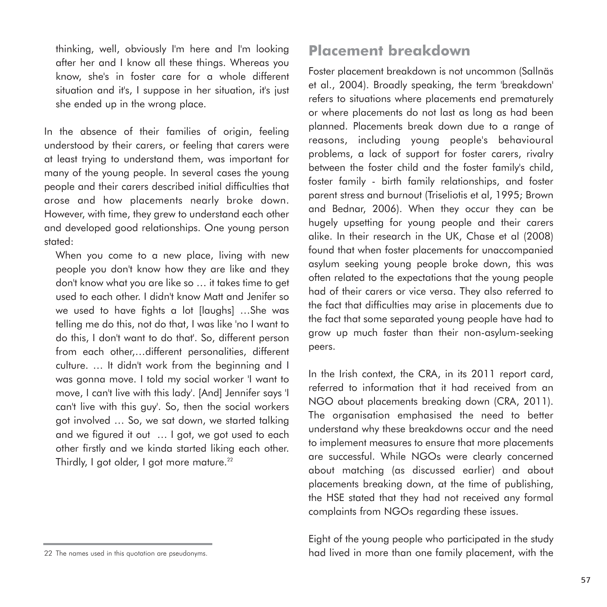thinking, well, obviously I'm here and I'm looking after her and I know all these things. Whereas you know, she's in foster care for a whole different situation and it's, I suppose in her situation, it's just she ended up in the wrong place.

In the absence of their families of origin, feeling understood by their carers, or feeling that carers were at least trying to understand them, was important for many of the young people. In several cases the young people and their carers described initial difficulties that arose and how placements nearly broke down. However, with time, they grew to understand each other and developed good relationships. One young person stated:

When you come to a new place, living with new people you don't know how they are like and they don't know what you are like so … it takes time to get used to each other. I didn't know Matt and Jenifer so we used to have fights a lot [laughs] …She was telling me do this, not do that, I was like 'no I want to do this, I don't want to do that'. So, different person from each other,…different personalities, different culture. … It didn't work from the beginning and I was gonna move. I told my social worker 'I want to move, I can't live with this lady'. [And] Jennifer says 'I can't live with this guy'. So, then the social workers got involved … So, we sat down, we started talking and we figured it out … I got, we got used to each other firstly and we kinda started liking each other. Thirdly, I got older, I got more mature.<sup>22</sup>

#### **Placement breakdown**

Foster placement breakdown is not uncommon (Sallnäs et al., 2004). Broadly speaking, the term 'breakdown' refers to situations where placements end prematurely or where placements do not last as long as had been planned. Placements break down due to a range of reasons, including young people's behavioural problems, a lack of support for foster carers, rivalry between the foster child and the foster family's child, foster family - birth family relationships, and foster parent stress and burnout (Triseliotis et al, 1995; Brown and Bednar, 2006). When they occur they can be hugely upsetting for young people and their carers alike. In their research in the UK, Chase et al (2008) found that when foster placements for unaccompanied asylum seeking young people broke down, this was often related to the expectations that the young people had of their carers or vice versa. They also referred to the fact that difficulties may arise in placements due to the fact that some separated young people have had to grow up much faster than their non-asylum-seeking peers.

In the Irish context, the CRA, in its 2011 report card, referred to information that it had received from an NGO about placements breaking down (CRA, 2011). The organisation emphasised the need to better understand why these breakdowns occur and the need to implement measures to ensure that more placements are successful. While NGOs were clearly concerned about matching (as discussed earlier) and about placements breaking down, at the time of publishing, the HSE stated that they had not received any formal complaints from NGOs regarding these issues.

Eight of the young people who participated in the study had lived in more than one family placement, with the

<sup>22</sup> The names used in this quotation are pseudonyms.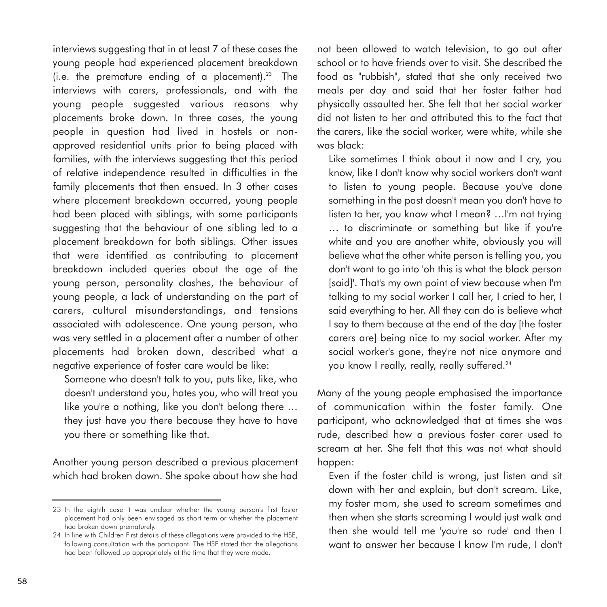interviews suggesting that in at least 7 of these cases the young people had experienced placement breakdown (i.e. the premature ending of a placement).<sup>23</sup> The interviews with carers, professionals, and with the young people suggested various reasons why placements broke down. In three cases, the young people in question had lived in hostels or nonapproved residential units prior to being placed with families, with the interviews suggesting that this period of relative independence resulted in difficulties in the family placements that then ensued. In 3 other cases where placement breakdown occurred, young people had been placed with siblings, with some participants suggesting that the behaviour of one sibling led to a placement breakdown for both siblings. Other issues that were identified as contributing to placement breakdown included queries about the age of the young person, personality clashes, the behaviour of young people, a lack of understanding on the part of carers, cultural misunderstandings, and tensions associated with adolescence. One young person, who was very settled in a placement after a number of other placements had broken down, described what a negative experience of foster care would be like:

Someone who doesn't talk to you, puts like, like, who doesn't understand you, hates you, who will treat you like you're a nothing, like you don't belong there … they just have you there because they have to have you there or something like that.

Another young person described a previous placement which had broken down. She spoke about how she had

not been allowed to watch television, to go out after school or to have friends over to visit. She described the food as "rubbish", stated that she only received two meals per day and said that her foster father had physically assaulted her. She felt that her social worker did not listen to her and attributed this to the fact that the carers, like the social worker, were white, while she was black:

Like sometimes I think about it now and I cry, you know, like I don't know why social workers don't want to listen to young people. Because you've done something in the past doesn't mean you don't have to listen to her, you know what I mean? …I'm not trying … to discriminate or something but like if you're white and you are another white, obviously you will believe what the other white person is telling you, you don't want to go into 'oh this is what the black person [said]'. That's my own point of view because when I'm talking to my social worker I call her, I cried to her, I said everything to her. All they can do is believe what I say to them because at the end of the day [the foster carers are] being nice to my social worker. After my social worker's gone, they're not nice anymore and you know I really, really, really suffered.<sup>24</sup>

Many of the young people emphasised the importance of communication within the foster family. One participant, who acknowledged that at times she was rude, described how a previous foster carer used to scream at her. She felt that this was not what should happen:

Even if the foster child is wrong, just listen and sit down with her and explain, but don't scream. Like, my foster mom, she used to scream sometimes and then when she starts screaming I would just walk and then she would tell me 'you're so rude' and then I want to answer her because I know I'm rude, I don't

<sup>23</sup> In the eighth case it was unclear whether the young person's first foster placement had only been envisaged as short term or whether the placement had broken down prematurely.

<sup>24</sup> In line with Children First details of these allegations were provided to the HSE, following consultation with the participant. The HSE stated that the allegations had been followed up appropriately at the time that they were made.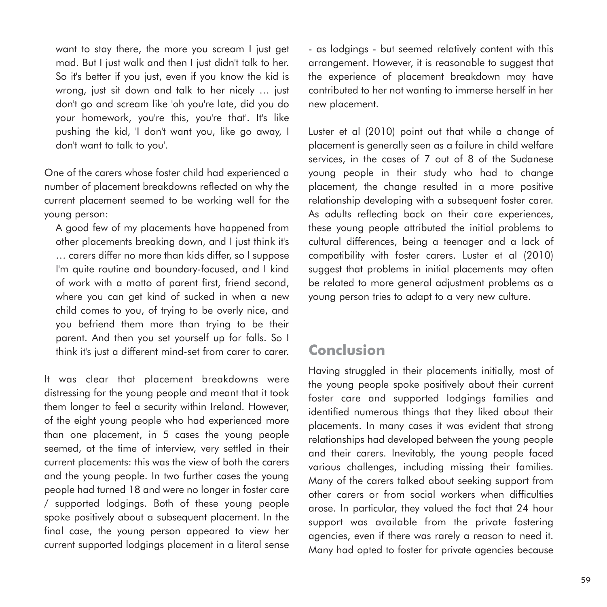want to stay there, the more you scream I just get mad. But I just walk and then I just didn't talk to her. So it's better if you just, even if you know the kid is wrong, just sit down and talk to her nicely … just don't go and scream like 'oh you're late, did you do your homework, you're this, you're that'. It's like pushing the kid, 'I don't want you, like go away, I don't want to talk to you'.

One of the carers whose foster child had experienced a number of placement breakdowns reflected on why the current placement seemed to be working well for the young person:

A good few of my placements have happened from other placements breaking down, and I just think it's … carers differ no more than kids differ, so I suppose I'm quite routine and boundary-focused, and I kind of work with a motto of parent first, friend second, where you can get kind of sucked in when a new child comes to you, of trying to be overly nice, and you befriend them more than trying to be their parent. And then you set yourself up for falls. So I think it's just a different mind-set from carer to carer.

It was clear that placement breakdowns were distressing for the young people and meant that it took them longer to feel a security within Ireland. However, of the eight young people who had experienced more than one placement, in 5 cases the young people seemed, at the time of interview, very settled in their current placements: this was the view of both the carers and the young people. In two further cases the young people had turned 18 and were no longer in foster care / supported lodgings. Both of these young people spoke positively about a subsequent placement. In the final case, the young person appeared to view her current supported lodgings placement in a literal sense - as lodgings - but seemed relatively content with this arrangement. However, it is reasonable to suggest that the experience of placement breakdown may have contributed to her not wanting to immerse herself in her new placement.

Luster et al (2010) point out that while a change of placement is generally seen as a failure in child welfare services, in the cases of 7 out of 8 of the Sudanese young people in their study who had to change placement, the change resulted in a more positive relationship developing with a subsequent foster carer. As adults reflecting back on their care experiences, these young people attributed the initial problems to cultural differences, being a teenager and a lack of compatibility with foster carers. Luster et al (2010) suggest that problems in initial placements may often be related to more general adjustment problems as a young person tries to adapt to a very new culture.

#### **Conclusion**

Having struggled in their placements initially, most of the young people spoke positively about their current foster care and supported lodgings families and identified numerous things that they liked about their placements. In many cases it was evident that strong relationships had developed between the young people and their carers. Inevitably, the young people faced various challenges, including missing their families. Many of the carers talked about seeking support from other carers or from social workers when difficulties arose. In particular, they valued the fact that 24 hour support was available from the private fostering agencies, even if there was rarely a reason to need it. Many had opted to foster for private agencies because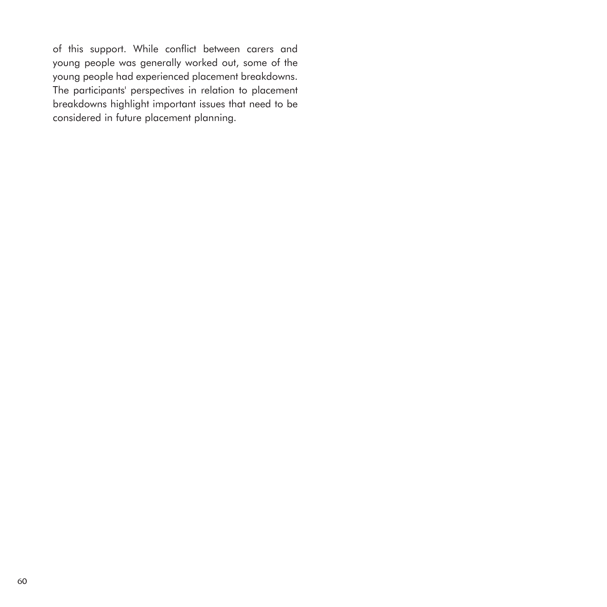of this support. While conflict between carers and young people was generally worked out, some of the young people had experienced placement breakdowns. The participants' perspectives in relation to placement breakdowns highlight important issues that need to be considered in future placement planning.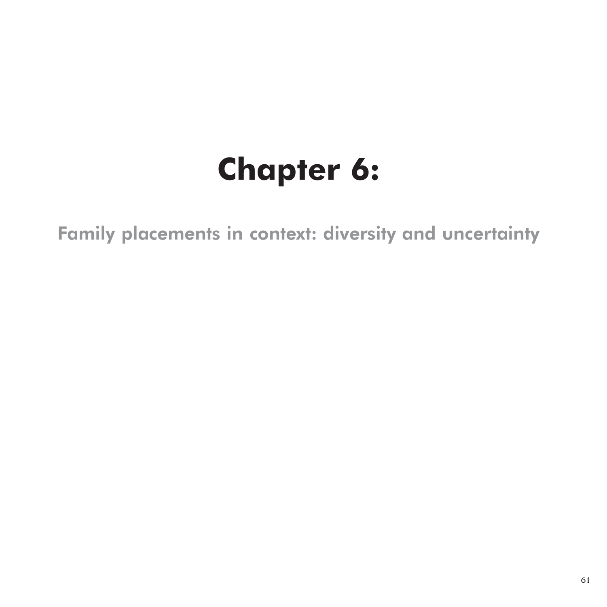# **Chapter 6:**

Family placements in context: diversity and uncertainty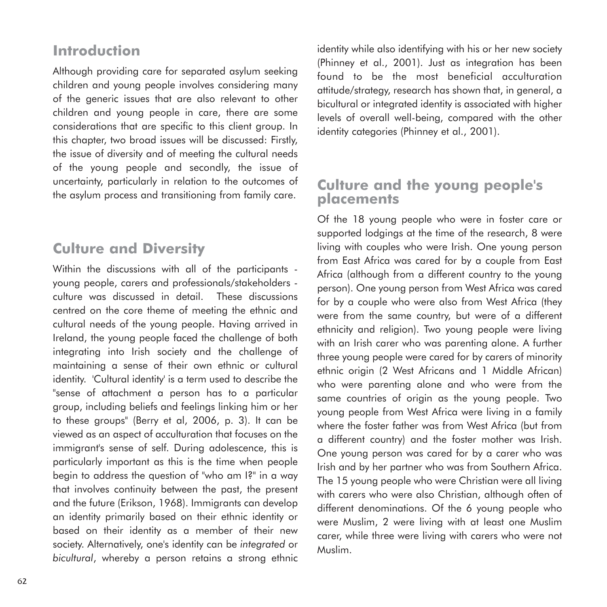## **Introduction**

Although providing care for separated asylum seeking children and young people involves considering many of the generic issues that are also relevant to other children and young people in care, there are some considerations that are specific to this client group. In this chapter, two broad issues will be discussed: Firstly, the issue of diversity and of meeting the cultural needs of the young people and secondly, the issue of uncertainty, particularly in relation to the outcomes of the asylum process and transitioning from family care.

# **Culture and Diversity**

Within the discussions with all of the participants young people, carers and professionals/stakeholders culture was discussed in detail. These discussions centred on the core theme of meeting the ethnic and cultural needs of the young people. Having arrived in Ireland, the young people faced the challenge of both integrating into Irish society and the challenge of maintaining a sense of their own ethnic or cultural identity. 'Cultural identity' is a term used to describe the "sense of attachment a person has to a particular group, including beliefs and feelings linking him or her to these groups" (Berry et al, 2006, p. 3). It can be viewed as an aspect of acculturation that focuses on the immigrant's sense of self. During adolescence, this is particularly important as this is the time when people begin to address the question of "who am I?" in a way that involves continuity between the past, the present and the future (Erikson, 1968). Immigrants can develop an identity primarily based on their ethnic identity or based on their identity as a member of their new society. Alternatively, one's identity can be *integrated* or *bicultural*, whereby a person retains a strong ethnic identity while also identifying with his or her new society (Phinney et al., 2001). Just as integration has been found to be the most beneficial acculturation attitude/strategy, research has shown that, in general, a bicultural or integrated identity is associated with higher levels of overall well-being, compared with the other identity categories (Phinney et al., 2001).

#### **Culture and the young people's placements**

Of the 18 young people who were in foster care or supported lodgings at the time of the research, 8 were living with couples who were Irish. One young person from East Africa was cared for by a couple from East Africa (although from a different country to the young person). One young person from West Africa was cared for by a couple who were also from West Africa (they were from the same country, but were of a different ethnicity and religion). Two young people were living with an Irish carer who was parenting alone. A further three young people were cared for by carers of minority ethnic origin (2 West Africans and 1 Middle African) who were parenting alone and who were from the same countries of origin as the young people. Two young people from West Africa were living in a family where the foster father was from West Africa (but from a different country) and the foster mother was Irish. One young person was cared for by a carer who was Irish and by her partner who was from Southern Africa. The 15 young people who were Christian were all living with carers who were also Christian, although often of different denominations. Of the 6 young people who were Muslim, 2 were living with at least one Muslim carer, while three were living with carers who were not Muslim.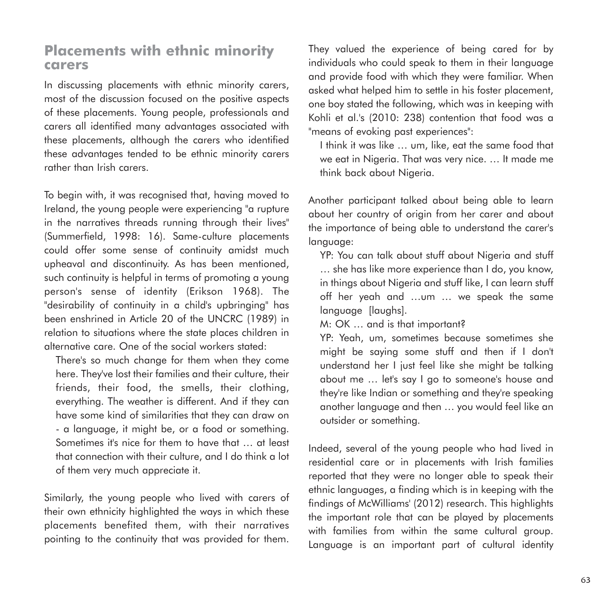#### **Placements with ethnic minority carers**

In discussing placements with ethnic minority carers, most of the discussion focused on the positive aspects of these placements. Young people, professionals and carers all identified many advantages associated with these placements, although the carers who identified these advantages tended to be ethnic minority carers rather than Irish carers.

To begin with, it was recognised that, having moved to Ireland, the young people were experiencing "a rupture in the narratives threads running through their lives" (Summerfield, 1998: 16). Same-culture placements could offer some sense of continuity amidst much upheaval and discontinuity. As has been mentioned, such continuity is helpful in terms of promoting a young person's sense of identity (Erikson 1968). The "desirability of continuity in a child's upbringing" has been enshrined in Article 20 of the UNCRC (1989) in relation to situations where the state places children in alternative care. One of the social workers stated:

There's so much change for them when they come here. They've lost their families and their culture, their friends, their food, the smells, their clothing, everything. The weather is different. And if they can have some kind of similarities that they can draw on - a language, it might be, or a food or something. Sometimes it's nice for them to have that … at least that connection with their culture, and I do think a lot of them very much appreciate it.

Similarly, the young people who lived with carers of their own ethnicity highlighted the ways in which these placements benefited them, with their narratives pointing to the continuity that was provided for them. They valued the experience of being cared for by individuals who could speak to them in their language and provide food with which they were familiar. When asked what helped him to settle in his foster placement, one boy stated the following, which was in keeping with Kohli et al.'s (2010: 238) contention that food was a "means of evoking past experiences":

I think it was like … um, like, eat the same food that we eat in Nigeria. That was very nice. … It made me think back about Nigeria.

Another participant talked about being able to learn about her country of origin from her carer and about the importance of being able to understand the carer's language:

YP: You can talk about stuff about Nigeria and stuff … she has like more experience than I do, you know, in things about Nigeria and stuff like, I can learn stuff off her yeah and …um … we speak the same language [laughs].

M: OK … and is that important?

YP: Yeah, um, sometimes because sometimes she might be saying some stuff and then if I don't understand her I just feel like she might be talking about me … let's say I go to someone's house and they're like Indian or something and they're speaking another language and then … you would feel like an outsider or something.

Indeed, several of the young people who had lived in residential care or in placements with Irish families reported that they were no longer able to speak their ethnic languages, a finding which is in keeping with the findings of McWilliams' (2012) research. This highlights the important role that can be played by placements with families from within the same cultural group. Language is an important part of cultural identity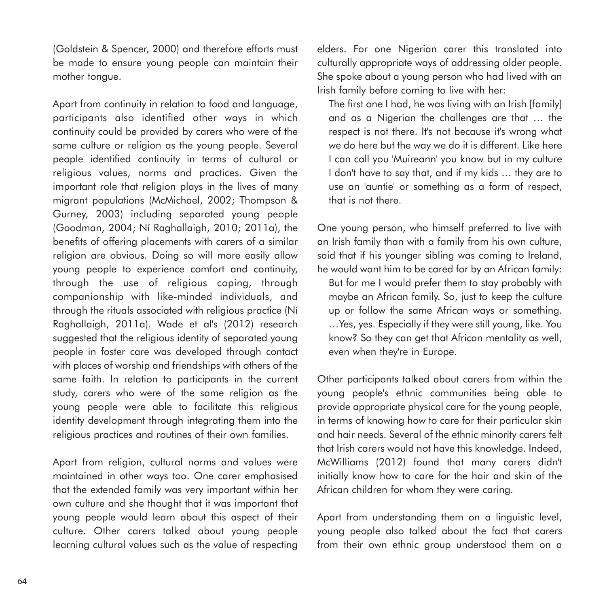(Goldstein & Spencer, 2000) and therefore efforts must be made to ensure young people can maintain their mother tongue.

Apart from continuity in relation to food and language, participants also identified other ways in which continuity could be provided by carers who were of the same culture or religion as the young people. Several people identified continuity in terms of cultural or religious values, norms and practices. Given the important role that religion plays in the lives of many migrant populations (McMichael, 2002; Thompson & Gurney, 2003) including separated young people (Goodman, 2004; Ní Raghallaigh, 2010; 2011a), the benefits of offering placements with carers of a similar religion are obvious. Doing so will more easily allow young people to experience comfort and continuity, through the use of religious coping, through companionship with like-minded individuals, and through the rituals associated with religious practice (Ní Raghallaigh, 2011a). Wade et al's (2012) research suggested that the religious identity of separated young people in foster care was developed through contact with places of worship and friendships with others of the same faith. In relation to participants in the current study, carers who were of the same religion as the young people were able to facilitate this religious identity development through integrating them into the religious practices and routines of their own families.

Apart from religion, cultural norms and values were maintained in other ways too. One carer emphasised that the extended family was very important within her own culture and she thought that it was important that young people would learn about this aspect of their culture. Other carers talked about young people learning cultural values such as the value of respecting

elders. For one Nigerian carer this translated into culturally appropriate ways of addressing older people. She spoke about a young person who had lived with an Irish family before coming to live with her:

The first one I had, he was living with an Irish [family] and as a Nigerian the challenges are that … the respect is not there. It's not because it's wrong what we do here but the way we do it is different. Like here I can call you 'Muireann' you know but in my culture I don't have to say that, and if my kids … they are to use an 'auntie' or something as a form of respect, that is not there.

One young person, who himself preferred to live with an Irish family than with a family from his own culture, said that if his younger sibling was coming to Ireland, he would want him to be cared for by an African family:

But for me I would prefer them to stay probably with maybe an African family. So, just to keep the culture up or follow the same African ways or something. …Yes, yes. Especially if they were still young, like. You know? So they can get that African mentality as well, even when they're in Europe.

Other participants talked about carers from within the young people's ethnic communities being able to provide appropriate physical care for the young people, in terms of knowing how to care for their particular skin and hair needs. Several of the ethnic minority carers felt that Irish carers would not have this knowledge. Indeed, McWilliams (2012) found that many carers didn't initially know how to care for the hair and skin of the African children for whom they were caring.

Apart from understanding them on a linguistic level, young people also talked about the fact that carers from their own ethnic group understood them on a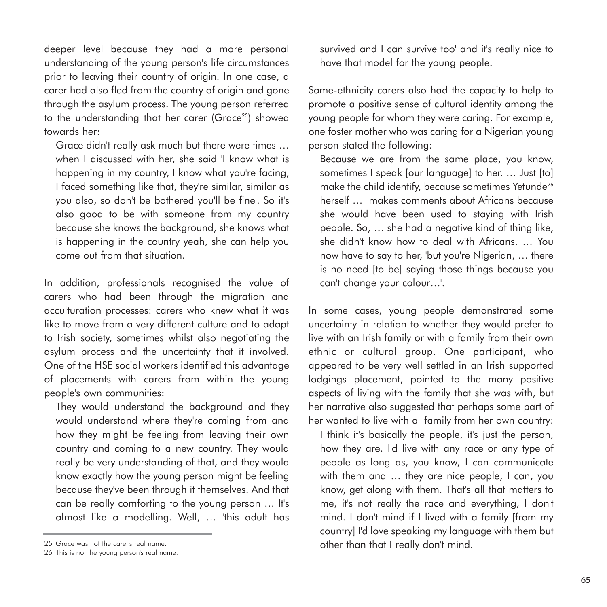deeper level because they had a more personal understanding of the young person's life circumstances prior to leaving their country of origin. In one case, a carer had also fled from the country of origin and gone through the asylum process. The young person referred to the understanding that her carer (Grace<sup>25</sup>) showed towards her:

Grace didn't really ask much but there were times … when I discussed with her, she said 'I know what is happening in my country, I know what you're facing, I faced something like that, they're similar, similar as you also, so don't be bothered you'll be fine'. So it's also good to be with someone from my country because she knows the background, she knows what is happening in the country yeah, she can help you come out from that situation.

In addition, professionals recognised the value of carers who had been through the migration and acculturation processes: carers who knew what it was like to move from a very different culture and to adapt to Irish society, sometimes whilst also negotiating the asylum process and the uncertainty that it involved. One of the HSE social workers identified this advantage of placements with carers from within the young people's own communities:

They would understand the background and they would understand where they're coming from and how they might be feeling from leaving their own country and coming to a new country. They would really be very understanding of that, and they would know exactly how the young person might be feeling because they've been through it themselves. And that can be really comforting to the young person … It's almost like a modelling. Well, … 'this adult has

survived and I can survive too' and it's really nice to have that model for the young people.

Same-ethnicity carers also had the capacity to help to promote a positive sense of cultural identity among the young people for whom they were caring. For example, one foster mother who was caring for a Nigerian young person stated the following:

Because we are from the same place, you know, sometimes I speak [our language] to her. … Just [to] make the child identify, because sometimes Yetunde<sup>26</sup> herself … makes comments about Africans because she would have been used to staying with Irish people. So, … she had a negative kind of thing like, she didn't know how to deal with Africans. … You now have to say to her, 'but you're Nigerian, … there is no need [to be] saying those things because you can't change your colour…'.

In some cases, young people demonstrated some uncertainty in relation to whether they would prefer to live with an Irish family or with a family from their own ethnic or cultural group. One participant, who appeared to be very well settled in an Irish supported lodgings placement, pointed to the many positive aspects of living with the family that she was with, but her narrative also suggested that perhaps some part of her wanted to live with a family from her own country:

I think it's basically the people, it's just the person, how they are. I'd live with any race or any type of people as long as, you know, I can communicate with them and … they are nice people, I can, you know, get along with them. That's all that matters to me, it's not really the race and everything, I don't mind. I don't mind if I lived with a family [from my country] I'd love speaking my language with them but other than that I really don't mind.

<sup>25</sup> Grace was not the carer's real name.

<sup>26</sup> This is not the young person's real name.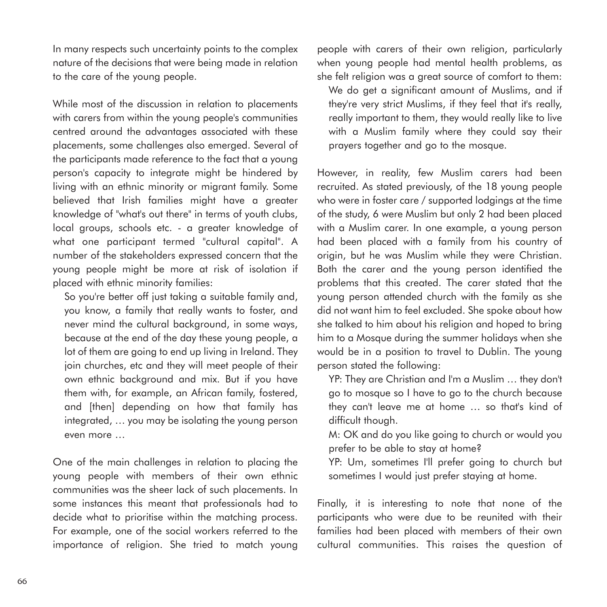In many respects such uncertainty points to the complex nature of the decisions that were being made in relation to the care of the young people.

While most of the discussion in relation to placements with carers from within the young people's communities centred around the advantages associated with these placements, some challenges also emerged. Several of the participants made reference to the fact that a young person's capacity to integrate might be hindered by living with an ethnic minority or migrant family. Some believed that Irish families might have a greater knowledge of "what's out there" in terms of youth clubs, local groups, schools etc. - a greater knowledge of what one participant termed "cultural capital". A number of the stakeholders expressed concern that the young people might be more at risk of isolation if placed with ethnic minority families:

So you're better off just taking a suitable family and, you know, a family that really wants to foster, and never mind the cultural background, in some ways, because at the end of the day these young people, a lot of them are going to end up living in Ireland. They join churches, etc and they will meet people of their own ethnic background and mix. But if you have them with, for example, an African family, fostered, and [then] depending on how that family has integrated, … you may be isolating the young person even more …

One of the main challenges in relation to placing the young people with members of their own ethnic communities was the sheer lack of such placements. In some instances this meant that professionals had to decide what to prioritise within the matching process. For example, one of the social workers referred to the importance of religion. She tried to match young people with carers of their own religion, particularly when young people had mental health problems, as she felt religion was a great source of comfort to them:

We do get a significant amount of Muslims, and if they're very strict Muslims, if they feel that it's really, really important to them, they would really like to live with a Muslim family where they could say their prayers together and go to the mosque.

However, in reality, few Muslim carers had been recruited. As stated previously, of the 18 young people who were in foster care / supported lodgings at the time of the study, 6 were Muslim but only 2 had been placed with a Muslim carer. In one example, a young person had been placed with a family from his country of origin, but he was Muslim while they were Christian. Both the carer and the young person identified the problems that this created. The carer stated that the young person attended church with the family as she did not want him to feel excluded. She spoke about how she talked to him about his religion and hoped to bring him to a Mosque during the summer holidays when she would be in a position to travel to Dublin. The young person stated the following:

YP: They are Christian and I'm a Muslim … they don't go to mosque so I have to go to the church because they can't leave me at home … so that's kind of difficult though.

M: OK and do you like going to church or would you prefer to be able to stay at home?

YP: Um, sometimes I'll prefer going to church but sometimes I would just prefer staying at home.

Finally, it is interesting to note that none of the participants who were due to be reunited with their families had been placed with members of their own cultural communities. This raises the question of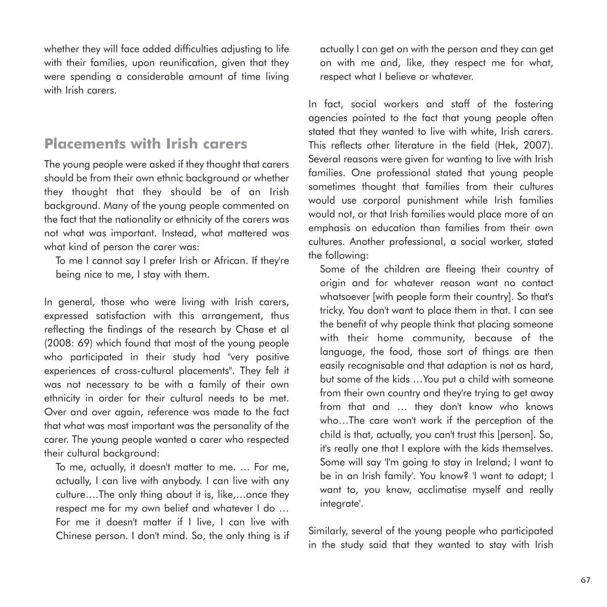whether they will face added difficulties adjusting to life with their families, upon reunification, given that they were spending a considerable amount of time living with Irish carers.

### **Placements with Irish carers**

The young people were asked if they thought that carers should be from their own ethnic background or whether they thought that they should be of an Irish background. Many of the young people commented on the fact that the nationality or ethnicity of the carers was not what was important. Instead, what mattered was what kind of person the carer was:

To me I cannot say I prefer Irish or African. If they're being nice to me, I stay with them.

In general, those who were living with Irish carers, expressed satisfaction with this arrangement, thus reflecting the findings of the research by Chase et al (2008: 69) which found that most of the young people who participated in their study had "very positive experiences of cross-cultural placements". They felt it was not necessary to be with a family of their own ethnicity in order for their cultural needs to be met. Over and over again, reference was made to the fact that what was most important was the personality of the carer. The young people wanted a carer who respected their cultural background:

To me, actually, it doesn't matter to me. … For me, actually, I can live with anybody. I can live with any culture….The only thing about it is, like,…once they respect me for my own belief and whatever I do … For me it doesn't matter if I live, I can live with Chinese person. I don't mind. So, the only thing is if actually I can get on with the person and they can get on with me and, like, they respect me for what, respect what I believe or whatever.

In fact, social workers and staff of the fostering agencies pointed to the fact that young people often stated that they wanted to live with white, Irish carers. This reflects other literature in the field (Hek, 2007). Several reasons were given for wanting to live with Irish families. One professional stated that young people sometimes thought that families from their cultures would use corporal punishment while Irish families would not, or that Irish families would place more of an emphasis on education than families from their own cultures. Another professional, a social worker, stated the following:

Some of the children are fleeing their country of origin and for whatever reason want no contact whatsoever [with people form their country]. So that's tricky. You don't want to place them in that. I can see the benefit of why people think that placing someone with their home community, because of the language, the food, those sort of things are then easily recognisable and that adaption is not as hard, but some of the kids …You put a child with someone from their own country and they're trying to get away from that and … they don't know who knows who…The care won't work if the perception of the child is that, actually, you can't trust this [person]. So, it's really one that I explore with the kids themselves. Some will say 'I'm going to stay in Ireland; I want to be in an Irish family'. You know? 'I want to adapt; I want to, you know, acclimatise myself and really integrate'.

Similarly, several of the young people who participated in the study said that they wanted to stay with Irish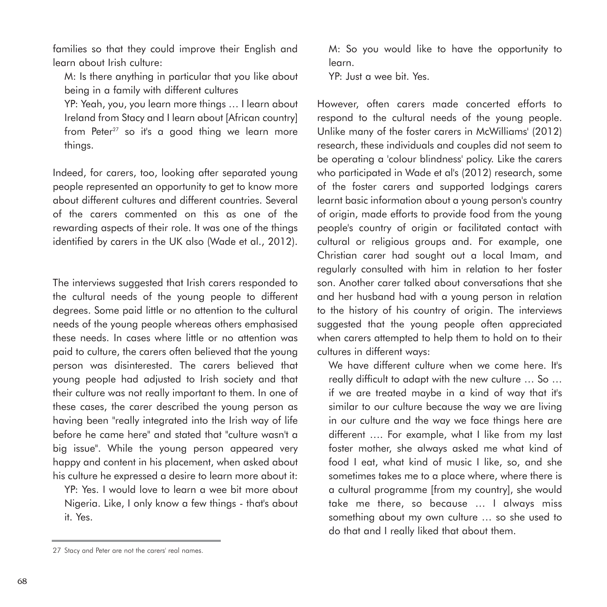families so that they could improve their English and learn about Irish culture:

M: Is there anything in particular that you like about being in a family with different cultures

YP: Yeah, you, you learn more things … I learn about Ireland from Stacy and I learn about [African country] from Peter<sup>27</sup> so it's a good thing we learn more things.

Indeed, for carers, too, looking after separated young people represented an opportunity to get to know more about different cultures and different countries. Several of the carers commented on this as one of the rewarding aspects of their role. It was one of the things identified by carers in the UK also (Wade et al., 2012).

The interviews suggested that Irish carers responded to the cultural needs of the young people to different degrees. Some paid little or no attention to the cultural needs of the young people whereas others emphasised these needs. In cases where little or no attention was paid to culture, the carers often believed that the young person was disinterested. The carers believed that young people had adjusted to Irish society and that their culture was not really important to them. In one of these cases, the carer described the young person as having been "really integrated into the Irish way of life before he came here" and stated that "culture wasn't a big issue". While the young person appeared very happy and content in his placement, when asked about his culture he expressed a desire to learn more about it:

YP: Yes. I would love to learn a wee bit more about Nigeria. Like, I only know a few things - that's about it. Yes.

M: So you would like to have the opportunity to learn.

YP: Just a wee bit. Yes.

However, often carers made concerted efforts to respond to the cultural needs of the young people. Unlike many of the foster carers in McWilliams' (2012) research, these individuals and couples did not seem to be operating a 'colour blindness' policy. Like the carers who participated in Wade et al's (2012) research, some of the foster carers and supported lodgings carers learnt basic information about a young person's country of origin, made efforts to provide food from the young people's country of origin or facilitated contact with cultural or religious groups and. For example, one Christian carer had sought out a local Imam, and regularly consulted with him in relation to her foster son. Another carer talked about conversations that she and her husband had with a young person in relation to the history of his country of origin. The interviews suggested that the young people often appreciated when carers attempted to help them to hold on to their cultures in different ways:

We have different culture when we come here. It's really difficult to adapt with the new culture … So … if we are treated maybe in a kind of way that it's similar to our culture because the way we are living in our culture and the way we face things here are different …. For example, what I like from my last foster mother, she always asked me what kind of food I eat, what kind of music I like, so, and she sometimes takes me to a place where, where there is a cultural programme [from my country], she would take me there, so because … I always miss something about my own culture … so she used to do that and I really liked that about them.

<sup>27</sup> Stacy and Peter are not the carers' real names.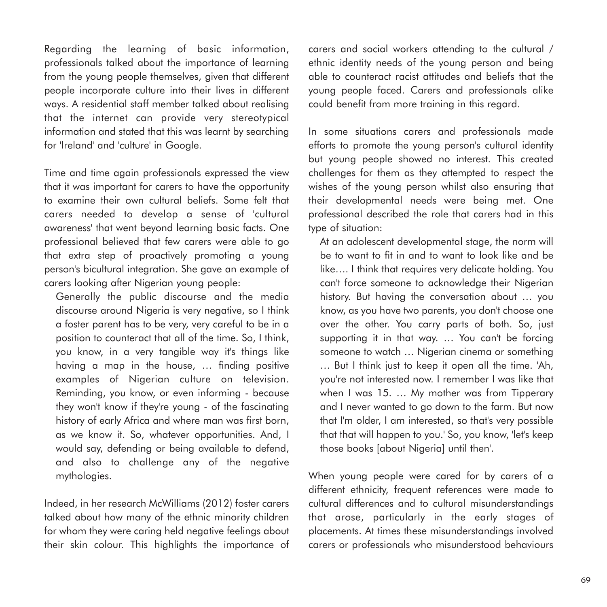Regarding the learning of basic information, professionals talked about the importance of learning from the young people themselves, given that different people incorporate culture into their lives in different ways. A residential staff member talked about realising that the internet can provide very stereotypical information and stated that this was learnt by searching for 'Ireland' and 'culture' in Google.

Time and time again professionals expressed the view that it was important for carers to have the opportunity to examine their own cultural beliefs. Some felt that carers needed to develop a sense of 'cultural awareness' that went beyond learning basic facts. One professional believed that few carers were able to go that extra step of proactively promoting a young person's bicultural integration. She gave an example of carers looking after Nigerian young people:

Generally the public discourse and the media discourse around Nigeria is very negative, so I think a foster parent has to be very, very careful to be in a position to counteract that all of the time. So, I think, you know, in a very tangible way it's things like having a map in the house, … finding positive examples of Nigerian culture on television. Reminding, you know, or even informing - because they won't know if they're young - of the fascinating history of early Africa and where man was first born, as we know it. So, whatever opportunities. And, I would say, defending or being available to defend, and also to challenge any of the negative mythologies.

Indeed, in her research McWilliams (2012) foster carers talked about how many of the ethnic minority children for whom they were caring held negative feelings about their skin colour. This highlights the importance of carers and social workers attending to the cultural / ethnic identity needs of the young person and being able to counteract racist attitudes and beliefs that the young people faced. Carers and professionals alike could benefit from more training in this regard.

In some situations carers and professionals made efforts to promote the young person's cultural identity but young people showed no interest. This created challenges for them as they attempted to respect the wishes of the young person whilst also ensuring that their developmental needs were being met. One professional described the role that carers had in this type of situation:

At an adolescent developmental stage, the norm will be to want to fit in and to want to look like and be like…. I think that requires very delicate holding. You can't force someone to acknowledge their Nigerian history. But having the conversation about … you know, as you have two parents, you don't choose one over the other. You carry parts of both. So, just supporting it in that way. … You can't be forcing someone to watch … Nigerian cinema or something … But I think just to keep it open all the time. 'Ah, you're not interested now. I remember I was like that when I was 15. … My mother was from Tipperary and I never wanted to go down to the farm. But now that I'm older, I am interested, so that's very possible that that will happen to you.' So, you know, 'let's keep those books [about Nigeria] until then'.

When young people were cared for by carers of a different ethnicity, frequent references were made to cultural differences and to cultural misunderstandings that arose, particularly in the early stages of placements. At times these misunderstandings involved carers or professionals who misunderstood behaviours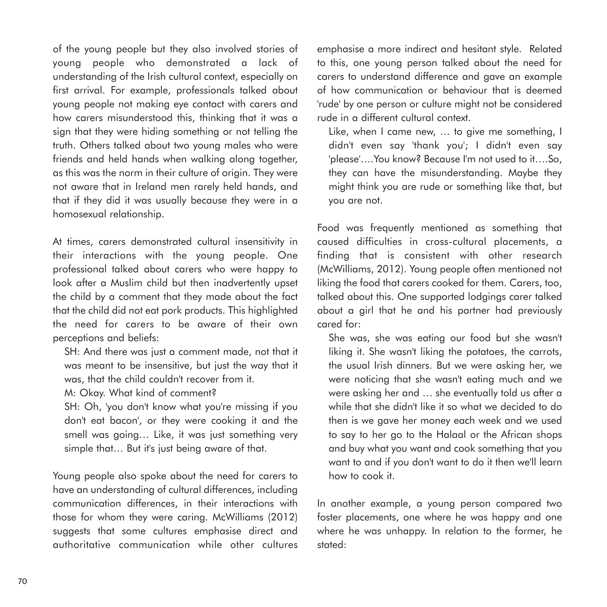of the young people but they also involved stories of young people who demonstrated a lack of understanding of the Irish cultural context, especially on first arrival. For example, professionals talked about young people not making eye contact with carers and how carers misunderstood this, thinking that it was a sign that they were hiding something or not telling the truth. Others talked about two young males who were friends and held hands when walking along together, as this was the norm in their culture of origin. They were not aware that in Ireland men rarely held hands, and that if they did it was usually because they were in a homosexual relationship.

At times, carers demonstrated cultural insensitivity in their interactions with the young people. One professional talked about carers who were happy to look after a Muslim child but then inadvertently upset the child by a comment that they made about the fact that the child did not eat pork products. This highlighted the need for carers to be aware of their own perceptions and beliefs:

SH: And there was just a comment made, not that it was meant to be insensitive, but just the way that it was, that the child couldn't recover from it.

M: Okay. What kind of comment?

SH: Oh, 'you don't know what you're missing if you don't eat bacon', or they were cooking it and the smell was going… Like, it was just something very simple that… But it's just being aware of that.

Young people also spoke about the need for carers to have an understanding of cultural differences, including communication differences, in their interactions with those for whom they were caring. McWilliams (2012) suggests that some cultures emphasise direct and authoritative communication while other cultures emphasise a more indirect and hesitant style. Related to this, one young person talked about the need for carers to understand difference and gave an example of how communication or behaviour that is deemed 'rude' by one person or culture might not be considered rude in a different cultural context.

Like, when I came new, … to give me something, I didn't even say 'thank you'; I didn't even say 'please'….You know? Because I'm not used to it….So, they can have the misunderstanding. Maybe they might think you are rude or something like that, but you are not.

Food was frequently mentioned as something that caused difficulties in cross-cultural placements, a finding that is consistent with other research (McWilliams, 2012). Young people often mentioned not liking the food that carers cooked for them. Carers, too, talked about this. One supported lodgings carer talked about a girl that he and his partner had previously cared for:

She was, she was eating our food but she wasn't liking it. She wasn't liking the potatoes, the carrots, the usual Irish dinners. But we were asking her, we were noticing that she wasn't eating much and we were asking her and … she eventually told us after a while that she didn't like it so what we decided to do then is we gave her money each week and we used to say to her go to the Halaal or the African shops and buy what you want and cook something that you want to and if you don't want to do it then we'll learn how to cook it.

In another example, a young person compared two foster placements, one where he was happy and one where he was unhappy. In relation to the former, he stated: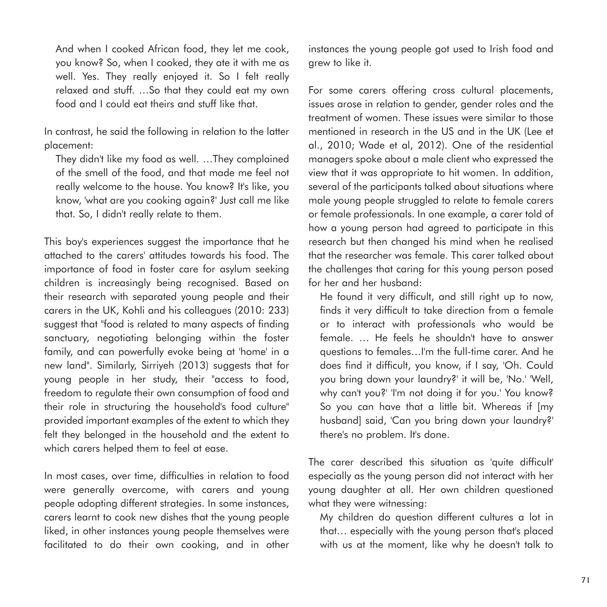And when I cooked African food, they let me cook, you know? So, when I cooked, they ate it with me as well. Yes. They really enjoyed it. So I felt really relaxed and stuff. …So that they could eat my own food and I could eat theirs and stuff like that.

In contrast, he said the following in relation to the latter placement:

They didn't like my food as well. …They complained of the smell of the food, and that made me feel not really welcome to the house. You know? It's like, you know, 'what are you cooking again?' Just call me like that. So, I didn't really relate to them.

This boy's experiences suggest the importance that he attached to the carers' attitudes towards his food. The importance of food in foster care for asylum seeking children is increasingly being recognised. Based on their research with separated young people and their carers in the UK, Kohli and his colleagues (2010: 233) suggest that "food is related to many aspects of finding sanctuary, negotiating belonging within the foster family, and can powerfully evoke being at 'home' in a new land". Similarly, Sirriyeh (2013) suggests that for young people in her study, their "access to food, freedom to regulate their own consumption of food and their role in structuring the household's food culture" provided important examples of the extent to which they felt they belonged in the household and the extent to which carers helped them to feel at ease.

In most cases, over time, difficulties in relation to food were generally overcome, with carers and young people adopting different strategies. In some instances, carers learnt to cook new dishes that the young people liked, in other instances young people themselves were facilitated to do their own cooking, and in other instances the young people got used to Irish food and grew to like it.

For some carers offering cross cultural placements, issues arose in relation to gender, gender roles and the treatment of women. These issues were similar to those mentioned in research in the US and in the UK (Lee et al., 2010; Wade et al, 2012). One of the residential managers spoke about a male client who expressed the view that it was appropriate to hit women. In addition, several of the participants talked about situations where male young people struggled to relate to female carers or female professionals. In one example, a carer told of how a young person had agreed to participate in this research but then changed his mind when he realised that the researcher was female. This carer talked about the challenges that caring for this young person posed for her and her husband:

He found it very difficult, and still right up to now, finds it very difficult to take direction from a female or to interact with professionals who would be female. … He feels he shouldn't have to answer questions to females…I'm the full-time carer. And he does find it difficult, you know, if I say, 'Oh. Could you bring down your laundry?' it will be, 'No.' 'Well, why can't you?' 'I'm not doing it for you.' You know? So you can have that a little bit. Whereas if [my husband] said, 'Can you bring down your laundry?' there's no problem. It's done.

The carer described this situation as 'quite difficult' especially as the young person did not interact with her young daughter at all. Her own children questioned what they were witnessing:

My children do question different cultures a lot in that… especially with the young person that's placed with us at the moment, like why he doesn't talk to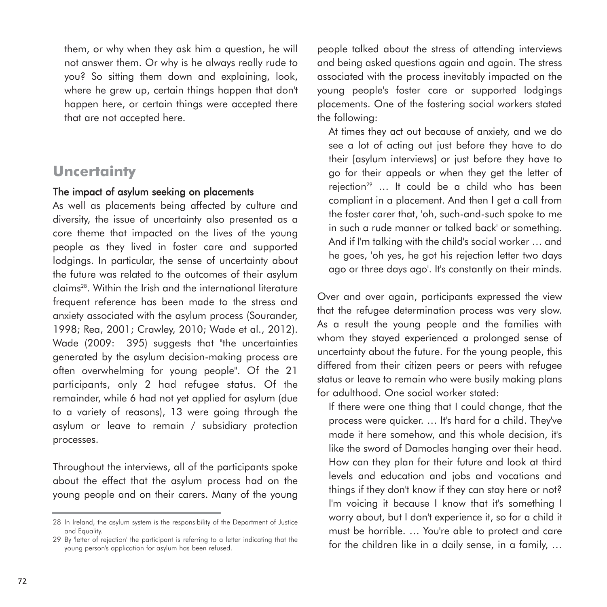them, or why when they ask him a question, he will not answer them. Or why is he always really rude to you? So sitting them down and explaining, look, where he grew up, certain things happen that don't happen here, or certain things were accepted there that are not accepted here.

## **Uncertainty**

#### The impact of asylum seeking on placements

As well as placements being affected by culture and diversity, the issue of uncertainty also presented as a core theme that impacted on the lives of the young people as they lived in foster care and supported lodgings. In particular, the sense of uncertainty about the future was related to the outcomes of their asylum claims28. Within the Irish and the international literature frequent reference has been made to the stress and anxiety associated with the asylum process (Sourander, 1998; Rea, 2001; Crawley, 2010; Wade et al., 2012). Wade (2009: 395) suggests that "the uncertainties generated by the asylum decision-making process are often overwhelming for young people". Of the 21 participants, only 2 had refugee status. Of the remainder, while 6 had not yet applied for asylum (due to a variety of reasons), 13 were going through the asylum or leave to remain / subsidiary protection processes.

Throughout the interviews, all of the participants spoke about the effect that the asylum process had on the young people and on their carers. Many of the young

people talked about the stress of attending interviews and being asked questions again and again. The stress associated with the process inevitably impacted on the young people's foster care or supported lodgings placements. One of the fostering social workers stated the following:

At times they act out because of anxiety, and we do see a lot of acting out just before they have to do their [asylum interviews] or just before they have to go for their appeals or when they get the letter of rejection<sup>29</sup> ... It could be a child who has been compliant in a placement. And then I get a call from the foster carer that, 'oh, such-and-such spoke to me in such a rude manner or talked back' or something. And if I'm talking with the child's social worker … and he goes, 'oh yes, he got his rejection letter two days ago or three days ago'. It's constantly on their minds.

Over and over again, participants expressed the view that the refugee determination process was very slow. As a result the young people and the families with whom they stayed experienced a prolonged sense of uncertainty about the future. For the young people, this differed from their citizen peers or peers with refugee status or leave to remain who were busily making plans for adulthood. One social worker stated:

If there were one thing that I could change, that the process were quicker. … It's hard for a child. They've made it here somehow, and this whole decision, it's like the sword of Damocles hanging over their head. How can they plan for their future and look at third levels and education and jobs and vocations and things if they don't know if they can stay here or not? I'm voicing it because I know that it's something I worry about, but I don't experience it, so for a child it must be horrible. … You're able to protect and care for the children like in a daily sense, in a family, …

<sup>28</sup> In Ireland, the asylum system is the responsibility of the Department of Justice and Equality.

<sup>29</sup> By 'letter of rejection' the participant is referring to a letter indicating that the young person's application for asylum has been refused.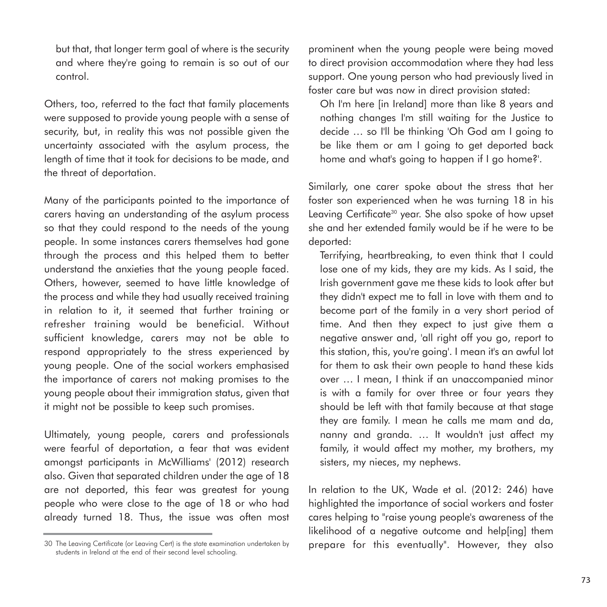but that, that longer term goal of where is the security and where they're going to remain is so out of our control.

Others, too, referred to the fact that family placements were supposed to provide young people with a sense of security, but, in reality this was not possible given the uncertainty associated with the asylum process, the length of time that it took for decisions to be made, and the threat of deportation.

Many of the participants pointed to the importance of carers having an understanding of the asylum process so that they could respond to the needs of the young people. In some instances carers themselves had gone through the process and this helped them to better understand the anxieties that the young people faced. Others, however, seemed to have little knowledge of the process and while they had usually received training in relation to it, it seemed that further training or refresher training would be beneficial. Without sufficient knowledge, carers may not be able to respond appropriately to the stress experienced by young people. One of the social workers emphasised the importance of carers not making promises to the young people about their immigration status, given that it might not be possible to keep such promises.

Ultimately, young people, carers and professionals were fearful of deportation, a fear that was evident amongst participants in McWilliams' (2012) research also. Given that separated children under the age of 18 are not deported, this fear was greatest for young people who were close to the age of 18 or who had already turned 18. Thus, the issue was often most

30 The Leaving Certificate (or Leaving Cert) is the state examination undertaken by students in Ireland at the end of their second level schooling.

prominent when the young people were being moved to direct provision accommodation where they had less support. One young person who had previously lived in foster care but was now in direct provision stated:

Oh I'm here [in Ireland] more than like 8 years and nothing changes I'm still waiting for the Justice to decide … so I'll be thinking 'Oh God am I going to be like them or am I going to get deported back home and what's going to happen if I go home?'.

Similarly, one carer spoke about the stress that her foster son experienced when he was turning 18 in his Leaving Certificate<sup>30</sup> year. She also spoke of how upset she and her extended family would be if he were to be deported:

Terrifying, heartbreaking, to even think that I could lose one of my kids, they are my kids. As I said, the Irish government gave me these kids to look after but they didn't expect me to fall in love with them and to become part of the family in a very short period of time. And then they expect to just give them a negative answer and, 'all right off you go, report to this station, this, you're going'. I mean it's an awful lot for them to ask their own people to hand these kids over … I mean, I think if an unaccompanied minor is with a family for over three or four years they should be left with that family because at that stage they are family. I mean he calls me mam and da, nanny and granda. … It wouldn't just affect my family, it would affect my mother, my brothers, my sisters, my nieces, my nephews.

In relation to the UK, Wade et al. (2012: 246) have highlighted the importance of social workers and foster cares helping to "raise young people's awareness of the likelihood of a negative outcome and help[ing] them prepare for this eventually". However, they also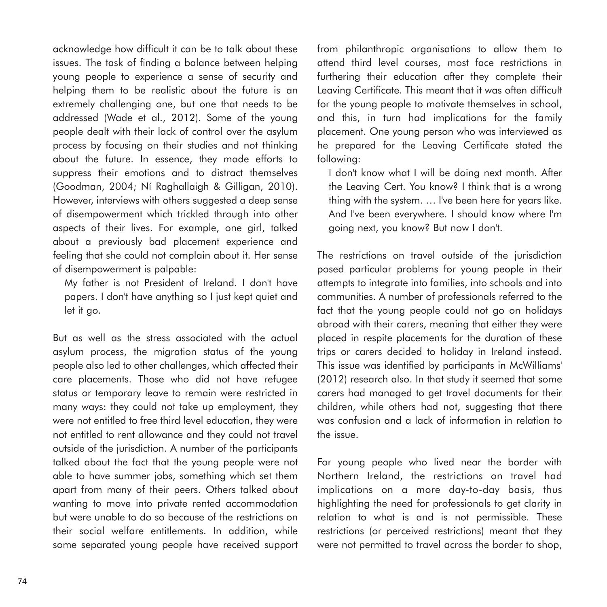acknowledge how difficult it can be to talk about these issues. The task of finding a balance between helping young people to experience a sense of security and helping them to be realistic about the future is an extremely challenging one, but one that needs to be addressed (Wade et al., 2012). Some of the young people dealt with their lack of control over the asylum process by focusing on their studies and not thinking about the future. In essence, they made efforts to suppress their emotions and to distract themselves (Goodman, 2004; Ní Raghallaigh & Gilligan, 2010). However, interviews with others suggested a deep sense of disempowerment which trickled through into other aspects of their lives. For example, one girl, talked about a previously bad placement experience and feeling that she could not complain about it. Her sense of disempowerment is palpable:

My father is not President of Ireland. I don't have papers. I don't have anything so I just kept quiet and let it go.

But as well as the stress associated with the actual asylum process, the migration status of the young people also led to other challenges, which affected their care placements. Those who did not have refugee status or temporary leave to remain were restricted in many ways: they could not take up employment, they were not entitled to free third level education, they were not entitled to rent allowance and they could not travel outside of the jurisdiction. A number of the participants talked about the fact that the young people were not able to have summer jobs, something which set them apart from many of their peers. Others talked about wanting to move into private rented accommodation but were unable to do so because of the restrictions on their social welfare entitlements. In addition, while some separated young people have received support from philanthropic organisations to allow them to attend third level courses, most face restrictions in furthering their education after they complete their Leaving Certificate. This meant that it was often difficult for the young people to motivate themselves in school, and this, in turn had implications for the family placement. One young person who was interviewed as he prepared for the Leaving Certificate stated the following:

I don't know what I will be doing next month. After the Leaving Cert. You know? I think that is a wrong thing with the system. … I've been here for years like. And I've been everywhere. I should know where I'm going next, you know? But now I don't.

The restrictions on travel outside of the jurisdiction posed particular problems for young people in their attempts to integrate into families, into schools and into communities. A number of professionals referred to the fact that the young people could not go on holidays abroad with their carers, meaning that either they were placed in respite placements for the duration of these trips or carers decided to holiday in Ireland instead. This issue was identified by participants in McWilliams' (2012) research also. In that study it seemed that some carers had managed to get travel documents for their children, while others had not, suggesting that there was confusion and a lack of information in relation to the issue.

For young people who lived near the border with Northern Ireland, the restrictions on travel had implications on a more day-to-day basis, thus highlighting the need for professionals to get clarity in relation to what is and is not permissible. These restrictions (or perceived restrictions) meant that they were not permitted to travel across the border to shop,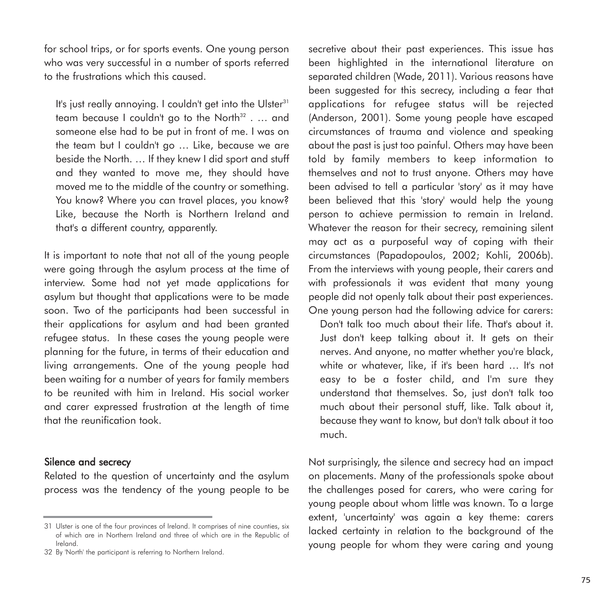for school trips, or for sports events. One young person who was very successful in a number of sports referred to the frustrations which this caused.

It's just really annoying. I couldn't get into the Ulster<sup>31</sup> team because I couldn't go to the North $32$  . ... and someone else had to be put in front of me. I was on the team but I couldn't go … Like, because we are beside the North. … If they knew I did sport and stuff and they wanted to move me, they should have moved me to the middle of the country or something. You know? Where you can travel places, you know? Like, because the North is Northern Ireland and that's a different country, apparently.

It is important to note that not all of the young people were going through the asylum process at the time of interview. Some had not yet made applications for asylum but thought that applications were to be made soon. Two of the participants had been successful in their applications for asylum and had been granted refugee status. In these cases the young people were planning for the future, in terms of their education and living arrangements. One of the young people had been waiting for a number of years for family members to be reunited with him in Ireland. His social worker and carer expressed frustration at the length of time that the reunification took.

#### Silence and secrecy

Related to the question of uncertainty and the asylum process was the tendency of the young people to be

secretive about their past experiences. This issue has been highlighted in the international literature on separated children (Wade, 2011). Various reasons have been suggested for this secrecy, including a fear that applications for refugee status will be rejected (Anderson, 2001). Some young people have escaped circumstances of trauma and violence and speaking about the past is just too painful. Others may have been told by family members to keep information to themselves and not to trust anyone. Others may have been advised to tell a particular 'story' as it may have been believed that this 'story' would help the young person to achieve permission to remain in Ireland. Whatever the reason for their secrecy, remaining silent may act as a purposeful way of coping with their circumstances (Papadopoulos, 2002; Kohli, 2006b). From the interviews with young people, their carers and with professionals it was evident that many young people did not openly talk about their past experiences. One young person had the following advice for carers:

Don't talk too much about their life. That's about it. Just don't keep talking about it. It gets on their nerves. And anyone, no matter whether you're black, white or whatever, like, if it's been hard ... It's not easy to be a foster child, and I'm sure they understand that themselves. So, just don't talk too much about their personal stuff, like. Talk about it, because they want to know, but don't talk about it too much.

Not surprisingly, the silence and secrecy had an impact on placements. Many of the professionals spoke about the challenges posed for carers, who were caring for young people about whom little was known. To a large extent, 'uncertainty' was again a key theme: carers lacked certainty in relation to the background of the young people for whom they were caring and young

<sup>31</sup> Ulster is one of the four provinces of Ireland. It comprises of nine counties, six of which are in Northern Ireland and three of which are in the Republic of Ireland.

<sup>32</sup> By 'North' the participant is referring to Northern Ireland.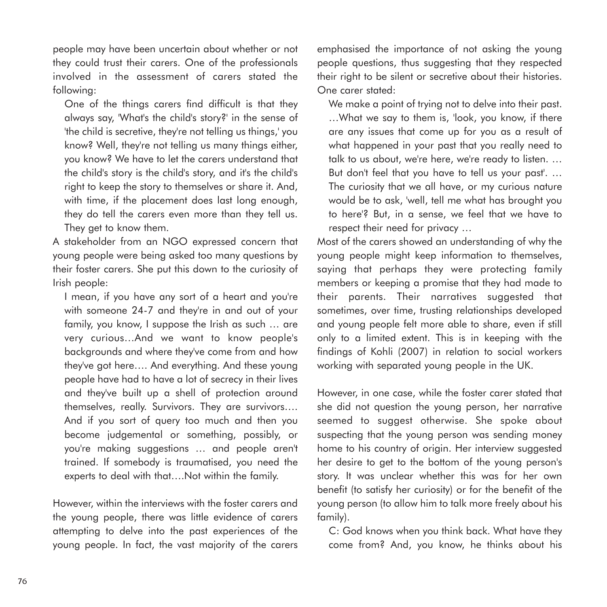people may have been uncertain about whether or not they could trust their carers. One of the professionals involved in the assessment of carers stated the following:

One of the things carers find difficult is that they always say, 'What's the child's story?' in the sense of 'the child is secretive, they're not telling us things,' you know? Well, they're not telling us many things either, you know? We have to let the carers understand that the child's story is the child's story, and it's the child's right to keep the story to themselves or share it. And, with time, if the placement does last long enough, they do tell the carers even more than they tell us. They get to know them.

A stakeholder from an NGO expressed concern that young people were being asked too many questions by their foster carers. She put this down to the curiosity of Irish people:

I mean, if you have any sort of a heart and you're with someone 24-7 and they're in and out of your family, you know, I suppose the Irish as such … are very curious…And we want to know people's backgrounds and where they've come from and how they've got here…. And everything. And these young people have had to have a lot of secrecy in their lives and they've built up a shell of protection around themselves, really. Survivors. They are survivors…. And if you sort of query too much and then you become judgemental or something, possibly, or you're making suggestions … and people aren't trained. If somebody is traumatised, you need the experts to deal with that….Not within the family.

However, within the interviews with the foster carers and the young people, there was little evidence of carers attempting to delve into the past experiences of the young people. In fact, the vast majority of the carers

emphasised the importance of not asking the young people questions, thus suggesting that they respected their right to be silent or secretive about their histories. One carer stated:

We make a point of trying not to delve into their past.

…What we say to them is, 'look, you know, if there are any issues that come up for you as a result of what happened in your past that you really need to talk to us about, we're here, we're ready to listen. … But don't feel that you have to tell us your past'. … The curiosity that we all have, or my curious nature would be to ask, 'well, tell me what has brought you to here'? But, in a sense, we feel that we have to respect their need for privacy …

Most of the carers showed an understanding of why the young people might keep information to themselves, saying that perhaps they were protecting family members or keeping a promise that they had made to their parents. Their narratives suggested that sometimes, over time, trusting relationships developed and young people felt more able to share, even if still only to a limited extent. This is in keeping with the findings of Kohli (2007) in relation to social workers working with separated young people in the UK.

However, in one case, while the foster carer stated that she did not question the young person, her narrative seemed to suggest otherwise. She spoke about suspecting that the young person was sending money home to his country of origin. Her interview suggested her desire to get to the bottom of the young person's story. It was unclear whether this was for her own benefit (to satisfy her curiosity) or for the benefit of the young person (to allow him to talk more freely about his family).

C: God knows when you think back. What have they come from? And, you know, he thinks about his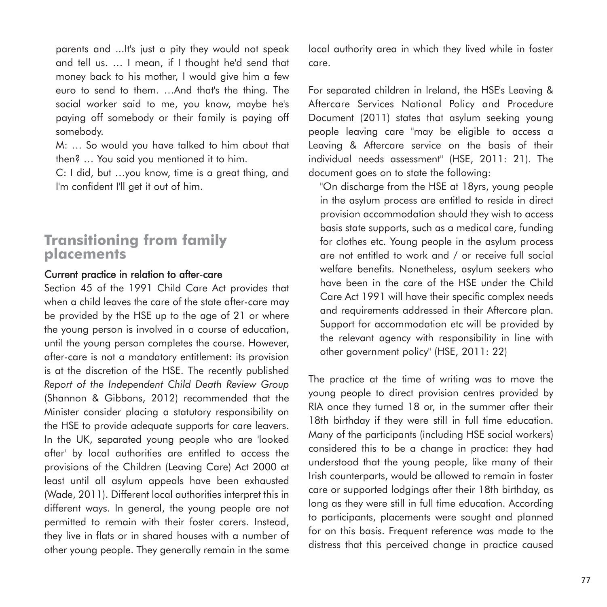parents and ...It's just a pity they would not speak and tell us. … I mean, if I thought he'd send that money back to his mother, I would give him a few euro to send to them. …And that's the thing. The social worker said to me, you know, maybe he's paying off somebody or their family is paying off somebody.

M: … So would you have talked to him about that then? … You said you mentioned it to him.

C: I did, but …you know, time is a great thing, and I'm confident I'll get it out of him.

## **Transitioning from family placements**

#### Current practice in relation to after-care

Section 45 of the 1991 Child Care Act provides that when a child leaves the care of the state after-care may be provided by the HSE up to the age of 21 or where the young person is involved in a course of education, until the young person completes the course. However, after-care is not a mandatory entitlement: its provision is at the discretion of the HSE. The recently published *Report of the Independent Child Death Review Group* (Shannon & Gibbons, 2012) recommended that the Minister consider placing a statutory responsibility on the HSE to provide adequate supports for care leavers. In the UK, separated young people who are 'looked after' by local authorities are entitled to access the provisions of the Children (Leaving Care) Act 2000 at least until all asylum appeals have been exhausted (Wade, 2011). Different local authorities interpret this in different ways. In general, the young people are not permitted to remain with their foster carers. Instead, they live in flats or in shared houses with a number of other young people. They generally remain in the same local authority area in which they lived while in foster care.

For separated children in Ireland, the HSE's Leaving & Aftercare Services National Policy and Procedure Document (2011) states that asylum seeking young people leaving care "may be eligible to access a Leaving & Aftercare service on the basis of their individual needs assessment" (HSE, 2011: 21). The document goes on to state the following:

"On discharge from the HSE at 18yrs, young people in the asylum process are entitled to reside in direct provision accommodation should they wish to access basis state supports, such as a medical care, funding for clothes etc. Young people in the asylum process are not entitled to work and / or receive full social welfare benefits. Nonetheless, asylum seekers who have been in the care of the HSE under the Child Care Act 1991 will have their specific complex needs and requirements addressed in their Aftercare plan. Support for accommodation etc will be provided by the relevant agency with responsibility in line with other government policy" (HSE, 2011: 22)

The practice at the time of writing was to move the young people to direct provision centres provided by RIA once they turned 18 or, in the summer after their 18th birthday if they were still in full time education. Many of the participants (including HSE social workers) considered this to be a change in practice: they had understood that the young people, like many of their Irish counterparts, would be allowed to remain in foster care or supported lodgings after their 18th birthday, as long as they were still in full time education. According to participants, placements were sought and planned for on this basis. Frequent reference was made to the distress that this perceived change in practice caused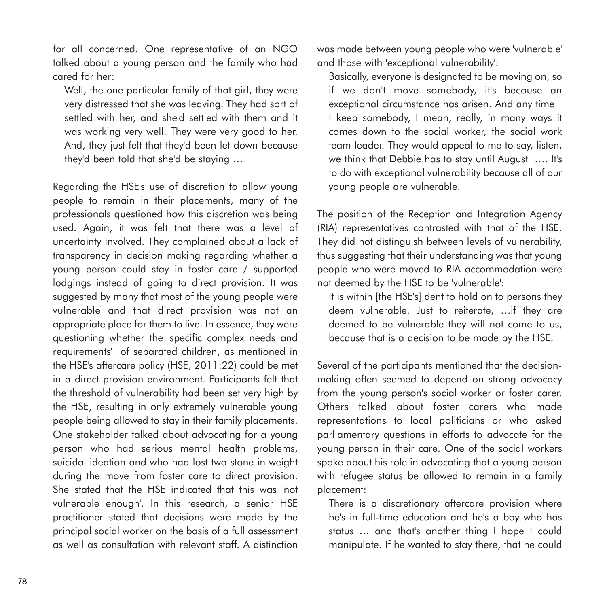for all concerned. One representative of an NGO talked about a young person and the family who had cared for her:

Well, the one particular family of that girl, they were very distressed that she was leaving. They had sort of settled with her, and she'd settled with them and it was working very well. They were very good to her. And, they just felt that they'd been let down because they'd been told that she'd be staying …

Regarding the HSE's use of discretion to allow young people to remain in their placements, many of the professionals questioned how this discretion was being used. Again, it was felt that there was a level of uncertainty involved. They complained about a lack of transparency in decision making regarding whether a young person could stay in foster care / supported lodgings instead of going to direct provision. It was suggested by many that most of the young people were vulnerable and that direct provision was not an appropriate place for them to live. In essence, they were questioning whether the 'specific complex needs and requirements' of separated children, as mentioned in the HSE's aftercare policy (HSE, 2011:22) could be met in a direct provision environment. Participants felt that the threshold of vulnerability had been set very high by the HSE, resulting in only extremely vulnerable young people being allowed to stay in their family placements. One stakeholder talked about advocating for a young person who had serious mental health problems, suicidal ideation and who had lost two stone in weight during the move from foster care to direct provision. She stated that the HSE indicated that this was 'not vulnerable enough'. In this research, a senior HSE practitioner stated that decisions were made by the principal social worker on the basis of a full assessment as well as consultation with relevant staff. A distinction

was made between young people who were 'vulnerable' and those with 'exceptional vulnerability':

Basically, everyone is designated to be moving on, so if we don't move somebody, it's because an exceptional circumstance has arisen. And any time I keep somebody, I mean, really, in many ways it comes down to the social worker, the social work team leader. They would appeal to me to say, listen, we think that Debbie has to stay until August …. It's to do with exceptional vulnerability because all of our young people are vulnerable.

The position of the Reception and Integration Agency (RIA) representatives contrasted with that of the HSE. They did not distinguish between levels of vulnerability, thus suggesting that their understanding was that young people who were moved to RIA accommodation were not deemed by the HSE to be 'vulnerable':

It is within [the HSE's] dent to hold on to persons they deem vulnerable. Just to reiterate, …if they are deemed to be vulnerable they will not come to us, because that is a decision to be made by the HSE.

Several of the participants mentioned that the decisionmaking often seemed to depend on strong advocacy from the young person's social worker or foster carer. Others talked about foster carers who made representations to local politicians or who asked parliamentary questions in efforts to advocate for the young person in their care. One of the social workers spoke about his role in advocating that a young person with refugee status be allowed to remain in a family placement:

There is a discretionary aftercare provision where he's in full-time education and he's a boy who has status … and that's another thing I hope I could manipulate. If he wanted to stay there, that he could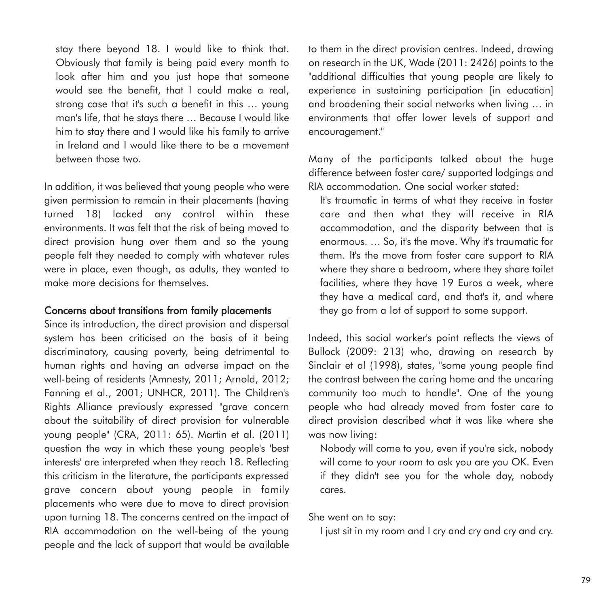stay there beyond 18. I would like to think that. Obviously that family is being paid every month to look after him and you just hope that someone would see the benefit, that I could make a real, strong case that it's such a benefit in this ... young man's life, that he stays there … Because I would like him to stay there and I would like his family to arrive in Ireland and I would like there to be a movement between those two.

In addition, it was believed that young people who were given permission to remain in their placements (having turned 18) lacked any control within these environments. It was felt that the risk of being moved to direct provision hung over them and so the young people felt they needed to comply with whatever rules were in place, even though, as adults, they wanted to make more decisions for themselves.

#### Concerns about transitions from family placements

Since its introduction, the direct provision and dispersal system has been criticised on the basis of it being discriminatory, causing poverty, being detrimental to human rights and having an adverse impact on the well-being of residents (Amnesty, 2011; Arnold, 2012; Fanning et al., 2001; UNHCR, 2011). The Children's Rights Alliance previously expressed "grave concern about the suitability of direct provision for vulnerable young people" (CRA, 2011: 65). Martin et al. (2011) question the way in which these young people's 'best interests' are interpreted when they reach 18. Reflecting this criticism in the literature, the participants expressed grave concern about young people in family placements who were due to move to direct provision upon turning 18. The concerns centred on the impact of RIA accommodation on the well-being of the young people and the lack of support that would be available to them in the direct provision centres. Indeed, drawing on research in the UK, Wade (2011: 2426) points to the "additional difficulties that young people are likely to experience in sustaining participation [in education] and broadening their social networks when living … in environments that offer lower levels of support and encouragement."

Many of the participants talked about the huge difference between foster care/ supported lodgings and RIA accommodation. One social worker stated:

It's traumatic in terms of what they receive in foster care and then what they will receive in RIA accommodation, and the disparity between that is enormous. … So, it's the move. Why it's traumatic for them. It's the move from foster care support to RIA where they share a bedroom, where they share toilet facilities, where they have 19 Euros a week, where they have a medical card, and that's it, and where they go from a lot of support to some support.

Indeed, this social worker's point reflects the views of Bullock (2009: 213) who, drawing on research by Sinclair et al (1998), states, "some young people find the contrast between the caring home and the uncaring community too much to handle". One of the young people who had already moved from foster care to direct provision described what it was like where she was now living:

Nobody will come to you, even if you're sick, nobody will come to your room to ask you are you OK. Even if they didn't see you for the whole day, nobody cares.

She went on to say:

I just sit in my room and I cry and cry and cry and cry.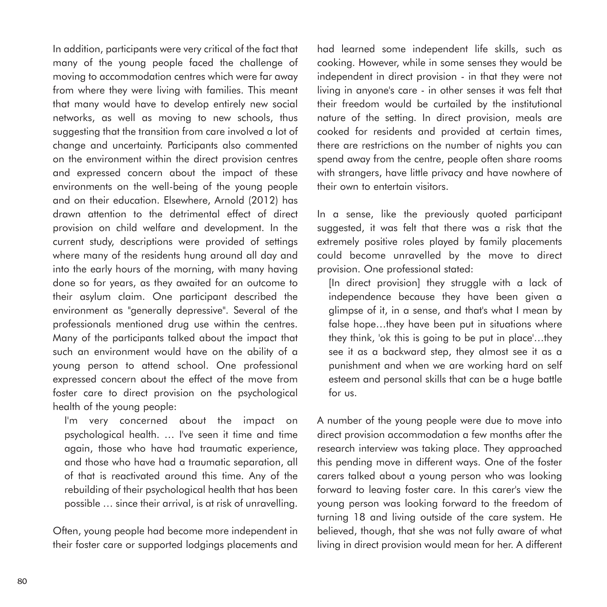In addition, participants were very critical of the fact that many of the young people faced the challenge of moving to accommodation centres which were far away from where they were living with families. This meant that many would have to develop entirely new social networks, as well as moving to new schools, thus suggesting that the transition from care involved a lot of change and uncertainty. Participants also commented on the environment within the direct provision centres and expressed concern about the impact of these environments on the well-being of the young people and on their education. Elsewhere, Arnold (2012) has drawn attention to the detrimental effect of direct provision on child welfare and development. In the current study, descriptions were provided of settings where many of the residents hung around all day and into the early hours of the morning, with many having done so for years, as they awaited for an outcome to their asylum claim. One participant described the environment as "generally depressive". Several of the professionals mentioned drug use within the centres. Many of the participants talked about the impact that such an environment would have on the ability of a young person to attend school. One professional expressed concern about the effect of the move from foster care to direct provision on the psychological health of the young people:

I'm very concerned about the impact on psychological health. … I've seen it time and time again, those who have had traumatic experience, and those who have had a traumatic separation, all of that is reactivated around this time. Any of the rebuilding of their psychological health that has been possible … since their arrival, is at risk of unravelling.

Often, young people had become more independent in their foster care or supported lodgings placements and

had learned some independent life skills, such as cooking. However, while in some senses they would be independent in direct provision - in that they were not living in anyone's care - in other senses it was felt that their freedom would be curtailed by the institutional nature of the setting. In direct provision, meals are cooked for residents and provided at certain times, there are restrictions on the number of nights you can spend away from the centre, people often share rooms with strangers, have little privacy and have nowhere of their own to entertain visitors.

In a sense, like the previously quoted participant suggested, it was felt that there was a risk that the extremely positive roles played by family placements could become unravelled by the move to direct provision. One professional stated:

[In direct provision] they struggle with a lack of independence because they have been given a glimpse of it, in a sense, and that's what I mean by false hope...they have been put in situations where they think, 'ok this is going to be put in place'…they see it as a backward step, they almost see it as a punishment and when we are working hard on self esteem and personal skills that can be a huge battle for us.

A number of the young people were due to move into direct provision accommodation a few months after the research interview was taking place. They approached this pending move in different ways. One of the foster carers talked about a young person who was looking forward to leaving foster care. In this carer's view the young person was looking forward to the freedom of turning 18 and living outside of the care system. He believed, though, that she was not fully aware of what living in direct provision would mean for her. A different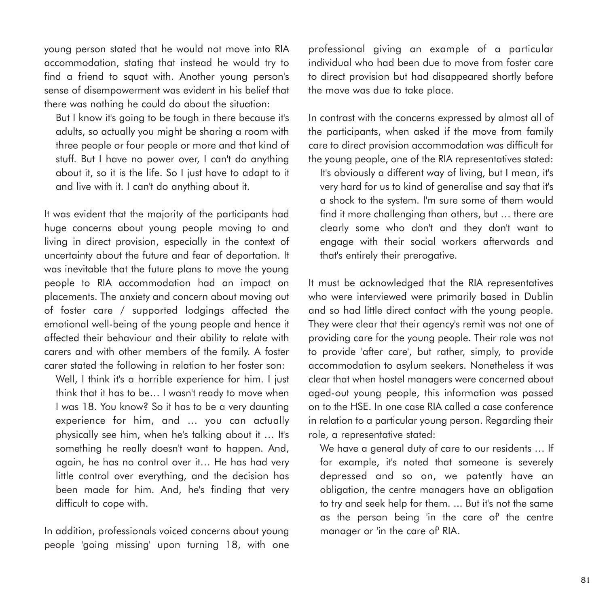young person stated that he would not move into RIA accommodation, stating that instead he would try to find a friend to squat with. Another young person's sense of disempowerment was evident in his belief that there was nothing he could do about the situation:

But I know it's going to be tough in there because it's adults, so actually you might be sharing a room with three people or four people or more and that kind of stuff. But I have no power over, I can't do anything about it, so it is the life. So I just have to adapt to it and live with it. I can't do anything about it.

It was evident that the majority of the participants had huge concerns about young people moving to and living in direct provision, especially in the context of uncertainty about the future and fear of deportation. It was inevitable that the future plans to move the young people to RIA accommodation had an impact on placements. The anxiety and concern about moving out of foster care / supported lodgings affected the emotional well-being of the young people and hence it affected their behaviour and their ability to relate with carers and with other members of the family. A foster carer stated the following in relation to her foster son:

Well, I think it's a horrible experience for him. I just think that it has to be… I wasn't ready to move when I was 18. You know? So it has to be a very daunting experience for him, and … you can actually physically see him, when he's talking about it ... It's something he really doesn't want to happen. And, again, he has no control over it… He has had very little control over everything, and the decision has been made for him. And, he's finding that very difficult to cope with.

In addition, professionals voiced concerns about young people 'going missing' upon turning 18, with one

professional giving an example of a particular individual who had been due to move from foster care to direct provision but had disappeared shortly before the move was due to take place.

In contrast with the concerns expressed by almost all of the participants, when asked if the move from family care to direct provision accommodation was difficult for the young people, one of the RIA representatives stated:

It's obviously a different way of living, but I mean, it's very hard for us to kind of generalise and say that it's a shock to the system. I'm sure some of them would find it more challenging than others, but … there are clearly some who don't and they don't want to engage with their social workers afterwards and that's entirely their prerogative.

It must be acknowledged that the RIA representatives who were interviewed were primarily based in Dublin and so had little direct contact with the young people. They were clear that their agency's remit was not one of providing care for the young people. Their role was not to provide 'after care', but rather, simply, to provide accommodation to asylum seekers. Nonetheless it was clear that when hostel managers were concerned about aged-out young people, this information was passed on to the HSE. In one case RIA called a case conference in relation to a particular young person. Regarding their role, a representative stated:

We have a general duty of care to our residents … If for example, it's noted that someone is severely depressed and so on, we patently have an obligation, the centre managers have an obligation to try and seek help for them. ... But it's not the same as the person being 'in the care of' the centre manager or 'in the care of' RIA.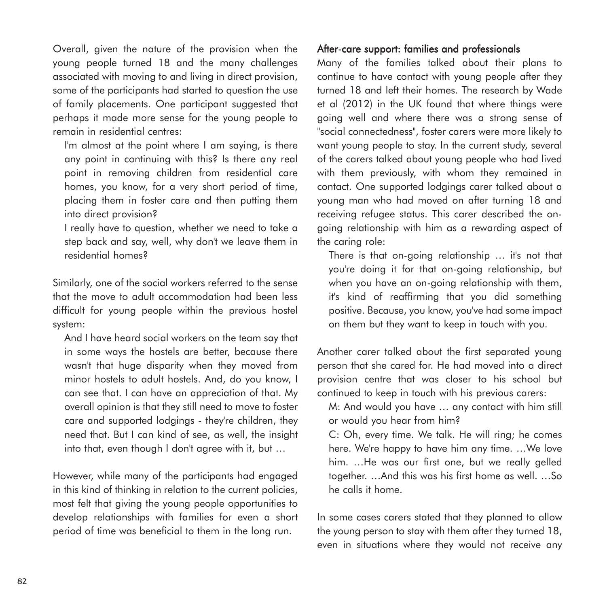Overall, given the nature of the provision when the young people turned 18 and the many challenges associated with moving to and living in direct provision, some of the participants had started to question the use of family placements. One participant suggested that perhaps it made more sense for the young people to remain in residential centres:

I'm almost at the point where I am saying, is there any point in continuing with this? Is there any real point in removing children from residential care homes, you know, for a very short period of time, placing them in foster care and then putting them into direct provision?

I really have to question, whether we need to take a step back and say, well, why don't we leave them in residential homes?

Similarly, one of the social workers referred to the sense that the move to adult accommodation had been less difficult for young people within the previous hostel system:

And I have heard social workers on the team say that in some ways the hostels are better, because there wasn't that huge disparity when they moved from minor hostels to adult hostels. And, do you know, I can see that. I can have an appreciation of that. My overall opinion is that they still need to move to foster care and supported lodgings - they're children, they need that. But I can kind of see, as well, the insight into that, even though I don't agree with it, but …

However, while many of the participants had engaged in this kind of thinking in relation to the current policies, most felt that giving the young people opportunities to develop relationships with families for even a short period of time was beneficial to them in the long run.

#### After-care support: families and professionals

Many of the families talked about their plans to continue to have contact with young people after they turned 18 and left their homes. The research by Wade et al (2012) in the UK found that where things were going well and where there was a strong sense of "social connectedness", foster carers were more likely to want young people to stay. In the current study, several of the carers talked about young people who had lived with them previously, with whom they remained in contact. One supported lodgings carer talked about a young man who had moved on after turning 18 and receiving refugee status. This carer described the ongoing relationship with him as a rewarding aspect of the caring role:

There is that on-going relationship … it's not that you're doing it for that on-going relationship, but when you have an on-going relationship with them, it's kind of reaffirming that you did something positive. Because, you know, you've had some impact on them but they want to keep in touch with you.

Another carer talked about the first separated young person that she cared for. He had moved into a direct provision centre that was closer to his school but continued to keep in touch with his previous carers:

M: And would you have … any contact with him still or would you hear from him?

C: Oh, every time. We talk. He will ring; he comes here. We're happy to have him any time. …We love him. …He was our first one, but we really gelled together. …And this was his first home as well. …So he calls it home.

In some cases carers stated that they planned to allow the young person to stay with them after they turned 18, even in situations where they would not receive any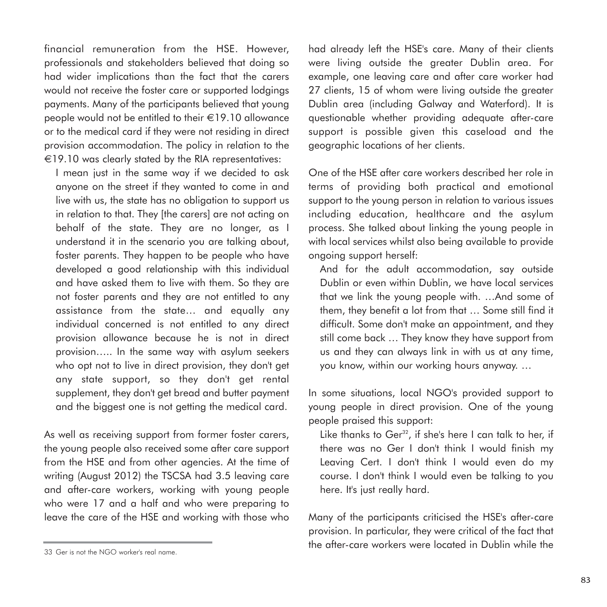financial remuneration from the HSE. However, professionals and stakeholders believed that doing so had wider implications than the fact that the carers would not receive the foster care or supported lodgings payments. Many of the participants believed that young people would not be entitled to their €19.10 allowance or to the medical card if they were not residing in direct provision accommodation. The policy in relation to the €19.10 was clearly stated by the RIA representatives:

I mean just in the same way if we decided to ask anyone on the street if they wanted to come in and live with us, the state has no obligation to support us in relation to that. They [the carers] are not acting on behalf of the state. They are no longer, as I understand it in the scenario you are talking about, foster parents. They happen to be people who have developed a good relationship with this individual and have asked them to live with them. So they are not foster parents and they are not entitled to any assistance from the state… and equally any individual concerned is not entitled to any direct provision allowance because he is not in direct provision….. In the same way with asylum seekers who opt not to live in direct provision, they don't get any state support, so they don't get rental supplement, they don't get bread and butter payment and the biggest one is not getting the medical card.

As well as receiving support from former foster carers, the young people also received some after care support from the HSE and from other agencies. At the time of writing (August 2012) the TSCSA had 3.5 leaving care and after-care workers, working with young people who were 17 and a half and who were preparing to leave the care of the HSE and working with those who had already left the HSE's care. Many of their clients were living outside the greater Dublin area. For example, one leaving care and after care worker had 27 clients, 15 of whom were living outside the greater Dublin area (including Galway and Waterford). It is questionable whether providing adequate after-care support is possible given this caseload and the geographic locations of her clients.

One of the HSE after care workers described her role in terms of providing both practical and emotional support to the young person in relation to various issues including education, healthcare and the asylum process. She talked about linking the young people in with local services whilst also being available to provide ongoing support herself:

And for the adult accommodation, say outside Dublin or even within Dublin, we have local services that we link the young people with. …And some of them, they benefit a lot from that … Some still find it difficult. Some don't make an appointment, and they still come back … They know they have support from us and they can always link in with us at any time, you know, within our working hours anyway. …

In some situations, local NGO's provided support to young people in direct provision. One of the young people praised this support:

Like thanks to Ger<sup>32</sup>, if she's here I can talk to her, if there was no Ger I don't think I would finish my Leaving Cert. I don't think I would even do my course. I don't think I would even be talking to you here. It's just really hard.

Many of the participants criticised the HSE's after-care provision. In particular, they were critical of the fact that the after-care workers were located in Dublin while the

<sup>33</sup> Ger is not the NGO worker's real name.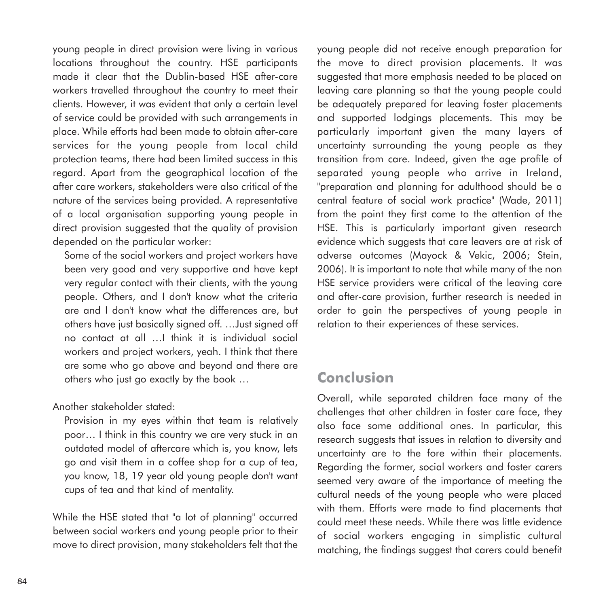young people in direct provision were living in various locations throughout the country. HSE participants made it clear that the Dublin-based HSE after-care workers travelled throughout the country to meet their clients. However, it was evident that only a certain level of service could be provided with such arrangements in place. While efforts had been made to obtain after-care services for the young people from local child protection teams, there had been limited success in this regard. Apart from the geographical location of the after care workers, stakeholders were also critical of the nature of the services being provided. A representative of a local organisation supporting young people in direct provision suggested that the quality of provision depended on the particular worker:

Some of the social workers and project workers have been very good and very supportive and have kept very regular contact with their clients, with the young people. Others, and I don't know what the criteria are and I don't know what the differences are, but others have just basically signed off. …Just signed off no contact at all …I think it is individual social workers and project workers, yeah. I think that there are some who go above and beyond and there are others who just go exactly by the book …

Another stakeholder stated:

Provision in my eyes within that team is relatively poor… I think in this country we are very stuck in an outdated model of aftercare which is, you know, lets go and visit them in a coffee shop for a cup of tea, you know, 18, 19 year old young people don't want cups of tea and that kind of mentality.

While the HSE stated that "a lot of planning" occurred between social workers and young people prior to their move to direct provision, many stakeholders felt that the

young people did not receive enough preparation for the move to direct provision placements. It was suggested that more emphasis needed to be placed on leaving care planning so that the young people could be adequately prepared for leaving foster placements and supported lodgings placements. This may be particularly important given the many layers of uncertainty surrounding the young people as they transition from care. Indeed, given the age profile of separated young people who arrive in Ireland, "preparation and planning for adulthood should be a central feature of social work practice" (Wade, 2011) from the point they first come to the attention of the HSE. This is particularly important given research evidence which suggests that care leavers are at risk of adverse outcomes (Mayock & Vekic, 2006; Stein, 2006). It is important to note that while many of the non HSE service providers were critical of the leaving care and after-care provision, further research is needed in order to gain the perspectives of young people in relation to their experiences of these services.

# **Conclusion**

Overall, while separated children face many of the challenges that other children in foster care face, they also face some additional ones. In particular, this research suggests that issues in relation to diversity and uncertainty are to the fore within their placements. Regarding the former, social workers and foster carers seemed very aware of the importance of meeting the cultural needs of the young people who were placed with them. Efforts were made to find placements that could meet these needs. While there was little evidence of social workers engaging in simplistic cultural matching, the findings suggest that carers could benefit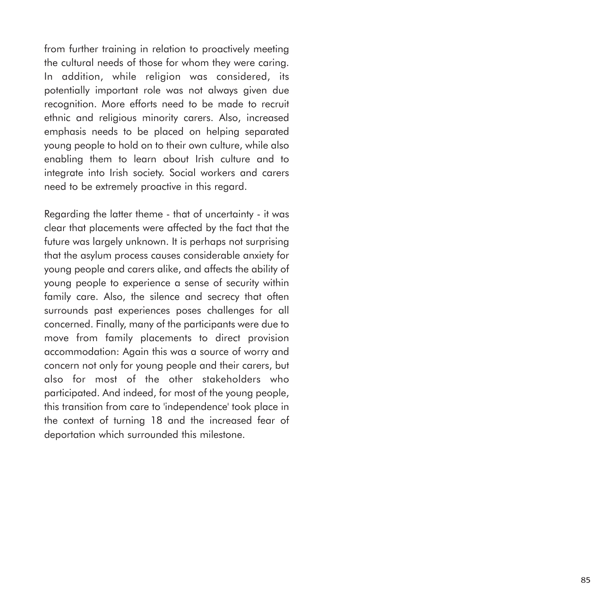from further training in relation to proactively meeting the cultural needs of those for whom they were caring. In addition, while religion was considered, its potentially important role was not always given due recognition. More efforts need to be made to recruit ethnic and religious minority carers. Also, increased emphasis needs to be placed on helping separated young people to hold on to their own culture, while also enabling them to learn about Irish culture and to integrate into Irish society. Social workers and carers need to be extremely proactive in this regard.

Regarding the latter theme - that of uncertainty - it was clear that placements were affected by the fact that the future was largely unknown. It is perhaps not surprising that the asylum process causes considerable anxiety for young people and carers alike, and affects the ability of young people to experience a sense of security within family care. Also, the silence and secrecy that often surrounds past experiences poses challenges for all concerned. Finally, many of the participants were due to move from family placements to direct provision accommodation: Again this was a source of worry and concern not only for young people and their carers, but also for most of the other stakeholders who participated. And indeed, for most of the young people, this transition from care to 'independence' took place in the context of turning 18 and the increased fear of deportation which surrounded this milestone.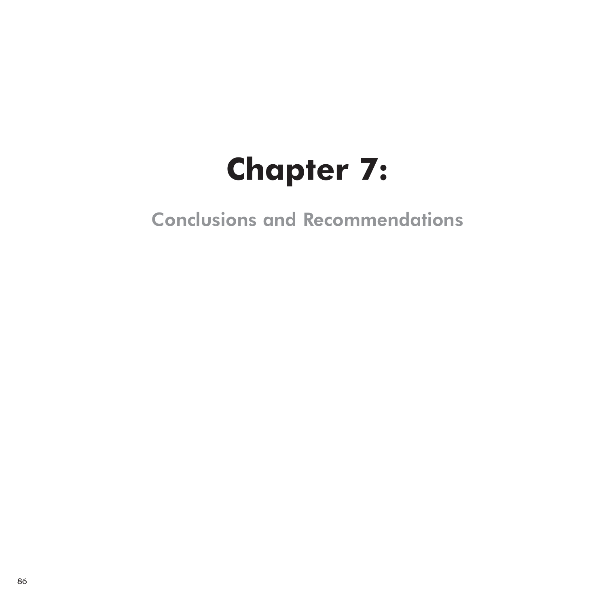# **Chapter 7:**

Conclusions and Recommendations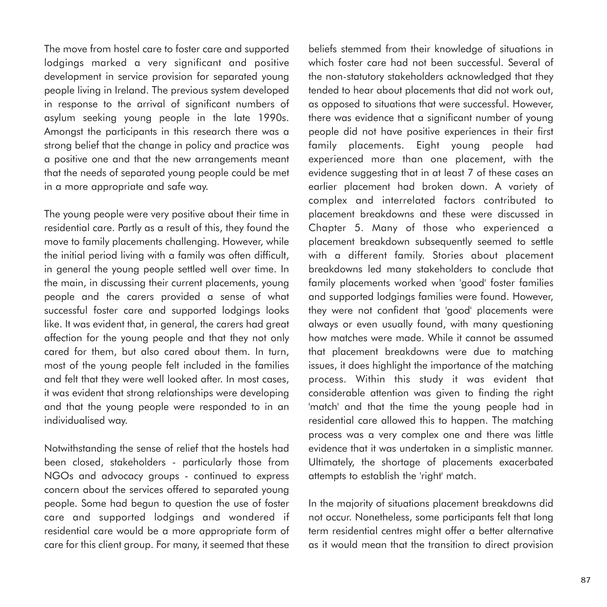The move from hostel care to foster care and supported lodgings marked a very significant and positive development in service provision for separated young people living in Ireland. The previous system developed in response to the arrival of significant numbers of asylum seeking young people in the late 1990s. Amongst the participants in this research there was a strong belief that the change in policy and practice was a positive one and that the new arrangements meant that the needs of separated young people could be met in a more appropriate and safe way.

The young people were very positive about their time in residential care. Partly as a result of this, they found the move to family placements challenging. However, while the initial period living with a family was often difficult, in general the young people settled well over time. In the main, in discussing their current placements, young people and the carers provided a sense of what successful foster care and supported lodgings looks like. It was evident that, in general, the carers had great affection for the young people and that they not only cared for them, but also cared about them. In turn, most of the young people felt included in the families and felt that they were well looked after. In most cases, it was evident that strong relationships were developing and that the young people were responded to in an individualised way.

Notwithstanding the sense of relief that the hostels had been closed, stakeholders - particularly those from NGOs and advocacy groups - continued to express concern about the services offered to separated young people. Some had begun to question the use of foster care and supported lodgings and wondered if residential care would be a more appropriate form of care for this client group. For many, it seemed that these

beliefs stemmed from their knowledge of situations in which foster care had not been successful. Several of the non-statutory stakeholders acknowledged that they tended to hear about placements that did not work out, as opposed to situations that were successful. However, there was evidence that a significant number of young people did not have positive experiences in their first family placements. Eight young people had experienced more than one placement, with the evidence suggesting that in at least 7 of these cases an earlier placement had broken down. A variety of complex and interrelated factors contributed to placement breakdowns and these were discussed in Chapter 5. Many of those who experienced a placement breakdown subsequently seemed to settle with a different family. Stories about placement breakdowns led many stakeholders to conclude that family placements worked when 'good' foster families and supported lodgings families were found. However, they were not confident that 'good' placements were always or even usually found, with many questioning how matches were made. While it cannot be assumed that placement breakdowns were due to matching issues, it does highlight the importance of the matching process. Within this study it was evident that considerable attention was given to finding the right 'match' and that the time the young people had in residential care allowed this to happen. The matching process was a very complex one and there was little evidence that it was undertaken in a simplistic manner. Ultimately, the shortage of placements exacerbated attempts to establish the 'right' match.

In the majority of situations placement breakdowns did not occur. Nonetheless, some participants felt that long term residential centres might offer a better alternative as it would mean that the transition to direct provision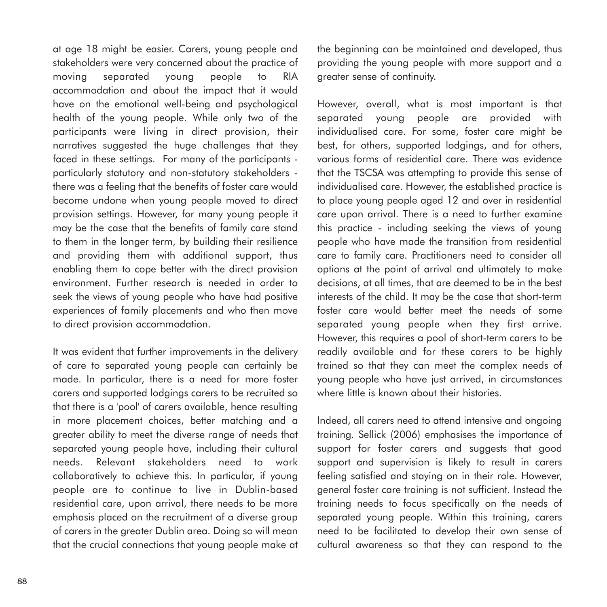at age 18 might be easier. Carers, young people and stakeholders were very concerned about the practice of moving separated young people to RIA accommodation and about the impact that it would have on the emotional well-being and psychological health of the young people. While only two of the participants were living in direct provision, their narratives suggested the huge challenges that they faced in these settings. For many of the participants particularly statutory and non-statutory stakeholders there was a feeling that the benefits of foster care would become undone when young people moved to direct provision settings. However, for many young people it may be the case that the benefits of family care stand to them in the longer term, by building their resilience and providing them with additional support, thus enabling them to cope better with the direct provision environment. Further research is needed in order to seek the views of young people who have had positive experiences of family placements and who then move to direct provision accommodation.

It was evident that further improvements in the delivery of care to separated young people can certainly be made. In particular, there is a need for more foster carers and supported lodgings carers to be recruited so that there is a 'pool' of carers available, hence resulting in more placement choices, better matching and a greater ability to meet the diverse range of needs that separated young people have, including their cultural needs. Relevant stakeholders need to work collaboratively to achieve this. In particular, if young people are to continue to live in Dublin-based residential care, upon arrival, there needs to be more emphasis placed on the recruitment of a diverse group of carers in the greater Dublin area. Doing so will mean that the crucial connections that young people make at the beginning can be maintained and developed, thus providing the young people with more support and a greater sense of continuity.

However, overall, what is most important is that separated young people are provided with individualised care. For some, foster care might be best, for others, supported lodgings, and for others, various forms of residential care. There was evidence that the TSCSA was attempting to provide this sense of individualised care. However, the established practice is to place young people aged 12 and over in residential care upon arrival. There is a need to further examine this practice - including seeking the views of young people who have made the transition from residential care to family care. Practitioners need to consider all options at the point of arrival and ultimately to make decisions, at all times, that are deemed to be in the best interests of the child. It may be the case that short-term foster care would better meet the needs of some separated young people when they first arrive. However, this requires a pool of short-term carers to be readily available and for these carers to be highly trained so that they can meet the complex needs of young people who have just arrived, in circumstances where little is known about their histories.

Indeed, all carers need to attend intensive and ongoing training. Sellick (2006) emphasises the importance of support for foster carers and suggests that good support and supervision is likely to result in carers feeling satisfied and staying on in their role. However, general foster care training is not sufficient. Instead the training needs to focus specifically on the needs of separated young people. Within this training, carers need to be facilitated to develop their own sense of cultural awareness so that they can respond to the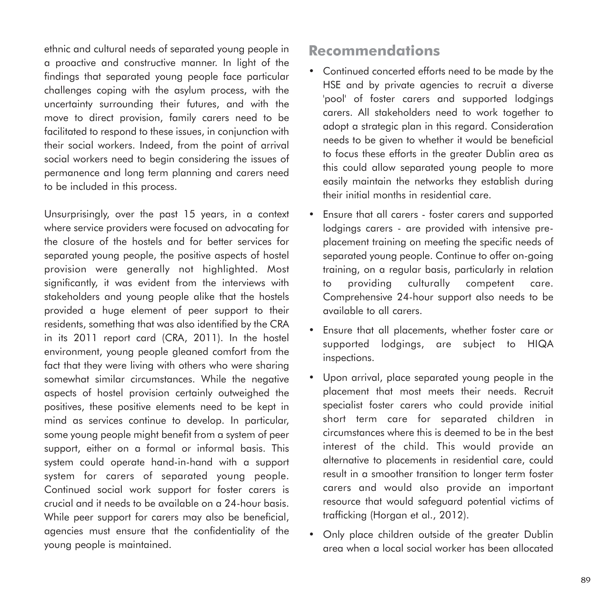ethnic and cultural needs of separated young people in a proactive and constructive manner. In light of the findings that separated young people face particular challenges coping with the asylum process, with the uncertainty surrounding their futures, and with the move to direct provision, family carers need to be facilitated to respond to these issues, in conjunction with their social workers. Indeed, from the point of arrival social workers need to begin considering the issues of permanence and long term planning and carers need to be included in this process.

Unsurprisingly, over the past 15 years, in a context where service providers were focused on advocating for the closure of the hostels and for better services for separated young people, the positive aspects of hostel provision were generally not highlighted. Most significantly, it was evident from the interviews with stakeholders and young people alike that the hostels provided a huge element of peer support to their residents, something that was also identified by the CRA in its 2011 report card (CRA, 2011). In the hostel environment, young people gleaned comfort from the fact that they were living with others who were sharing somewhat similar circumstances. While the negative aspects of hostel provision certainly outweighed the positives, these positive elements need to be kept in mind as services continue to develop. In particular, some young people might benefit from a system of peer support, either on a formal or informal basis. This system could operate hand-in-hand with a support system for carers of separated young people. Continued social work support for foster carers is crucial and it needs to be available on a 24-hour basis. While peer support for carers may also be beneficial, agencies must ensure that the confidentiality of the young people is maintained.

## **Recommendations**

- Continued concerted efforts need to be made by the HSE and by private agencies to recruit a diverse 'pool' of foster carers and supported lodgings carers. All stakeholders need to work together to adopt a strategic plan in this regard. Consideration needs to be given to whether it would be beneficial to focus these efforts in the greater Dublin area as this could allow separated young people to more easily maintain the networks they establish during their initial months in residential care.
- Ensure that all carers foster carers and supported lodgings carers - are provided with intensive preplacement training on meeting the specific needs of separated young people. Continue to offer on-going training, on a regular basis, particularly in relation to providing culturally competent care. Comprehensive 24-hour support also needs to be available to all carers.
- Ensure that all placements, whether foster care or supported lodgings, are subject to HIQA inspections.
- Upon arrival, place separated young people in the placement that most meets their needs. Recruit specialist foster carers who could provide initial short term care for separated children in circumstances where this is deemed to be in the best interest of the child. This would provide an alternative to placements in residential care, could result in a smoother transition to longer term foster carers and would also provide an important resource that would safeguard potential victims of trafficking (Horgan et al., 2012).
- Only place children outside of the greater Dublin area when a local social worker has been allocated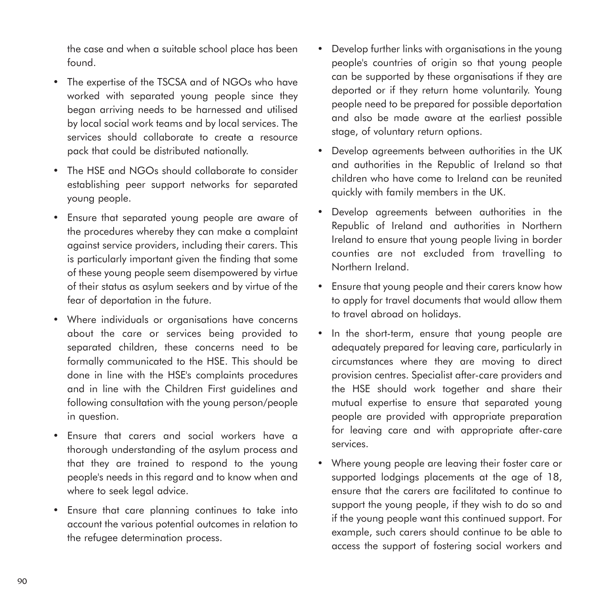the case and when a suitable school place has been found.

- The expertise of the TSCSA and of NGOs who have worked with separated young people since they began arriving needs to be harnessed and utilised by local social work teams and by local services. The services should collaborate to create a resource pack that could be distributed nationally.
- The HSE and NGOs should collaborate to consider establishing peer support networks for separated young people.
- Ensure that separated young people are aware of the procedures whereby they can make a complaint against service providers, including their carers. This is particularly important given the finding that some of these young people seem disempowered by virtue of their status as asylum seekers and by virtue of the fear of deportation in the future.
- Where individuals or organisations have concerns about the care or services being provided to separated children, these concerns need to be formally communicated to the HSE. This should be done in line with the HSE's complaints procedures and in line with the Children First guidelines and following consultation with the young person/people in question.
- Ensure that carers and social workers have a thorough understanding of the asylum process and that they are trained to respond to the young people's needs in this regard and to know when and where to seek legal advice.
- Ensure that care planning continues to take into account the various potential outcomes in relation to the refugee determination process.
- Develop further links with organisations in the young people's countries of origin so that young people can be supported by these organisations if they are deported or if they return home voluntarily. Young people need to be prepared for possible deportation and also be made aware at the earliest possible stage, of voluntary return options.
- Develop agreements between authorities in the UK and authorities in the Republic of Ireland so that children who have come to Ireland can be reunited quickly with family members in the UK.
- Develop agreements between authorities in the Republic of Ireland and authorities in Northern Ireland to ensure that young people living in border counties are not excluded from travelling to Northern Ireland.
- Ensure that young people and their carers know how to apply for travel documents that would allow them to travel abroad on holidays.
- In the short-term, ensure that young people are adequately prepared for leaving care, particularly in circumstances where they are moving to direct provision centres. Specialist after-care providers and the HSE should work together and share their mutual expertise to ensure that separated young people are provided with appropriate preparation for leaving care and with appropriate after-care services.
- Where young people are leaving their foster care or supported lodgings placements at the age of 18, ensure that the carers are facilitated to continue to support the young people, if they wish to do so and if the young people want this continued support. For example, such carers should continue to be able to access the support of fostering social workers and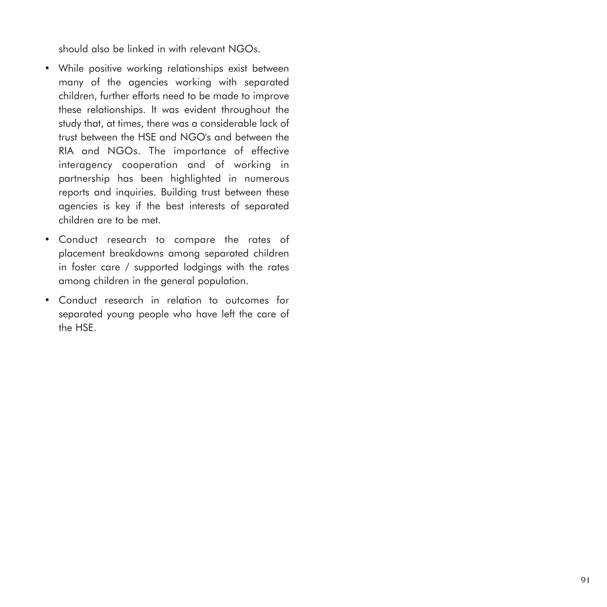should also be linked in with relevant NGOs.

- While positive working relationships exist between many of the agencies working with separated children, further efforts need to be made to improve these relationships. It was evident throughout the study that, at times, there was a considerable lack of trust between the HSE and NGO's and between the RIA and NGOs. The importance of effective interagency cooperation and of working in partnership has been highlighted in numerous reports and inquiries. Building trust between these agencies is key if the best interests of separated children are to be met.
- Conduct research to compare the rates of placement breakdowns among separated children in foster care / supported lodgings with the rates among children in the general population.
- Conduct research in relation to outcomes for separated young people who have left the care of the HSE.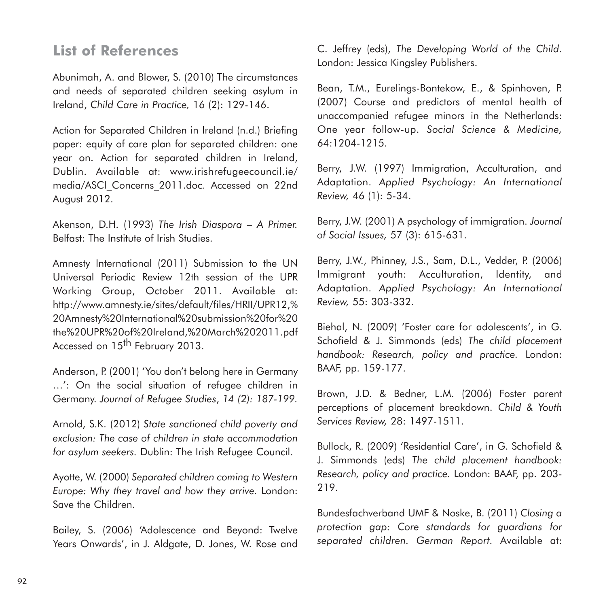## **List of References**

Abunimah, A. and Blower, S. (2010) The circumstances and needs of separated children seeking asylum in Ireland, *Child Care in Practice,* 16 (2): 129-146.

Action for Separated Children in Ireland (n.d.) Briefing paper: equity of care plan for separated children: one year on. Action for separated children in Ireland, Dublin. Available at: www.irishrefugeecouncil.ie/ media/ASCI\_Concerns\_2011.doc*.* Accessed on 22nd August 2012.

Akenson, D.H. (1993) *The Irish Diaspora – A Primer.* Belfast: The Institute of Irish Studies.

Amnesty International (2011) Submission to the UN Universal Periodic Review 12th session of the UPR Working Group, October 2011. Available at: http://www.amnesty.ie/sites/default/files/HRII/UPR12,% 20Amnesty%20International%20submission%20for%20 the%20UPR%20of%20Ireland,%20March%202011.pdf Accessed on 15<sup>th</sup> February 2013.

Anderson, P. (2001) 'You don't belong here in Germany …': On the social situation of refugee children in Germany. *Journal of Refugee Studies*, *14 (2): 187-199.*

Arnold, S.K. (2012) *State sanctioned child poverty and exclusion: The case of children in state accommodation for asylum seekers.* Dublin: The Irish Refugee Council.

Ayotte, W. (2000) *Separated children coming to Western Europe: Why they travel and how they arrive.* London: Save the Children.

Bailey, S. (2006) 'Adolescence and Beyond: Twelve Years Onwards', in J. Aldgate, D. Jones, W. Rose and C. Jeffrey (eds), *The Developing World of the Child*. London: Jessica Kingsley Publishers.

Bean, T.M., Eurelings-Bontekow, E., & Spinhoven, P. (2007) Course and predictors of mental health of unaccompanied refugee minors in the Netherlands: One year follow-up. *Social Science & Medicine,* 64:1204-1215.

Berry, J.W. (1997) Immigration, Acculturation, and Adaptation. *Applied Psychology: An International Review,* 46 (1): 5-34.

Berry, J.W. (2001) A psychology of immigration. *Journal of Social Issues,* 57 (3): 615-631.

Berry, J.W., Phinney, J.S., Sam, D.L., Vedder, P. (2006) Immigrant youth: Acculturation, Identity, and Adaptation. *Applied Psychology: An International Review,* 55: 303-332.

Biehal, N. (2009) 'Foster care for adolescents', in G. Schofield & J. Simmonds (eds) *The child placement handbook: Research, policy and practice.* London: BAAF, pp. 159-177.

Brown, J.D. & Bedner, L.M. (2006) Foster parent perceptions of placement breakdown. *Child & Youth Services Review,* 28: 1497-1511.

Bullock, R. (2009) 'Residential Care', in G. Schofield & J. Simmonds (eds) *The child placement handbook: Research, policy and practice.* London: BAAF, pp. 203- 219.

Bundesfachverband UMF & Noske, B. (2011) *Closing a protection gap: Core standards for guardians for separated children. German Report.* Available at: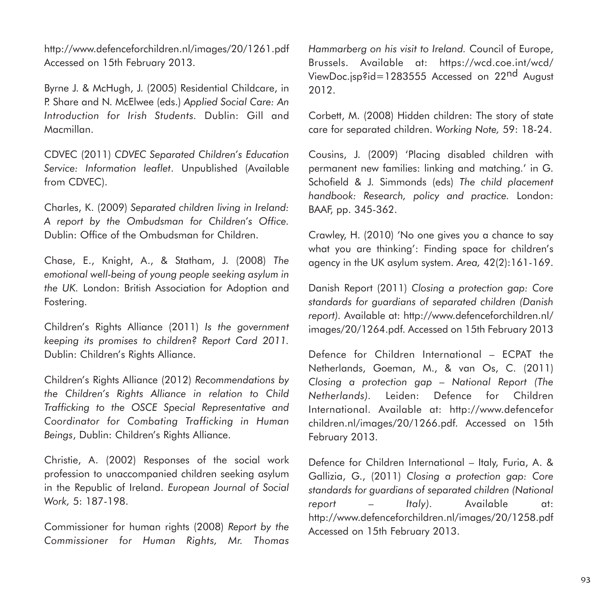http://www.defenceforchildren.nl/images/20/1261.pdf Accessed on 15th February 2013.

Byrne J. & McHugh, J. (2005) Residential Childcare, in P. Share and N. McElwee (eds.) *Applied Social Care: An Introduction for Irish Students.* Dublin: Gill and Macmillan.

CDVEC (2011) *CDVEC Separated Children's Education Service: Information leaflet*. Unpublished (Available from CDVEC).

Charles, K. (2009) *Separated children living in Ireland: A report by the Ombudsman for Children's Office.* Dublin: Office of the Ombudsman for Children.

Chase, E., Knight, A., & Statham, J. (2008) *The emotional well-being of young people seeking asylum in the UK.* London: British Association for Adoption and Fostering.

Children's Rights Alliance (2011) *Is the government keeping its promises to children? Report Card 2011.* Dublin: Children's Rights Alliance.

Children's Rights Alliance (2012) *Recommendations by the Children's Rights Alliance in relation to Child Trafficking to the OSCE Special Representative and Coordinator for Combating Trafficking in Human Beings*, Dublin: Children's Rights Alliance.

Christie, A. (2002) Responses of the social work profession to unaccompanied children seeking asylum in the Republic of Ireland. *European Journal of Social Work,* 5: 187-198.

Commissioner for human rights (2008) *Report by the Commissioner for Human Rights, Mr. Thomas* *Hammarberg on his visit to Ireland.* Council of Europe, Brussels. Available at: https://wcd.coe.int/wcd/ ViewDoc.jsp?id=1283555 Accessed on 22nd August 2012.

Corbett, M. (2008) Hidden children: The story of state care for separated children. *Working Note,* 59: 18-24.

Cousins, J. (2009) 'Placing disabled children with permanent new families: linking and matching.' in G. Schofield & J. Simmonds (eds) *The child placement handbook: Research, policy and practice.* London: BAAF, pp. 345-362.

Crawley, H. (2010) 'No one gives you a chance to say what you are thinking': Finding space for children's agency in the UK asylum system. *Area,* 42(2):161-169.

Danish Report (2011) *Closing a protection gap: Core standards for guardians of separated children (Danish report).* Available at: http://www.defenceforchildren.nl/ images/20/1264.pdf. Accessed on 15th February 2013

Defence for Children International – ECPAT the Netherlands, Goeman, M., & van Os, C. (2011) *Closing a protection gap – National Report (The Netherlands).* Leiden: Defence for Children International. Available at: http://www.defencefor children.nl/images/20/1266.pdf. Accessed on 15th February 2013.

Defence for Children International – Italy, Furia, A. & Gallizia, G., (2011) *Closing a protection gap: Core standards for guardians of separated children (National report – Italy).* Available at: http://www.defenceforchildren.nl/images/20/1258.pdf Accessed on 15th February 2013.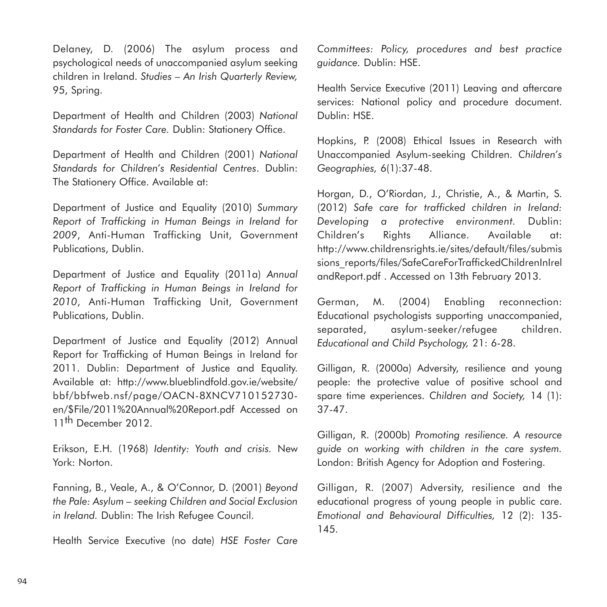Delaney, D. (2006) The asylum process and psychological needs of unaccompanied asylum seeking children in Ireland. *Studies – An Irish Quarterly Review,* 95, Spring.

Department of Health and Children (2003) *National Standards for Foster Care.* Dublin: Stationery Office.

Department of Health and Children (2001) *National Standards for Children's Residential Centres*. Dublin: The Stationery Office. Available at:

Department of Justice and Equality (2010) *Summary Report of Trafficking in Human Beings in Ireland for 2009*, Anti-Human Trafficking Unit, Government Publications, Dublin.

Department of Justice and Equality (2011a) *Annual Report of Trafficking in Human Beings in Ireland for 2010*, Anti-Human Trafficking Unit, Government Publications, Dublin.

Department of Justice and Equality (2012) Annual Report for Trafficking of Human Beings in Ireland for 2011. Dublin: Department of Justice and Equality. Available at: http://www.blueblindfold.gov.ie/website/ bbf/bbfweb.nsf/page/OACN-8XNCV710152730 en/\$File/2011%20Annual%20Report.pdf Accessed on 11<sup>th</sup> December 2012.

Erikson, E.H. (1968) *Identity: Youth and crisis.* New York: Norton.

Fanning, B., Veale, A., & O'Connor, D. (2001) *Beyond the Pale: Asylum – seeking Children and Social Exclusion in Ireland.* Dublin: The Irish Refugee Council.

Health Service Executive (no date) *HSE Foster Care*

*Committees: Policy, procedures and best practice guidance.* Dublin: HSE.

Health Service Executive (2011) Leaving and aftercare services: National policy and procedure document. Dublin: HSE.

Hopkins, P. (2008) Ethical Issues in Research with Unaccompanied Asylum-seeking Children. *Children's Geographies,* 6(1):37-48.

Horgan, D., O'Riordan, J., Christie, A., & Martin, S. (2012) *Safe care for trafficked children in Ireland: Developing a protective environment.* Dublin: Children's Rights Alliance. Available at: http://www.childrensrights.ie/sites/default/files/submis sions\_reports/files/SafeCareForTraffickedChildrenInIrel andReport.pdf . Accessed on 13th February 2013.

German, M. (2004) Enabling reconnection: Educational psychologists supporting unaccompanied, separated, asylum-seeker/refugee children. *Educational and Child Psychology,* 21: 6-28.

Gilligan, R. (2000a) Adversity, resilience and young people: the protective value of positive school and spare time experiences. *Children and Society,* 14 (1): 37-47.

Gilligan, R. (2000b) *Promoting resilience. A resource guide on working with children in the care system.* London: British Agency for Adoption and Fostering.

Gilligan, R. (2007) Adversity, resilience and the educational progress of young people in public care. *Emotional and Behavioural Difficulties,* 12 (2): 135- 145.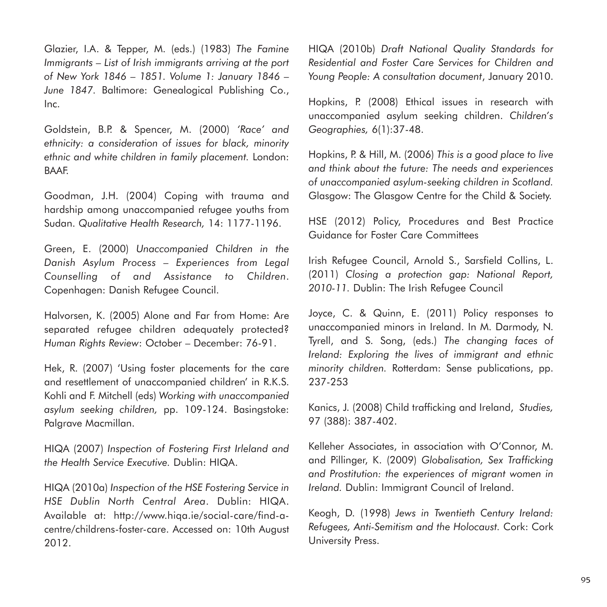Glazier, I.A. & Tepper, M. (eds.) (1983) *The Famine Immigrants – List of Irish immigrants arriving at the port of New York 1846 – 1851. Volume 1: January 1846 – June 1847.* Baltimore: Genealogical Publishing Co., Inc.

Goldstein, B.P. & Spencer, M. (2000) *'Race' and ethnicity: a consideration of issues for black, minority ethnic and white children in family placement.* London: BAAF.

Goodman, J.H. (2004) Coping with trauma and hardship among unaccompanied refugee youths from Sudan. *Qualitative Health Research,* 14: 1177-1196.

Green, E. (2000) *Unaccompanied Children in the Danish Asylum Process – Experiences from Legal Counselling of and Assistance to Children*. Copenhagen: Danish Refugee Council.

Halvorsen, K. (2005) Alone and Far from Home: Are separated refugee children adequately protected? *Human Rights Review*: October – December: 76-91.

Hek, R. (2007) 'Using foster placements for the care and resettlement of unaccompanied children' in R.K.S. Kohli and F. Mitchell (eds) *Working with unaccompanied asylum seeking children,* pp. 109-124. Basingstoke: Palgrave Macmillan.

HIQA (2007) *Inspection of Fostering First Irleland and the Health Service Executive.* Dublin: HIQA.

HIQA (2010a) *Inspection of the HSE Fostering Service in HSE Dublin North Central Area*. Dublin: HIQA. Available at: http://www.hiqa.ie/social-care/find-acentre/childrens-foster-care. Accessed on: 10th August 2012.

HIQA (2010b) *Draft National Quality Standards for Residential and Foster Care Services for Children and Young People: A consultation document*, January 2010.

Hopkins, P. (2008) Ethical issues in research with unaccompanied asylum seeking children. *Children's Geographies,* 6(1):37-48.

Hopkins, P. & Hill, M. (2006) *This is a good place to live and think about the future: The needs and experiences of unaccompanied asylum-seeking children in Scotland.* Glasgow: The Glasgow Centre for the Child & Society.

HSE (2012) Policy, Procedures and Best Practice Guidance for Foster Care Committees

Irish Refugee Council, Arnold S., Sarsfield Collins, L. (2011) *Closing a protection gap: National Report, 2010-11.* Dublin: The Irish Refugee Council

Joyce, C. & Quinn, E. (2011) Policy responses to unaccompanied minors in Ireland. In M. Darmody, N. Tyrell, and S. Song, (eds.) *The changing faces of Ireland: Exploring the lives of immigrant and ethnic minority children.* Rotterdam: Sense publications, pp. 237-253

Kanics, J. (2008) Child trafficking and Ireland, *Studies,* 97 (388): 387-402.

Kelleher Associates, in association with O'Connor, M. and Pillinger, K. (2009) *Globalisation, Sex Trafficking and Prostitution: the experiences of migrant women in Ireland.* Dublin: Immigrant Council of Ireland.

Keogh, D. (1998) *Jews in Twentieth Century Ireland: Refugees, Anti-Semitism and the Holocaust.* Cork: Cork University Press.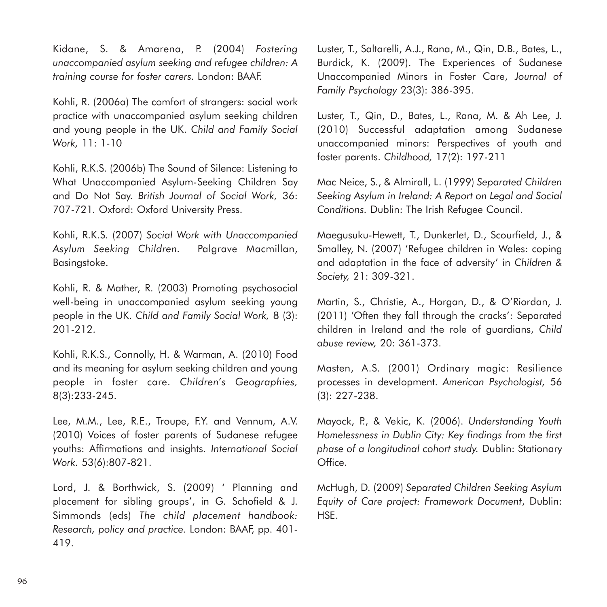Kidane, S. & Amarena, P. (2004) *Fostering unaccompanied asylum seeking and refugee children: A training course for foster carers.* London: BAAF.

Kohli, R. (2006a) The comfort of strangers: social work practice with unaccompanied asylum seeking children and young people in the UK. *Child and Family Social Work,* 11: 1-10

Kohli, R.K.S. (2006b) The Sound of Silence: Listening to What Unaccompanied Asylum-Seeking Children Say and Do Not Say. *British Journal of Social Work,* 36: 707-721*.* Oxford: Oxford University Press.

Kohli, R.K.S. (2007) *Social Work with Unaccompanied Asylum Seeking Children.* Palgrave Macmillan, Basingstoke.

Kohli, R. & Mather, R. (2003) Promoting psychosocial well-being in unaccompanied asylum seeking young people in the UK. *Child and Family Social Work,* 8 (3): 201-212.

Kohli, R.K.S., Connolly, H. & Warman, A. (2010) Food and its meaning for asylum seeking children and young people in foster care. *Children's Geographies,* 8(3):233-245.

Lee, M.M., Lee, R.E., Troupe, F.Y. and Vennum, A.V. (2010) Voices of foster parents of Sudanese refugee youths: Affirmations and insights. *International Social Work.* 53(6):807-821.

Lord, J. & Borthwick, S. (2009) ' Planning and placement for sibling groups', in G. Schofield & J. Simmonds (eds) *The child placement handbook: Research, policy and practice.* London: BAAF, pp. 401- 419.

Luster, T., Saltarelli, A.J., Rana, M., Qin, D.B., Bates, L., Burdick, K. (2009). The Experiences of Sudanese Unaccompanied Minors in Foster Care, *Journal of Family Psychology* 23(3): 386-395.

Luster, T., Qin, D., Bates, L., Rana, M. & Ah Lee, J. (2010) Successful adaptation among Sudanese unaccompanied minors: Perspectives of youth and foster parents. *Childhood,* 17(2): 197-211

Mac Neice, S., & Almirall, L. (1999) *Separated Children Seeking Asylum in Ireland: A Report on Legal and Social Conditions.* Dublin: The Irish Refugee Council.

Maegusuku-Hewett, T., Dunkerlet, D., Scourfield, J., & Smalley, N. (2007) 'Refugee children in Wales: coping and adaptation in the face of adversity' in *Children & Society,* 21: 309-321.

Martin, S., Christie, A., Horgan, D., & O'Riordan, J. (2011) 'Often they fall through the cracks': Separated children in Ireland and the role of guardians, *Child abuse review,* 20: 361-373.

Masten, A.S. (2001) Ordinary magic: Resilience processes in development. *American Psychologist,* 56 (3): 227-238.

Mayock, P., & Vekic, K. (2006). *Understanding Youth Homelessness in Dublin City: Key findings from the first phase of a longitudinal cohort study.* Dublin: Stationary Office.

McHugh, D. (2009) *Separated Children Seeking Asylum Equity of Care project: Framework Document*, Dublin: HSE.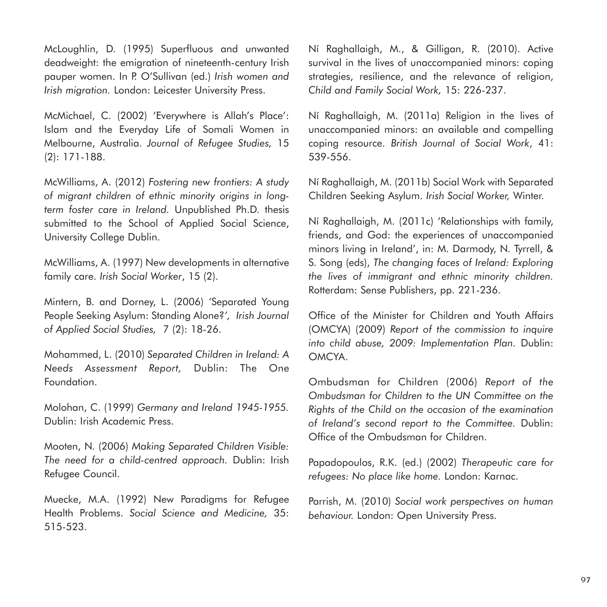McLoughlin, D. (1995) Superfluous and unwanted deadweight: the emigration of nineteenth-century Irish pauper women. In P. O'Sullivan (ed.) *Irish women and Irish migration.* London: Leicester University Press.

McMichael, C. (2002) 'Everywhere is Allah's Place': Islam and the Everyday Life of Somali Women in Melbourne, Australia. *Journal of Refugee Studies,* 15 (2): 171-188.

McWilliams, A. (2012) *Fostering new frontiers: A study of migrant children of ethnic minority origins in longterm foster care in Ireland.* Unpublished Ph.D. thesis submitted to the School of Applied Social Science, University College Dublin.

McWilliams, A. (1997) New developments in alternative family care. *Irish Social Worker*, 15 (2).

Mintern, B. and Dorney, L. (2006) *'*Separated Young People Seeking Asylum: Standing Alone?*', Irish Journal of Applied Social Studies,* 7 (2): 18-26.

Mohammed, L. (2010) *Separated Children in Ireland: A Needs Assessment Report,* Dublin: The One Foundation.

Molohan, C. (1999) *Germany and Ireland 1945-1955.* Dublin: Irish Academic Press.

Mooten, N. (2006) *Making Separated Children Visible: The need for a child-centred approach.* Dublin: Irish Refugee Council.

Muecke, M.A. (1992) New Paradigms for Refugee Health Problems. *Social Science and Medicine,* 35: 515-523.

Ní Raghallaigh, M., & Gilligan, R. (2010). Active survival in the lives of unaccompanied minors: coping strategies, resilience, and the relevance of religion, *Child and Family Social Work,* 15: 226-237.

Ní Raghallaigh, M. (2011a) Religion in the lives of unaccompanied minors: an available and compelling coping resource. *British Journal of Social Work*, 41: 539-556.

Ní Raghallaigh, M. (2011b) Social Work with Separated Children Seeking Asylum. *Irish Social Worker,* Winter.

Ní Raghallaigh, M. (2011c) 'Relationships with family, friends, and God: the experiences of unaccompanied minors living in Ireland', in: M. Darmody, N. Tyrrell, & S. Song (eds), *The changing faces of Ireland: Exploring the lives of immigrant and ethnic minority children.* Rotterdam: Sense Publishers, pp. 221-236.

Office of the Minister for Children and Youth Affairs (OMCYA) (2009) *Report of the commission to inquire into child abuse, 2009: Implementation Plan.* Dublin: OMCYA.

Ombudsman for Children (2006) *Report of the Ombudsman for Children to the UN Committee on the Rights of the Child on the occasion of the examination of Ireland's second report to the Committee.* Dublin: Office of the Ombudsman for Children.

Papadopoulos, R.K. (ed.) (2002) *Therapeutic care for refugees: No place like home.* London: Karnac.

Parrish, M. (2010) *Social work perspectives on human behaviour.* London: Open University Press.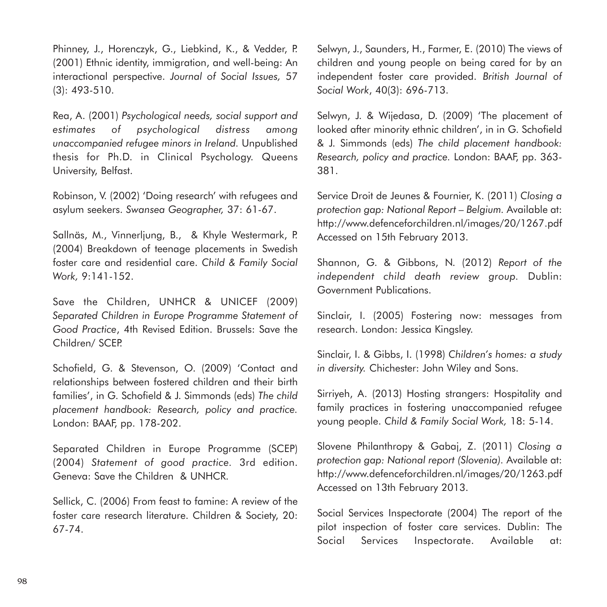Phinney, J., Horenczyk, G., Liebkind, K., & Vedder, P. (2001) Ethnic identity, immigration, and well-being: An interactional perspective. *Journal of Social Issues,* 57 (3): 493-510.

Rea, A. (2001) *Psychological needs, social support and estimates of psychological distress among unaccompanied refugee minors in Ireland.* Unpublished thesis for Ph.D. in Clinical Psychology. Queens University, Belfast.

Robinson, V. (2002) 'Doing research' with refugees and asylum seekers. *Swansea Geographer,* 37: 61-67.

Sallnäs, M., Vinnerljung, B., & Khyle Westermark, P. (2004) Breakdown of teenage placements in Swedish foster care and residential care. *Child & Family Social Work,* 9:141-152.

Save the Children, UNHCR & UNICEF (2009) *Separated Children in Europe Programme Statement of Good Practice*, 4th Revised Edition. Brussels: Save the Children/ SCEP.

Schofield, G. & Stevenson, O. (2009) 'Contact and relationships between fostered children and their birth families', in G. Schofield & J. Simmonds (eds) *The child placement handbook: Research, policy and practice.* London: BAAF, pp. 178-202.

Separated Children in Europe Programme (SCEP) (2004) *Statement of good practice.* 3rd edition. Geneva: Save the Children & UNHCR.

Sellick, C. (2006) From feast to famine: A review of the foster care research literature. Children & Society, 20: 67-74.

Selwyn, J., Saunders, H., Farmer, E. (2010) The views of children and young people on being cared for by an independent foster care provided. *British Journal of Social Work*, 40(3): 696-713.

Selwyn, J. & Wijedasa, D. (2009) 'The placement of looked after minority ethnic children', in in G. Schofield & J. Simmonds (eds) *The child placement handbook: Research, policy and practice.* London: BAAF, pp. 363- 381.

Service Droit de Jeunes & Fournier, K. (2011) *Closing a protection gap: National Report – Belgium.* Available at: http://www.defenceforchildren.nl/images/20/1267.pdf Accessed on 15th February 2013.

Shannon, G. & Gibbons, N. (2012) *Report of the independent child death review group.* Dublin: Government Publications.

Sinclair, I. (2005) Fostering now: messages from research. London: Jessica Kingsley.

Sinclair, I. & Gibbs, I. (1998) *Children's homes: a study in diversity.* Chichester: John Wiley and Sons.

Sirriyeh, A. (2013) Hosting strangers: Hospitality and family practices in fostering unaccompanied refugee young people. *Child & Family Social Work,* 18: 5-14.

Slovene Philanthropy & Gabaj, Z. (2011) *Closing a protection gap: National report (Slovenia).* Available at: http://www.defenceforchildren.nl/images/20/1263.pdf Accessed on 13th February 2013.

Social Services Inspectorate (2004) The report of the pilot inspection of foster care services. Dublin: The Social Services Inspectorate. Available at: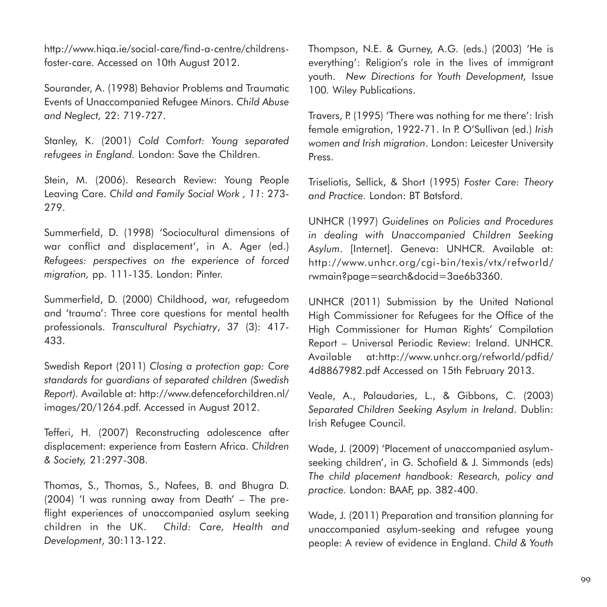http://www.hiqa.ie/social-care/find-a-centre/childrensfoster-care. Accessed on 10th August 2012.

Sourander, A. (1998) Behavior Problems and Traumatic Events of Unaccompanied Refugee Minors. *Child Abuse and Neglect,* 22: 719-727.

Stanley, K. (2001) *Cold Comfort: Young separated refugees in England.* London: Save the Children.

Stein, M. (2006). Research Review: Young People Leaving Care. *Child and Family Social Work , 11*: 273- 279.

Summerfield, D. (1998) 'Sociocultural dimensions of war conflict and displacement', in A. Ager (ed.) *Refugees: perspectives on the experience of forced migration,* pp. 111-135. London: Pinter.

Summerfield, D. (2000) Childhood, war, refugeedom and 'trauma': Three core questions for mental health professionals. *Transcultural Psychiatry*, 37 (3): 417- 433.

Swedish Report (2011) *Closing a protection gap: Core standards for guardians of separated children (Swedish Report).* Available at: http://www.defenceforchildren.nl/ images/20/1264.pdf. Accessed in August 2012.

Tefferi, H. (2007) Reconstructing adolescence after displacement: experience from Eastern Africa. *Children & Society,* 21:297-308.

Thomas, S., Thomas, S., Nafees, B. and Bhugra D. (2004) 'I was running away from Death' – The preflight experiences of unaccompanied asylum seeking children in the UK. *Child: Care, Health and Development*, 30:113-122.

Thompson, N.E. & Gurney, A.G. (eds.) (2003) 'He is everything': Religion's role in the lives of immigrant youth. *New Directions for Youth Development,* Issue 100*.* Wiley Publications.

Travers, P. (1995) 'There was nothing for me there': Irish female emigration, 1922-71. In P. O'Sullivan (ed.) *Irish women and Irish migration*. London: Leicester University Press.

Triseliotis, Sellick, & Short (1995) *Foster Care: Theory and Practice.* London: BT Batsford.

UNHCR (1997) *Guidelines on Policies and Procedures in dealing with Unaccompanied Children Seeking Asylum*. [Internet]. Geneva: UNHCR. Available at: http://www.unhcr.org/cgi-bin/texis/vtx/refworld/ rwmain?page=search&docid=3ae6b3360.

UNHCR (2011) Submission by the United National High Commissioner for Refugees for the Office of the High Commissioner for Human Rights' Compilation Report – Universal Periodic Review: Ireland. UNHCR. Available at:http://www.unhcr.org/refworld/pdfid/ 4d8867982.pdf Accessed on 15th February 2013.

Veale, A., Palaudaries, L., & Gibbons, C. (2003) *Separated Children Seeking Asylum in Ireland*. Dublin: Irish Refugee Council.

Wade, J. (2009) 'Placement of unaccompanied asylumseeking children', in G. Schofield & J. Simmonds (eds) *The child placement handbook: Research, policy and practice.* London: BAAF, pp. 382-400.

Wade, J. (2011) Preparation and transition planning for unaccompanied asylum-seeking and refugee young people: A review of evidence in England. *Child & Youth*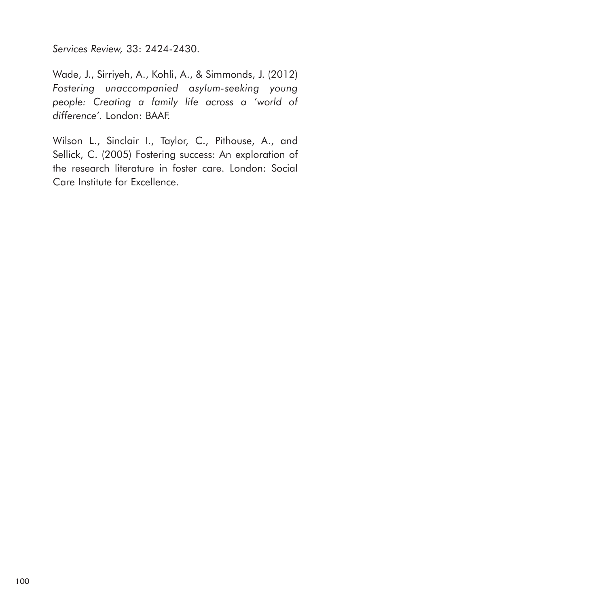*Services Review,* 33: 2424-2430.

Wade, J., Sirriyeh, A., Kohli, A., & Simmonds, J. (2012) *Fostering unaccompanied asylum-seeking young people: Creating a family life across a 'world of difference'.* London: BAAF.

Wilson L., Sinclair I., Taylor, C., Pithouse, A., and Sellick, C. (2005) Fostering success: An exploration of the research literature in foster care. London: Social Care Institute for Excellence.